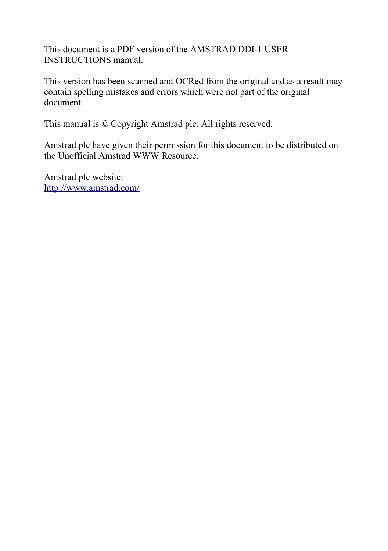This document is a PDF version of the AMSTRAD DDI-1 USER INSTRUCTIONS manual.

This version has been scanned and OCRed from the original and as a result may contain spelling mistakes and errors which were not part of the original document.

This manual is © Copyright Amstrad plc. All rights reserved.

Amstrad plc have given their permission for this document to be distributed on the Unofficial Amstrad WWW Resource.

Amstrad plc website: http://www.amstrad.com/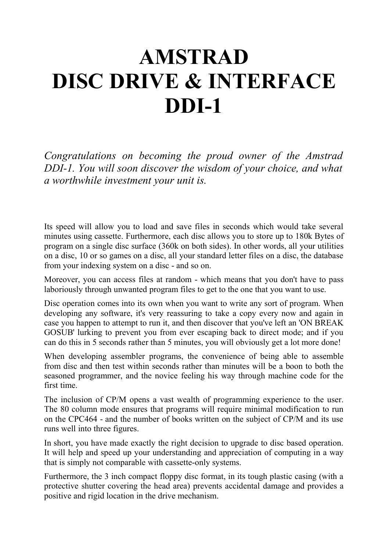# **AMSTRAD DISC DRIVE & INTERFACE DDI-1**

*Congratulations on becoming the proud owner of the Amstrad DDI-1. You will soon discover the wisdom of your choice, and what a worthwhile investment your unit is.*

Its speed will allow you to load and save files in seconds which would take several minutes using cassette. Furthermore, each disc allows you to store up to 180k Bytes of program on a single disc surface (360k on both sides). In other words, all your utilities on a disc, 10 or so games on a disc, all your standard letter files on a disc, the database from your indexing system on a disc - and so on.

Moreover, you can access files at random - which means that you don't have to pass laboriously through unwanted program files to get to the one that you want to use.

Disc operation comes into its own when you want to write any sort of program. When developing any software, it's very reassuring to take a copy every now and again in case you happen to attempt to run it, and then discover that you've left an 'ON BREAK GOSUB' lurking to prevent you from ever escaping back to direct mode; and if you can do this in 5 seconds rather than 5 minutes, you will obviously get a lot more done!

When developing assembler programs, the convenience of being able to assemble from disc and then test within seconds rather than minutes will be a boon to both the seasoned programmer, and the novice feeling his way through machine code for the first time.

The inclusion of CP/M opens a vast wealth of programming experience to the user. The 80 column mode ensures that programs will require minimal modification to run on the CPC464 - and the number of books written on the subject of CP/M and its use runs well into three figures.

In short, you have made exactly the right decision to upgrade to disc based operation. It will help and speed up your understanding and appreciation of computing in a way that is simply not comparable with cassette-only systems.

Furthermore, the 3 inch compact floppy disc format, in its tough plastic casing (with a protective shutter covering the head area) prevents accidental damage and provides a positive and rigid location in the drive mechanism.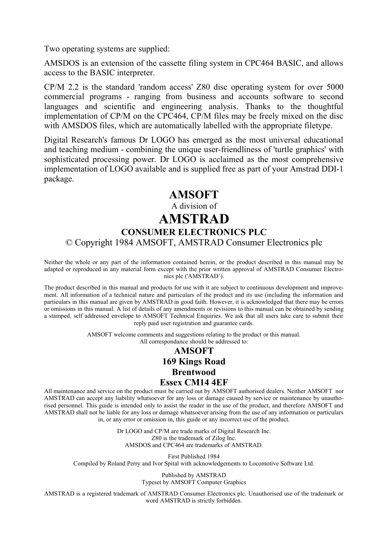Two operating systems are supplied:

AMSDOS is an extension of the cassette filing system in CPC464 BASIC, and allows access to the BASIC interpreter.

CP/M 2.2 is the standard 'random access' Z80 disc operating system for over 5000 commercial programs - ranging from business and accounts software to second languages and scientific and engineering analysis. Thanks to the thoughtful implementation of CP/M on the CPC464, CP/M files may be freely mixed on the disc with AMSDOS files, which are automatically labelled with the appropriate filetype.

Digital Research's famous Dr LOGO has emerged as the most universal educational and teaching medium - combining the unique user-friendliness of 'turtle graphics' with sophisticated processing power. Dr LOGO is acclaimed as the most comprehensive implementation of LOGO available and is supplied free as part of your Amstrad DDI-1 package.

#### **AMSOFT**

A division of

### **AMSTRAD**

#### **CONSUMER ELECTRONICS PLC**

© Copyright 1984 AMSOFT, AMSTRAD Consumer Electronics plc

Neither the whole or any part of the information contained herein, or the product described in this manual may be adapted or reproduced in any material form except with the prior written approval of AMSTRAD Consumer Electronics plc ('AMSTRAD').

The product described in this manual and products for use with it are subject to continuous development and improvement. All information of a technical nature and particulars of the product and its use (including the information and particulars in this manual are given by AMSTRAD in good faith. However, it is acknowledged that there may be errors or omissions in this manual. A list of details of any amendments or revisions to this manual can be obtained by sending a stamped, self addressed envelope to AMSOFT Technical Enquiries. We ask that all users take care to submit their reply paid user registration and guarantee cards.

> AMSOFT welcome comments and suggestions relating to the product or this manual. All correspondance should be addressed to:

#### **AMSOFT 169 Kings Road Brentwood Essex CM14 4EF**

All maintenance and service on the product must be carried out by AMSOFT authorised dealers. Neither AMSOFT nor AMSTRAD can accept any liability whatsoever for any loss or damage caused by service or maintenance by unauthorised personnel. This guide is intended only to assist the reader in the use of the product, and therefore AMSOFT and AMSTRAD shall not be liable for any loss or damage whatsoever arising from the use of any information or particulars in, or any error or omission in, this guide or any incorrect use of the product.

> Dr LOGO and CP/M are trade marks of Digital Research Inc. Z80 is the trademark of Zilog Inc. AMSDOS and CPC464 are trademarks of AMSTRAD.

First Published 1984 Compiled by Roland Perry and Ivor Spital with acknowledgements to Locomotive Software Ltd.

> Published by AMSTRAD Typeset by AMSOFT Computer Graphics

AMSTRAD is a registered trademark of AMSTRAD Consumer Electronics plc. Unauthorised use of the trademark or word AMSTRAD is strictly forbidden.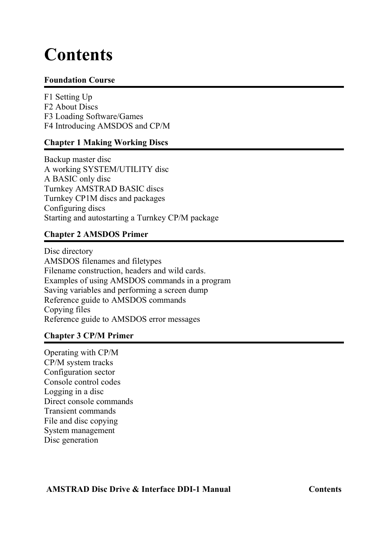# **Contents**

#### **Foundation Course**

F1 Setting Up F2 About Discs F3 Loading Software/Games F4 Introducing AMSDOS and CP/M

#### **Chapter 1 Making Working Discs**

Backup master disc A working SYSTEM/UTILITY disc A BASIC only disc Turnkey AMSTRAD BASIC discs Turnkey CP1M discs and packages Configuring discs Starting and autostarting a Turnkey CP/M package

#### **Chapter 2 AMSDOS Primer**

Disc directory AMSDOS filenames and filetypes Filename construction, headers and wild cards. Examples of using AMSDOS commands in a program Saving variables and performing a screen dump Reference guide to AMSDOS commands Copying files Reference guide to AMSDOS error messages

#### **Chapter 3 CP/M Primer**

Operating with CP/M CP/M system tracks Configuration sector Console control codes Logging in a disc Direct console commands Transient commands File and disc copying System management Disc generation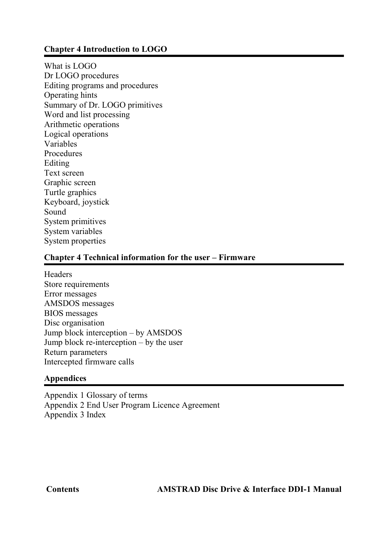#### **Chapter 4 Introduction to LOGO**

What is LOGO Dr LOGO procedures Editing programs and procedures Operating hints Summary of Dr. LOGO primitives Word and list processing Arithmetic operations Logical operations Variables Procedures Editing Text screen Graphic screen Turtle graphics Keyboard, joystick Sound System primitives System variables System properties

#### **Chapter 4 Technical information for the user – Firmware**

Headers Store requirements Error messages AMSDOS messages BIOS messages Disc organisation Jump block interception – by AMSDOS Jump block re-interception – by the user Return parameters Intercepted firmware calls

#### **Appendices**

Appendix 1 Glossary of terms Appendix 2 End User Program Licence Agreement Appendix 3 Index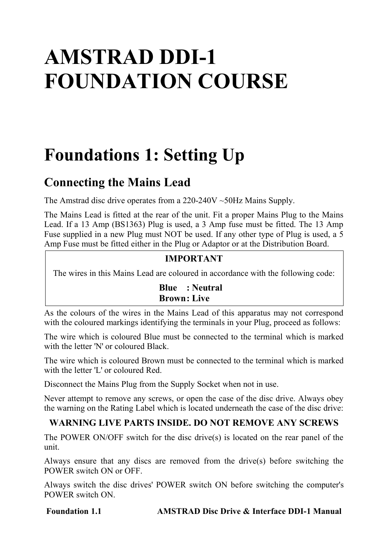# **AMSTRAD DDI-1 FOUNDATION COURSE**

# **Foundations 1: Setting Up**

# **Connecting the Mains Lead**

The Amstrad disc drive operates from a 220-240V ~50Hz Mains Supply.

The Mains Lead is fitted at the rear of the unit. Fit a proper Mains Plug to the Mains Lead. If a 13 Amp (BS1363) Plug is used, a 3 Amp fuse must be fitted. The 13 Amp Fuse supplied in a new Plug must NOT be used. If any other type of Plug is used, a 5 Amp Fuse must be fitted either in the Plug or Adaptor or at the Distribution Board.

### **IMPORTANT**

The wires in this Mains Lead are coloured in accordance with the following code:

**Blue : Neutral Brown: Live**

As the colours of the wires in the Mains Lead of this apparatus may not correspond with the coloured markings identifying the terminals in your Plug, proceed as follows:

The wire which is coloured Blue must be connected to the terminal which is marked with the letter 'N' or coloured Black.

The wire which is coloured Brown must be connected to the terminal which is marked with the letter 'L' or coloured Red.

Disconnect the Mains Plug from the Supply Socket when not in use.

Never attempt to remove any screws, or open the case of the disc drive. Always obey the warning on the Rating Label which is located underneath the case of the disc drive:

#### **WARNING LIVE PARTS INSIDE. DO NOT REMOVE ANY SCREWS**

The POWER ON/OFF switch for the disc drive(s) is located on the rear panel of the unit.

Always ensure that any discs are removed from the drive(s) before switching the POWER switch ON or OFF.

Always switch the disc drives' POWER switch ON before switching the computer's POWER switch ON.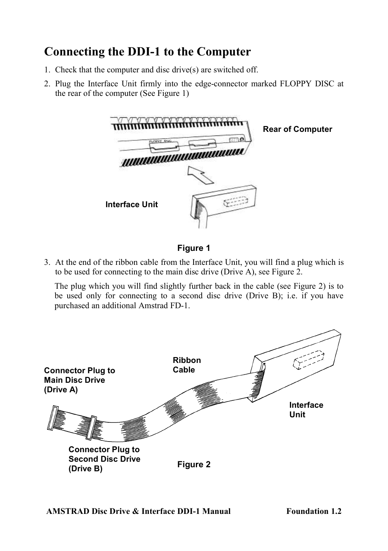### **Connecting the DDI-1 to the Computer**

- 1. Check that the computer and disc drive(s) are switched off.
- 2. Plug the Interface Unit firmly into the edge-connector marked FLOPPY DISC at the rear of the computer (See Figure 1)



### **Figure 1**

3. At the end of the ribbon cable from the Interface Unit, you will find a plug which is to be used for connecting to the main disc drive (Drive A), see Figure 2.

The plug which you will find slightly further back in the cable (see Figure 2) is to be used only for connecting to a second disc drive (Drive B); i.e. if you have purchased an additional Amstrad FD-1.

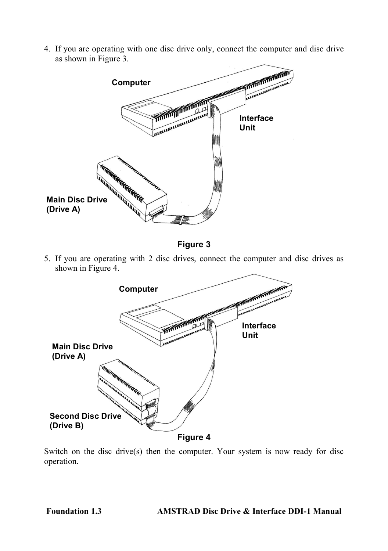4. If you are operating with one disc drive only, connect the computer and disc drive as shown in Figure 3.



**Figure 3**

5. If you are operating with 2 disc drives, connect the computer and disc drives as shown in Figure 4.



Switch on the disc drive(s) then the computer. Your system is now ready for disc operation.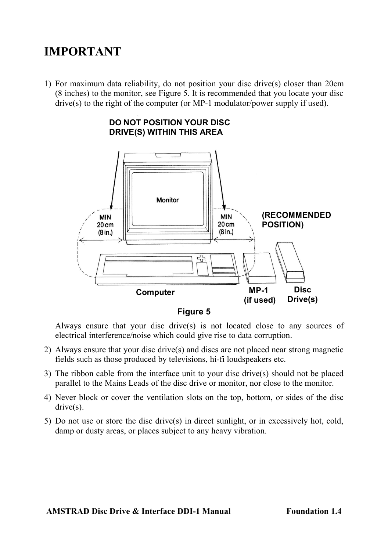### **IMPORTANT**

1) For maximum data reliability, do not position your disc drive(s) closer than 20cm (8 inches) to the monitor, see Figure 5. It is recommended that you locate your disc drive(s) to the right of the computer (or MP-1 modulator/power supply if used).



### **DO NOT POSITION YOUR DISC DRIVE(S) WITHIN THIS AREA**



Always ensure that your disc drive(s) is not located close to any sources of electrical interference/noise which could give rise to data corruption.

- 2) Always ensure that your disc drive(s) and discs are not placed near strong magnetic fields such as those produced by televisions, hi-fi loudspeakers etc.
- 3) The ribbon cable from the interface unit to your disc drive(s) should not be placed parallel to the Mains Leads of the disc drive or monitor, nor close to the monitor.
- 4) Never block or cover the ventilation slots on the top, bottom, or sides of the disc drive(s).
- 5) Do not use or store the disc drive(s) in direct sunlight, or in excessively hot, cold, damp or dusty areas, or places subject to any heavy vibration.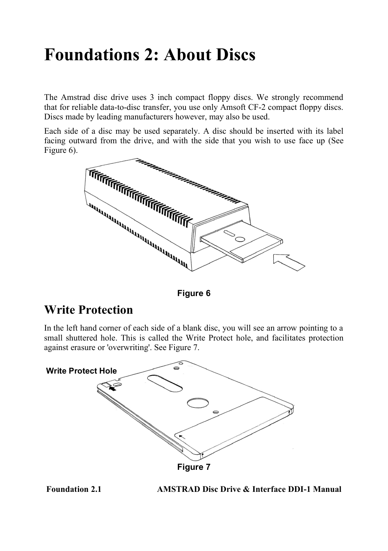# **Foundations 2: About Discs**

The Amstrad disc drive uses 3 inch compact floppy discs. We strongly recommend that for reliable data-to-disc transfer, you use only Amsoft CF-2 compact floppy discs. Discs made by leading manufacturers however, may also be used.

Each side of a disc may be used separately. A disc should be inserted with its label facing outward from the drive, and with the side that you wish to use face up (See Figure 6).



**Figure 6**

### **Write Protection**

In the left hand corner of each side of a blank disc, you will see an arrow pointing to a small shuttered hole. This is called the Write Protect hole, and facilitates protection against erasure or 'overwriting'. See Figure 7.



**Foundation 2.1 AMSTRAD Disc Drive & Interface DDI-1 Manual**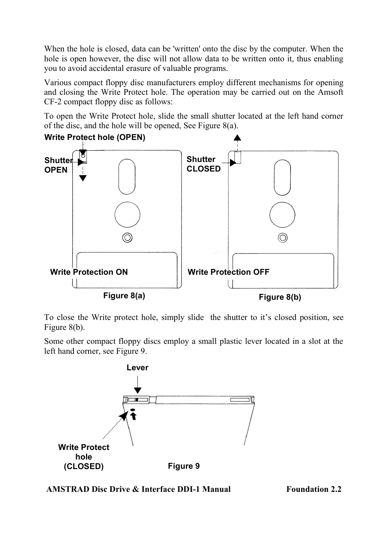When the hole is closed, data can be 'written' onto the disc by the computer. When the hole is open however, the disc will not allow data to be written onto it, thus enabling you to avoid accidental erasure of valuable programs.

Various compact floppy disc manufacturers employ different mechanisms for opening and closing the Write Protect hole. The operation may be carried out on the Amsoft CF-2 compact floppy disc as follows:

To open the Write Protect hole, slide the small shutter located at the left hand corner of the disc, and the hole will be opened, See Figure 8(a).



To close the Write protect hole, simply slide the shutter to it's closed position, see Figure 8(b).

Some other compact floppy discs employ a small plastic lever located in a slot at the left hand corner, see Figure 9.



**AMSTRAD Disc Drive & Interface DDI-1 Manual Foundation 2.2**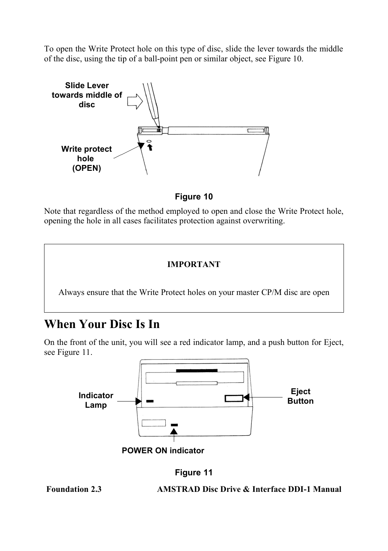To open the Write Protect hole on this type of disc, slide the lever towards the middle of the disc, using the tip of a ball-point pen or similar object, see Figure 10.





Note that regardless of the method employed to open and close the Write Protect hole, opening the hole in all cases facilitates protection against overwriting.

#### **IMPORTANT**

Always ensure that the Write Protect holes on your master CP/M disc are open

### **When Your Disc Is In**

On the front of the unit, you will see a red indicator lamp, and a push button for Eject, see Figure 11.



**POWER ON indicator**

**Figure 11**

**Foundation 2.3 AMSTRAD Disc Drive & Interface DDI-1 Manual**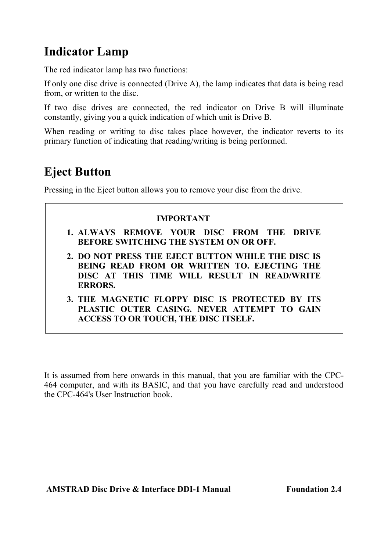# **Indicator Lamp**

The red indicator lamp has two functions:

If only one disc drive is connected (Drive A), the lamp indicates that data is being read from, or written to the disc.

If two disc drives are connected, the red indicator on Drive B will illuminate constantly, giving you a quick indication of which unit is Drive B.

When reading or writing to disc takes place however, the indicator reverts to its primary function of indicating that reading/writing is being performed.

# **Eject Button**

Pressing in the Eject button allows you to remove your disc from the drive.

#### **IMPORTANT**

- **1. ALWAYS REMOVE YOUR DISC FROM THE DRIVE BEFORE SWITCHING THE SYSTEM ON OR OFF.**
- **2. DO NOT PRESS THE EJECT BUTTON WHILE THE DISC IS BEING READ FROM OR WRITTEN TO. EJECTING THE DISC AT THIS TIME WILL RESULT IN READ/WRITE ERRORS.**
- **3. THE MAGNETIC FLOPPY DISC IS PROTECTED BY ITS PLASTIC OUTER CASING. NEVER ATTEMPT TO GAIN ACCESS TO OR TOUCH, THE DISC ITSELF.**

It is assumed from here onwards in this manual, that you are familiar with the CPC-464 computer, and with its BASIC, and that you have carefully read and understood the CPC-464's User Instruction book.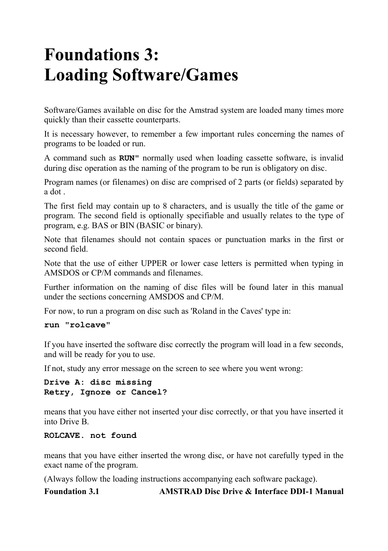# **Foundations 3: Loading Software/Games**

Software/Games available on disc for the Amstrad system are loaded many times more quickly than their cassette counterparts.

It is necessary however, to remember a few important rules concerning the names of programs to be loaded or run.

A command such as **RUN"** normally used when loading cassette software, is invalid during disc operation as the naming of the program to be run is obligatory on disc.

Program names (or filenames) on disc are comprised of 2 parts (or fields) separated by a dot .

The first field may contain up to 8 characters, and is usually the title of the game or program. The second field is optionally specifiable and usually relates to the type of program, e.g. BAS or BIN (BASIC or binary).

Note that filenames should not contain spaces or punctuation marks in the first or second field.

Note that the use of either UPPER or lower case letters is permitted when typing in AMSDOS or CP/M commands and filenames.

Further information on the naming of disc files will be found later in this manual under the sections concerning AMSDOS and CP/M.

For now, to run a program on disc such as 'Roland in the Caves' type in:

#### **run "rolcave"**

If you have inserted the software disc correctly the program will load in a few seconds, and will be ready for you to use.

If not, study any error message on the screen to see where you went wrong:

#### **Drive A: disc missing Retry, Ignore or Cancel?**

means that you have either not inserted your disc correctly, or that you have inserted it into Drive B.

#### **ROLCAVE. not found**

means that you have either inserted the wrong disc, or have not carefully typed in the exact name of the program.

(Always follow the loading instructions accompanying each software package).

**Foundation 3.1 AMSTRAD Disc Drive & Interface DDI-1 Manual**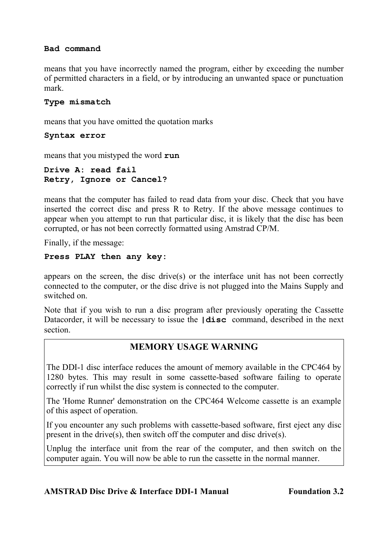#### **Bad command**

means that you have incorrectly named the program, either by exceeding the number of permitted characters in a field, or by introducing an unwanted space or punctuation mark.

#### **Type mismatch**

means that you have omitted the quotation marks

#### **Syntax error**

means that you mistyped the word **run**

#### **Drive A: read fail Retry, Ignore or Cancel?**

means that the computer has failed to read data from your disc. Check that you have inserted the correct disc and press R to Retry. If the above message continues to appear when you attempt to run that particular disc, it is likely that the disc has been corrupted, or has not been correctly formatted using Amstrad CP/M.

Finally, if the message:

#### **Press PLAY then any key:**

appears on the screen, the disc drive(s) or the interface unit has not been correctly connected to the computer, or the disc drive is not plugged into the Mains Supply and switched on.

Note that if you wish to run a disc program after previously operating the Cassette Datacorder, it will be necessary to issue the **|disc** command, described in the next section.

#### **MEMORY USAGE WARNING**

The DDI-1 disc interface reduces the amount of memory available in the CPC464 by 1280 bytes. This may result in some cassette-based software failing to operate correctly if run whilst the disc system is connected to the computer.

The 'Home Runner' demonstration on the CPC464 Welcome cassette is an example of this aspect of operation.

If you encounter any such problems with cassette-based software, first eject any disc present in the drive(s), then switch off the computer and disc drive(s).

Unplug the interface unit from the rear of the computer, and then switch on the computer again. You will now be able to run the cassette in the normal manner.

#### **AMSTRAD Disc Drive & Interface DDI-1 Manual Foundation 3.2**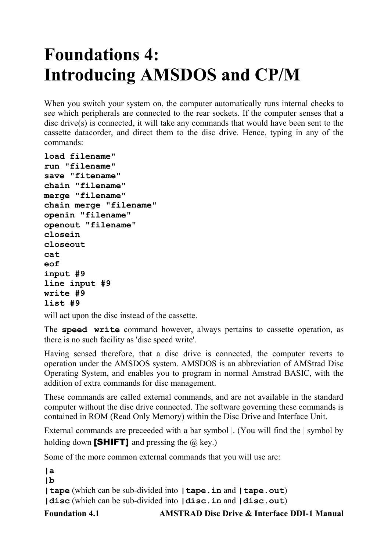# **Foundations 4: Introducing AMSDOS and CP/M**

When you switch your system on, the computer automatically runs internal checks to see which peripherals are connected to the rear sockets. If the computer senses that a  $disc$  disc drive(s) is connected, it will take any commands that would have been sent to the cassette datacorder, and direct them to the disc drive. Hence, typing in any of the commands:

```
load filename"
run "filename"
save "fitename"
chain "filename"
merge "filename"
chain merge "filename"
openin "filename"
openout "filename"
closein
closeout
cat
eof
input #9
line input #9
write #9 
list #9
```
will act upon the disc instead of the cassette.

The **speed write** command however, always pertains to cassette operation, as there is no such facility as 'disc speed write'.

Having sensed therefore, that a disc drive is connected, the computer reverts to operation under the AMSDOS system. AMSDOS is an abbreviation of AMStrad Disc Operating System, and enables you to program in normal Amstrad BASIC, with the addition of extra commands for disc management.

These commands are called external commands, and are not available in the standard computer without the disc drive connected. The software governing these commands is contained in ROM (Read Only Memory) within the Disc Drive and Interface Unit.

External commands are preceeded with a bar symbol  $\lfloor$ . (You will find the  $\lfloor$  symbol by holding down **[SHIFT]** and pressing the  $@$  key.)

Some of the more common external commands that you will use are:

```
|a
|b 
|tape (which can be sub-divided into |tape.in and |tape.out)
|disc (which can be sub-divided into |disc.in and |disc.out)
```
**Foundation 4.1 AMSTRAD Disc Drive & Interface DDI-1 Manual**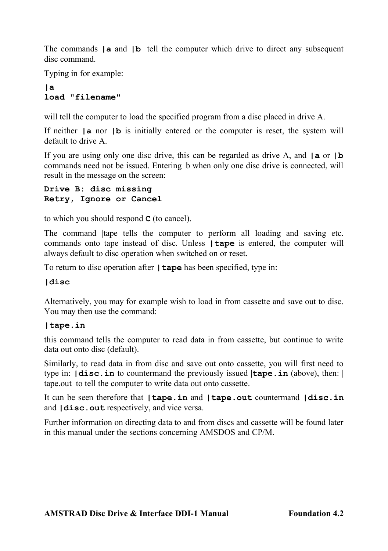The commands **|a** and **|b** tell the computer which drive to direct any subsequent disc command.

Typing in for example:

#### **|a load "filename"**

will tell the computer to load the specified program from a disc placed in drive A.

If neither **|a** nor **|b** is initially entered or the computer is reset, the system will default to drive A.

If you are using only one disc drive, this can be regarded as drive A, and **|a** or **|b** commands need not be issued. Entering |b when only one disc drive is connected, will result in the message on the screen:

#### **Drive B: disc missing Retry, Ignore or Cancel**

to which you should respond **C** (to cancel).

The command happer tells the computer to perform all loading and saving etc. commands onto tape instead of disc. Unless **|tape** is entered, the computer will always default to disc operation when switched on or reset.

To return to disc operation after **|tape** has been specified, type in:

### **|disc**

Alternatively, you may for example wish to load in from cassette and save out to disc. You may then use the command:

### **|tape.in**

this command tells the computer to read data in from cassette, but continue to write data out onto disc (default).

Similarly, to read data in from disc and save out onto cassette, you will first need to type in: **|disc.in** to countermand the previously issued |**tape.in** (above), then: | tape.out to tell the computer to write data out onto cassette.

It can be seen therefore that **|tape.in** and **|tape.out** countermand **|disc.in** and **|disc.out** respectively, and vice versa.

Further information on directing data to and from discs and cassette will be found later in this manual under the sections concerning AMSDOS and CP/M.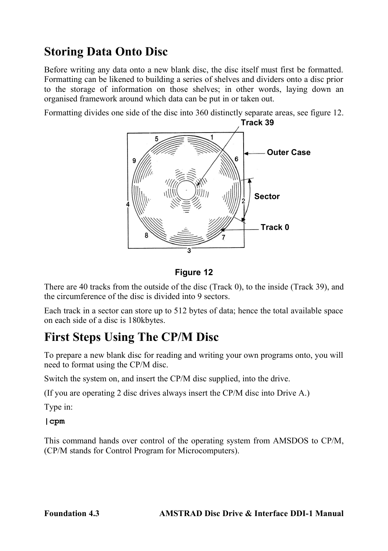### **Storing Data Onto Disc**

Before writing any data onto a new blank disc, the disc itself must first be formatted. Formatting can be likened to building a series of shelves and dividers onto a disc prior to the storage of information on those shelves; in other words, laying down an organised framework around which data can be put in or taken out.

Formatting divides one side of the disc into 360 distinctly separate areas, see figure 12.



#### **Figure 12**

There are 40 tracks from the outside of the disc (Track 0), to the inside (Track 39), and the circumference of the disc is divided into 9 sectors.

Each track in a sector can store up to 512 bytes of data; hence the total available space on each side of a disc is 180kbytes.

### **First Steps Using The CP/M Disc**

To prepare a new blank disc for reading and writing your own programs onto, you will need to format using the CP/M disc.

Switch the system on, and insert the CP/M disc supplied, into the drive.

(If you are operating 2 disc drives always insert the CP/M disc into Drive A.)

Type in:

**|cpm**

This command hands over control of the operating system from AMSDOS to CP/M, (CP/M stands for Control Program for Microcomputers).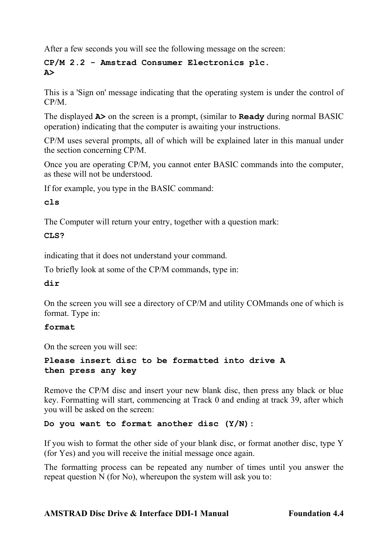After a few seconds you will see the following message on the screen:

#### **CP/M 2.2 - Amstrad Consumer Electronics plc. A>**

This is a 'Sign on' message indicating that the operating system is under the control of CP/M.

The displayed **A>** on the screen is a prompt, (similar to **Ready** during normal BASIC operation) indicating that the computer is awaiting your instructions.

CP/M uses several prompts, all of which will be explained later in this manual under the section concerning CP/M.

Once you are operating CP/M, you cannot enter BASIC commands into the computer, as these will not be understood.

If for example, you type in the BASIC command:

#### **cls**

The Computer will return your entry, together with a question mark:

#### CLS?

indicating that it does not understand your command.

To briefly look at some of the CP/M commands, type in:

#### **dir**

On the screen you will see a directory of CP/M and utility COMmands one of which is format. Type in:

#### **format**

On the screen you will see:

#### **Please insert disc to be formatted into drive A then press any key**

Remove the CP/M disc and insert your new blank disc, then press any black or blue key. Formatting will start, commencing at Track 0 and ending at track 39, after which you will be asked on the screen:

#### **Do you want to format another disc (Y/N):**

If you wish to format the other side of your blank disc, or format another disc, type Y (for Yes) and you will receive the initial message once again.

The formatting process can be repeated any number of times until you answer the repeat question N (for No), whereupon the system will ask you to: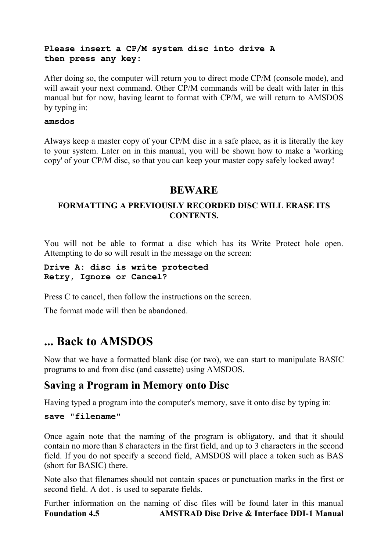#### **Please insert a CP/M system disc into drive A then press any key:**

After doing so, the computer will return you to direct mode CP/M (console mode), and will await your next command. Other CP/M commands will be dealt with later in this manual but for now, having learnt to format with CP/M, we will return to AMSDOS by typing in:

#### **amsdos**

Always keep a master copy of your CP/M disc in a safe place, as it is literally the key to your system. Later on in this manual, you will be shown how to make a 'working copy' of your CP/M disc, so that you can keep your master copy safely locked away!

#### **BEWARE**

#### **FORMATTING A PREVIOUSLY RECORDED DISC WILL ERASE ITS CONTENTS.**

You will not be able to format a disc which has its Write Protect hole open. Attempting to do so will result in the message on the screen:

#### **Drive A: disc is write protected Retry, Ignore or Cancel?**

Press C to cancel, then follow the instructions on the screen.

The format mode will then be abandoned.

### **... Back to AMSDOS**

Now that we have a formatted blank disc (or two), we can start to manipulate BASIC programs to and from disc (and cassette) using AMSDOS.

### **Saving a Program in Memory onto Disc**

Having typed a program into the computer's memory, save it onto disc by typing in:

#### **save "filename"**

Once again note that the naming of the program is obligatory, and that it should contain no more than 8 characters in the first field, and up to 3 characters in the second field. If you do not specify a second field, AMSDOS will place a token such as BAS (short for BASIC) there.

Note also that filenames should not contain spaces or punctuation marks in the first or second field. A dot . is used to separate fields.

Further information on the naming of disc files will be found later in this manual **Foundation 4.5 AMSTRAD Disc Drive & Interface DDI-1 Manual**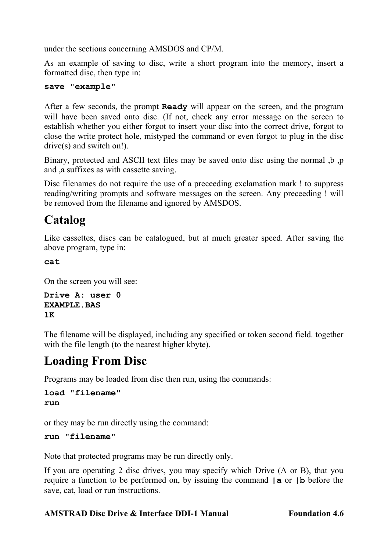under the sections concerning AMSDOS and CP/M.

As an example of saving to disc, write a short program into the memory, insert a formatted disc, then type in:

#### **save "example"**

After a few seconds, the prompt **Ready** will appear on the screen, and the program will have been saved onto disc. (If not, check any error message on the screen to establish whether you either forgot to insert your disc into the correct drive, forgot to close the write protect hole, mistyped the command or even forgot to plug in the disc drive(s) and switch on!).

Binary, protected and ASCII text files may be saved onto disc using the normal ,b ,p and ,a suffixes as with cassette saving.

Disc filenames do not require the use of a preceeding exclamation mark ! to suppress reading/writing prompts and software messages on the screen. Any preceeding ! will be removed from the filename and ignored by AMSDOS.

## **Catalog**

Like cassettes, discs can be catalogued, but at much greater speed. After saving the above program, type in:

**cat**

On the screen you will see:

```
Drive A: user 0 
EXAMPLE.BAS 
1K
```
The filename will be displayed, including any specified or token second field. together with the file length (to the nearest higher kbyte).

## **Loading From Disc**

Programs may be loaded from disc then run, using the commands:

```
load "filename"
run
```
or they may be run directly using the command:

#### **run "filename"**

Note that protected programs may be run directly only.

If you are operating 2 disc drives, you may specify which Drive (A or B), that you require a function to be performed on, by issuing the command **|a** or **|b** before the save, cat, load or run instructions.

#### **AMSTRAD Disc Drive & Interface DDI-1 Manual Foundation 4.6**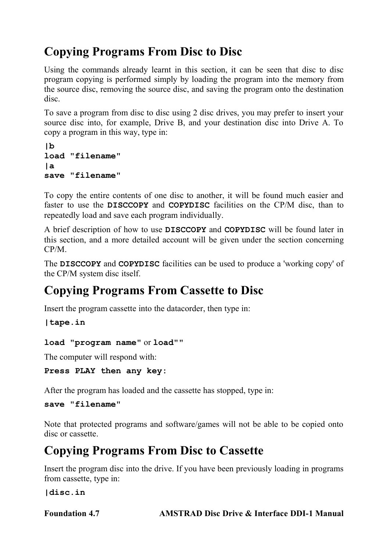## **Copying Programs From Disc to Disc**

Using the commands already learnt in this section, it can be seen that disc to disc program copying is performed simply by loading the program into the memory from the source disc, removing the source disc, and saving the program onto the destination disc.

To save a program from disc to disc using 2 disc drives, you may prefer to insert your source disc into, for example, Drive B, and your destination disc into Drive A. To copy a program in this way, type in:

```
|b
load "filename"
|a
save "filename"
```
To copy the entire contents of one disc to another, it will be found much easier and faster to use the **DISCCOPY** and **COPYDISC** facilities on the CP/M disc, than to repeatedly load and save each program individually.

A brief description of how to use **DISCCOPY** and **COPYDISC** will be found later in this section, and a more detailed account will be given under the section concerning CP/M.

The **DISCCOPY** and **COPYDISC** facilities can be used to produce a 'working copy' of the CP/M system disc itself.

# **Copying Programs From Cassette to Disc**

Insert the program cassette into the datacorder, then type in:

**|tape.in**

#### **load "program name"** or **load""**

The computer will respond with:

**Press PLAY then any key:**

After the program has loaded and the cassette has stopped, type in:

**save "filename"**

Note that protected programs and software/games will not be able to be copied onto disc or cassette.

### **Copying Programs From Disc to Cassette**

Insert the program disc into the drive. If you have been previously loading in programs from cassette, type in:

**|disc.in**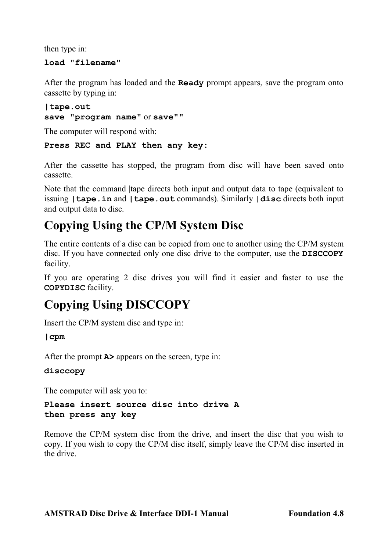then type in:

### **load "filename"**

After the program has loaded and the **Ready** prompt appears, save the program onto cassette by typing in:

#### **|tape.out save "program name"** or **save""**

The computer will respond with:

### **Press REC and PLAY then any key:**

After the cassette has stopped, the program from disc will have been saved onto cassette.

Note that the command |tape directs both input and output data to tape (equivalent to issuing **|tape.in** and **|tape.out** commands). Similarly **|disc** directs both input and output data to disc.

# **Copying Using the CP/M System Disc**

The entire contents of a disc can be copied from one to another using the CP/M system disc. If you have connected only one disc drive to the computer, use the **DISCCOPY** facility.

If you are operating 2 disc drives you will find it easier and faster to use the **COPYDISC** facility.

# **Copying Using DISCCOPY**

Insert the CP/M system disc and type in:

**|cpm**

After the prompt **A>** appears on the screen, type in:

### **disccopy**

The computer will ask you to:

#### **Please insert source disc into drive A then press any key**

Remove the CP/M system disc from the drive, and insert the disc that you wish to copy. If you wish to copy the CP/M disc itself, simply leave the CP/M disc inserted in the drive.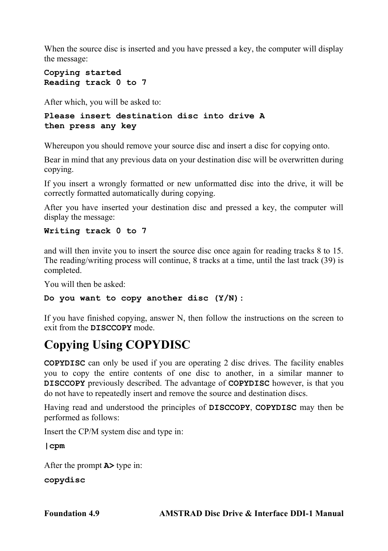When the source disc is inserted and you have pressed a key, the computer will display the message:

**Copying started Reading track 0 to 7**

After which, you will be asked to:

#### **Please insert destination disc into drive A then press any key**

Whereupon you should remove your source disc and insert a disc for copying onto.

Bear in mind that any previous data on your destination disc will be overwritten during copying.

If you insert a wrongly formatted or new unformatted disc into the drive, it will be correctly formatted automatically during copying.

After you have inserted your destination disc and pressed a key, the computer will display the message:

#### **Writing track 0 to 7**

and will then invite you to insert the source disc once again for reading tracks 8 to 15. The reading/writing process will continue, 8 tracks at a time, until the last track (39) is completed.

You will then be asked:

#### **Do you want to copy another disc (Y/N):**

If you have finished copying, answer N, then follow the instructions on the screen to exit from the **DISCCOPY** mode.

# **Copying Using COPYDISC**

**COPYDISC** can only be used if you are operating 2 disc drives. The facility enables you to copy the entire contents of one disc to another, in a similar manner to **DISCCOPY** previously described. The advantage of **COPYDISC** however, is that you do not have to repeatedly insert and remove the source and destination discs.

Having read and understood the principles of **DISCCOPY**, **COPYDISC** may then be performed as follows:

Insert the CP/M system disc and type in:

**|cpm**

After the prompt **A>** type in:

**copydisc**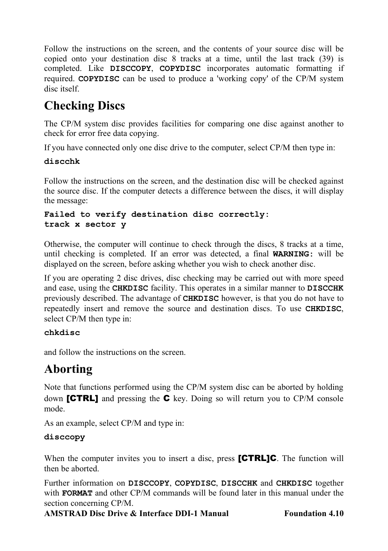Follow the instructions on the screen, and the contents of your source disc will be copied onto your destination disc 8 tracks at a time, until the last track (39) is completed. Like **DISCCOPY**, **COPYDISC** incorporates automatic formatting if required. **COPYDISC** can be used to produce a 'working copy' of the CP/M system disc itself.

# **Checking Discs**

The CP/M system disc provides facilities for comparing one disc against another to check for error free data copying.

If you have connected only one disc drive to the computer, select CP/M then type in:

#### **discchk**

Follow the instructions on the screen, and the destination disc will be checked against the source disc. If the computer detects a difference between the discs, it will display the message:

#### **Failed to verify destination disc correctly: track x sector y**

Otherwise, the computer will continue to check through the discs, 8 tracks at a time, until checking is completed. If an error was detected, a final **WARNING:** will be displayed on the screen, before asking whether you wish to check another disc.

If you are operating 2 disc drives, disc checking may be carried out with more speed and ease, using the **CHKDISC** facility. This operates in a similar manner to **DISCCHK** previously described. The advantage of **CHKDISC** however, is that you do not have to repeatedly insert and remove the source and destination discs. To use **CHKDISC**, select CP/M then type in:

#### **chkdisc**

and follow the instructions on the screen.

# **Aborting**

Note that functions performed using the CP/M system disc can be aborted by holding down [CTRL] and pressing the C key. Doing so will return you to CP/M console mode.

As an example, select CP/M and type in:

#### **disccopy**

When the computer invites you to insert a disc, press **[CTRL]C**. The function will then be aborted.

Further information on **DISCCOPY**, **COPYDISC**, **DISCCHK** and **CHKDISC** together with **FORMAT** and other CP/M commands will be found later in this manual under the section concerning CP/M.

**AMSTRAD Disc Drive & Interface DDI-1 Manual Foundation 4.10**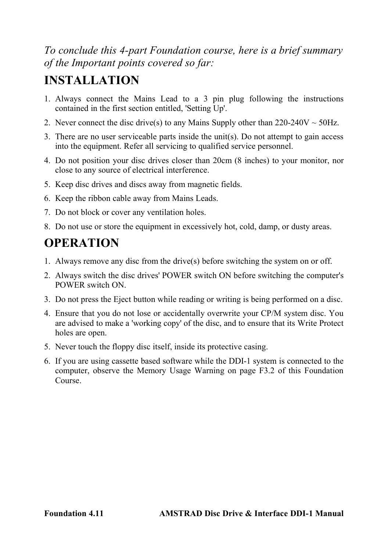### *To conclude this 4-part Foundation course, here is a brief summary of the Important points covered so far:*

# **INSTALLATION**

- 1. Always connect the Mains Lead to a 3 pin plug following the instructions contained in the first section entitled, 'Setting Up'.
- 2. Never connect the disc drive(s) to any Mains Supply other than  $220-240V \sim 50Hz$ .
- 3. There are no user serviceable parts inside the unit(s). Do not attempt to gain access into the equipment. Refer all servicing to qualified service personnel.
- 4. Do not position your disc drives closer than 20cm (8 inches) to your monitor, nor close to any source of electrical interference.
- 5. Keep disc drives and discs away from magnetic fields.
- 6. Keep the ribbon cable away from Mains Leads.
- 7. Do not block or cover any ventilation holes.
- 8. Do not use or store the equipment in excessively hot, cold, damp, or dusty areas.

## **OPERATION**

- 1. Always remove any disc from the drive(s) before switching the system on or off.
- 2. Always switch the disc drives' POWER switch ON before switching the computer's POWER switch ON.
- 3. Do not press the Eject button while reading or writing is being performed on a disc.
- 4. Ensure that you do not lose or accidentally overwrite your CP/M system disc. You are advised to make a 'working copy' of the disc, and to ensure that its Write Protect holes are open.
- 5. Never touch the floppy disc itself, inside its protective casing.
- 6. If you are using cassette based software while the DDI-1 system is connected to the computer, observe the Memory Usage Warning on page F3.2 of this Foundation Course.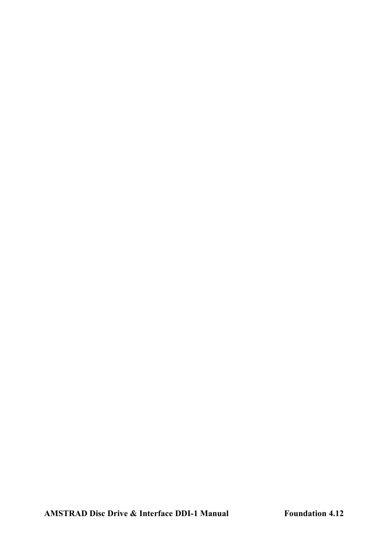**AMSTRAD Disc Drive & Interface DDI-1 Manual Foundation 4.12**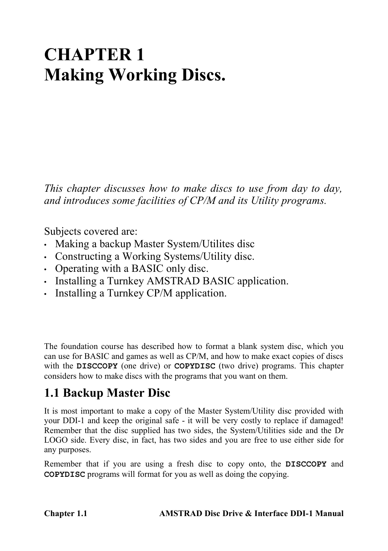# **CHAPTER 1 Making Working Discs.**

*This chapter discusses how to make discs to use from day to day, and introduces some facilities of CP/M and its Utility programs.*

Subjects covered are:

- Making a backup Master System/Utilites disc
- Constructing a Working Systems/Utility disc.
- Operating with a BASIC only disc.
- Installing a Turnkey AMSTRAD BASIC application.
- Installing a Turnkey CP/M application.

The foundation course has described how to format a blank system disc, which you can use for BASIC and games as well as CP/M, and how to make exact copies of discs with the **DISCCOPY** (one drive) or **COPYDISC** (two drive) programs. This chapter considers how to make discs with the programs that you want on them.

## **1.1 Backup Master Disc**

It is most important to make a copy of the Master System/Utility disc provided with your DDI-1 and keep the original safe - it will be very costly to replace if damaged! Remember that the disc supplied has two sides, the System/Utilities side and the Dr LOGO side. Every disc, in fact, has two sides and you are free to use either side for any purposes.

Remember that if you are using a fresh disc to copy onto, the **DISCCOPY** and **COPYDISC** programs will format for you as well as doing the copying.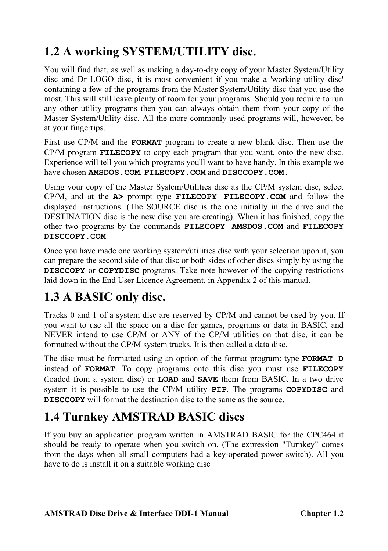# **1.2 A working SYSTEM/UTILITY disc.**

You will find that, as well as making a day-to-day copy of your Master System/Utility disc and Dr LOGO disc, it is most convenient if you make a 'working utility disc' containing a few of the programs from the Master System/Utility disc that you use the most. This will still leave plenty of room for your programs. Should you require to run any other utility programs then you can always obtain them from your copy of the Master System/Utility disc. All the more commonly used programs will, however, be at your fingertips.

First use CP/M and the **FORMAT** program to create a new blank disc. Then use the CP/M program **FILECOPY** to copy each program that you want, onto the new disc. Experience will tell you which programs you'll want to have handy. In this example we have chosen **AMSDOS.COM**, **FILECOPY.COM** and **DISCCOPY.COM.**

Using your copy of the Master System/Utilities disc as the CP/M system disc, select CP/M, and at the **A>** prompt type **FILECOPY FILECOPY.COM** and follow the displayed instructions. (The SOURCE disc is the one initially in the drive and the DESTINATION disc is the new disc you are creating). When it has finished, copy the other two programs by the commands **FILECOPY AMSDOS.COM** and **FILECOPY DISCCOPY.COM**

Once you have made one working system/utilities disc with your selection upon it, you can prepare the second side of that disc or both sides of other discs simply by using the **DISCCOPY** or **COPYDISC** programs. Take note however of the copying restrictions laid down in the End User Licence Agreement, in Appendix 2 of this manual.

# **1.3 A BASIC only disc.**

Tracks 0 and 1 of a system disc are reserved by CP/M and cannot be used by you. If you want to use all the space on a disc for games, programs or data in BASIC, and NEVER intend to use CP/M or ANY of the CP/M utilities on that disc, it can be formatted without the CP/M system tracks. It is then called a data disc.

The disc must be formatted using an option of the format program: type **FORMAT D** instead of **FORMAT**. To copy programs onto this disc you must use **FILECOPY** (loaded from a system disc) or **LOAD** and **SAVE** them from BASIC. In a two drive system it is possible to use the CP/M utility **PIP**. The programs **COPYDISC** and **DISCCOPY** will format the destination disc to the same as the source.

# **1.4 Turnkey AMSTRAD BASIC discs**

If you buy an application program written in AMSTRAD BASIC for the CPC464 it should be ready to operate when you switch on. (The expression "Turnkey" comes from the days when all small computers had a key-operated power switch). All you have to do is install it on a suitable working disc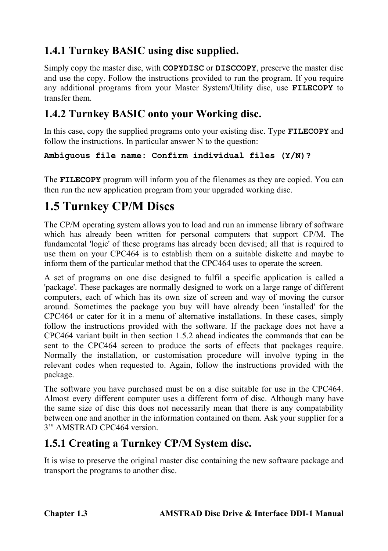### **1.4.1 Turnkey BASIC using disc supplied.**

Simply copy the master disc, with **COPYDISC** or **DISCCOPY**, preserve the master disc and use the copy. Follow the instructions provided to run the program. If you require any additional programs from your Master System/Utility disc, use **FILECOPY** to transfer them.

### **1.4.2 Turnkey BASIC onto your Working disc.**

In this case, copy the supplied programs onto your existing disc. Type **FILECOPY** and follow the instructions. In particular answer N to the question:

**Ambiguous file name: Confirm individual files (Y/N)?**

The **FILECOPY** program will inform you of the filenames as they are copied. You can then run the new application program from your upgraded working disc.

### **1.5 Turnkey CP/M Discs**

The CP/M operating system allows you to load and run an immense library of software which has already been written for personal computers that support CP/M. The fundamental 'logic' of these programs has already been devised; all that is required to use them on your CPC464 is to establish them on a suitable diskette and maybe to inform them of the particular method that the CPC464 uses to operate the screen.

A set of programs on one disc designed to fulfil a specific application is called a 'package'. These packages are normally designed to work on a large range of different computers, each of which has its own size of screen and way of moving the cursor around. Sometimes the package you buy will have already been 'installed' for the CPC464 or cater for it in a menu of alternative installations. In these cases, simply follow the instructions provided with the software. If the package does not have a CPC464 variant built in then section 1.5.2 ahead indicates the commands that can be sent to the CPC464 screen to produce the sorts of effects that packages require. Normally the installation, or customisation procedure will involve typing in the relevant codes when requested to. Again, follow the instructions provided with the package.

The software you have purchased must be on a disc suitable for use in the CPC464. Almost every different computer uses a different form of disc. Although many have the same size of disc this does not necessarily mean that there is any compatability between one and another in the information contained on them. Ask your supplier for a 3"' AMSTRAD CPC464 version.

### **1.5.1 Creating a Turnkey CP/M System disc.**

It is wise to preserve the original master disc containing the new software package and transport the programs to another disc.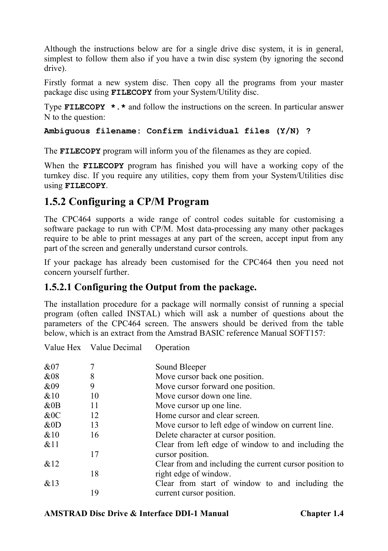Although the instructions below are for a single drive disc system, it is in general, simplest to follow them also if you have a twin disc system (by ignoring the second drive).

Firstly format a new system disc. Then copy all the programs from your master package disc using **FILECOPY** from your System/Utility disc.

Type **FILECOPY \*.\*** and follow the instructions on the screen. In particular answer N to the question:

#### **Ambiguous filename: Confirm individual files (Y/N) ?**

The **FILECOPY** program will inform you of the filenames as they are copied.

When the **FILECOPY** program has finished you will have a working copy of the turnkey disc. If you require any utilities, copy them from your System/Utilities disc using **FILECOPY**.

### **1.5.2 Configuring a CP/M Program**

The CPC464 supports a wide range of control codes suitable for customising a software package to run with CP/M. Most data-processing any many other packages require to be able to print messages at any part of the screen, accept input from any part of the screen and generally understand cursor controls.

If your package has already been customised for the CPC464 then you need not concern yourself further.

### **1.5.2.1 Configuring the Output from the package.**

The installation procedure for a package will normally consist of running a special program (often called INSTAL) which will ask a number of questions about the parameters of the CPC464 screen. The answers should be derived from the table below, which is an extract from the Amstrad BASIC reference Manual SOFT157:

Value Hex Value Decimal Operation

| &07 |    | Sound Bleeper                                           |
|-----|----|---------------------------------------------------------|
| &08 | 8  | Move cursor back one position.                          |
| &09 | 9  | Move cursor forward one position.                       |
| &10 | 10 | Move cursor down one line.                              |
| &0B | 11 | Move cursor up one line.                                |
| &0C | 12 | Home cursor and clear screen.                           |
| &0D | 13 | Move cursor to left edge of window on current line.     |
| &10 | 16 | Delete character at cursor position.                    |
| &11 |    | Clear from left edge of window to and including the     |
|     | 17 | cursor position.                                        |
| &12 |    | Clear from and including the current cursor position to |
|     | 18 | right edge of window.                                   |
| &13 |    | Clear from start of window to and including the         |
|     | 19 | current cursor position.                                |

#### **AMSTRAD Disc Drive & Interface DDI-1 Manual Chapter 1.4**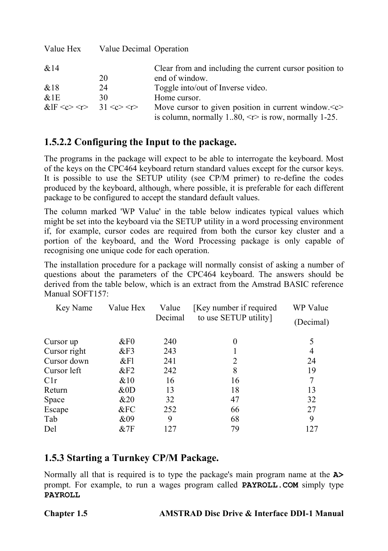|                                                                                    | Value Hex Value Decimal Operation |                                                                                                                                  |
|------------------------------------------------------------------------------------|-----------------------------------|----------------------------------------------------------------------------------------------------------------------------------|
| &14                                                                                |                                   | Clear from and including the current cursor position to                                                                          |
|                                                                                    | 20                                | end of window.                                                                                                                   |
| &18                                                                                | 24                                | Toggle into/out of Inverse video.                                                                                                |
| $&$ 1 E                                                                            | 30                                | Home cursor.                                                                                                                     |
| &IF $\langle c \rangle \langle r \rangle$ 31 $\langle c \rangle \langle r \rangle$ |                                   | Move cursor to given position in current window. $\leq c$<br>is column, normally 180, $\langle r \rangle$ is row, normally 1-25. |

### **1.5.2.2 Configuring the Input to the package.**

The programs in the package will expect to be able to interrogate the keyboard. Most of the keys on the CPC464 keyboard return standard values except for the cursor keys. It is possible to use the SETUP utility (see CP/M primer) to re-define the codes produced by the keyboard, although, where possible, it is preferable for each different package to be configured to accept the standard default values.

The column marked 'WP Value' in the table below indicates typical values which might be set into the keyboard via the SETUP utility in a word processing environment if, for example, cursor codes are required from both the cursor key cluster and a portion of the keyboard, and the Word Processing package is only capable of recognising one unique code for each operation.

The installation procedure for a package will normally consist of asking a number of questions about the parameters of the CPC464 keyboard. The answers should be derived from the table below, which is an extract from the Amstrad BASIC reference Manual SOFT157:

| Key Name     | Value Hex | Value<br>Decimal | [Key number if required]<br>to use SETUP utility] | WP Value<br>(Decimal) |
|--------------|-----------|------------------|---------------------------------------------------|-----------------------|
| Cursor up    | &F0       | 240              | $\theta$                                          | 5                     |
| Cursor right | &F3       | 243              |                                                   | 4                     |
| Cursor down  | $&$ Fl    | 241              | 2                                                 | 24                    |
| Cursor left  | &E2       | 242              | 8                                                 | 19                    |
| C1r          | &10       | 16               | 16                                                | 7                     |
| Return       | $&0$ D    | 13               | 18                                                | 13                    |
| Space        | &20       | 32               | 47                                                | 32                    |
| Escape       | &FC       | 252              | 66                                                | 27                    |
| Tab          | &09       | 9                | 68                                                | 9                     |
| Del          | &7F       | 127              | 79                                                | 127                   |

### **1.5.3 Starting a Turnkey CP/M Package.**

Normally all that is required is to type the package's main program name at the **A>** prompt. For example, to run a wages program called **PAYROLL.COM** simply type **PAYROLL** 

#### **Chapter 1.5 AMSTRAD Disc Drive & Interface DDI-1 Manual**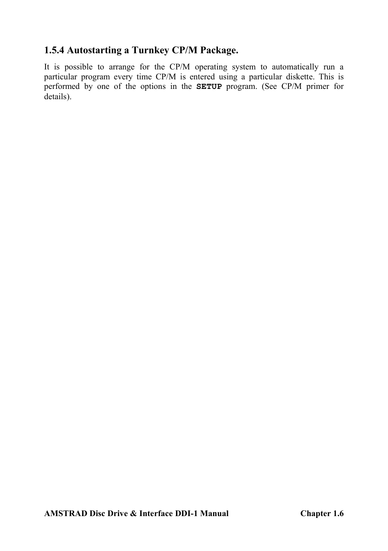### **1.5.4 Autostarting a Turnkey CP/M Package.**

It is possible to arrange for the CP/M operating system to automatically run a particular program every time CP/M is entered using a particular diskette. This is performed by one of the options in the **SETUP** program. (See CP/M primer for details).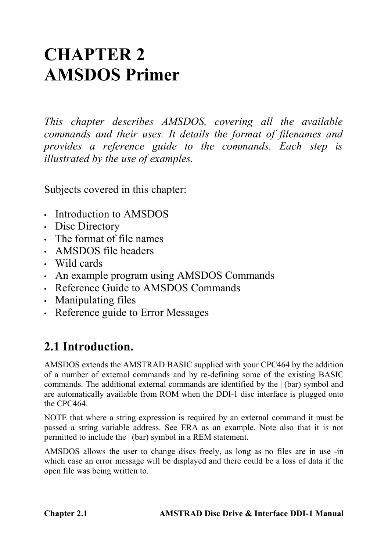# **CHAPTER 2 AMSDOS Primer**

*This chapter describes AMSDOS, covering all the available commands and their uses. It details the format of filenames and provides a reference guide to the commands. Each step is illustrated by the use of examples.*

Subjects covered in this chapter:

- Introduction to AMSDOS
- Disc Directory
- The format of file names
- AMSDOS file headers
- Wild cards
- An example program using AMSDOS Commands
- Reference Guide to AMSDOS Commands
- Manipulating files
- Reference guide to Error Messages

## **2.1 Introduction.**

AMSDOS extends the AMSTRAD BASIC supplied with your CPC464 by the addition of a number of external commands and by re-defining some of the existing BASIC commands. The additional external commands are identified by the | (bar) symbol and are automatically available from ROM when the DDI-1 disc interface is plugged onto the CPC464.

NOTE that where a string expression is required by an external command it must be passed a string variable address. See ERA as an example. Note also that it is not permitted to include the | (bar) symbol in a REM statement.

AMSDOS allows the user to change discs freely, as long as no files are in use -in which case an error message will be displayed and there could be a loss of data if the open file was being written to.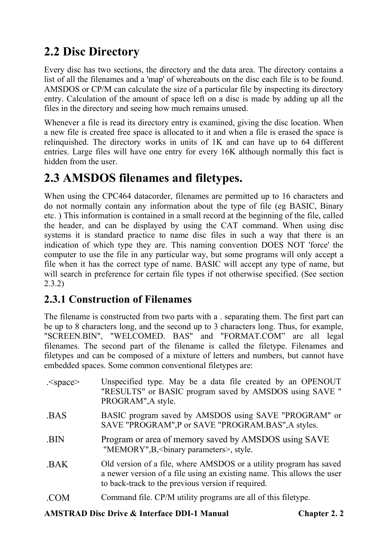# **2.2 Disc Directory**

Every disc has two sections, the directory and the data area. The directory contains a list of all the filenames and a 'map' of whereabouts on the disc each file is to be found. AMSDOS or CP/M can calculate the size of a particular file by inspecting its directory entry. Calculation of the amount of space left on a disc is made by adding up all the files in the directory and seeing how much remains unused.

Whenever a file is read its directory entry is examined, giving the disc location. When a new file is created free space is allocated to it and when a file is erased the space is relinquished. The directory works in units of 1K and can have up to 64 different entries. Large files will have one entry for every 16K although normally this fact is hidden from the user.

### **2.3 AMSDOS filenames and filetypes.**

When using the CPC464 datacorder, filenames are permitted up to 16 characters and do not normally contain any information about the type of file (eg BASIC, Binary etc. ) This information is contained in a small record at the beginning of the file, called the header, and can be displayed by using the CAT command. When using disc systems it is standard practice to name disc files in such a way that there is an indication of which type they are. This naming convention DOES NOT 'force' the computer to use the file in any particular way, but some programs will only accept a file when it has the correct type of name. BASIC will accept any type of name, but will search in preference for certain file types if not otherwise specified. (See section 2.3.2)

### **2.3.1 Construction of Filenames**

The filename is constructed from two parts with a . separating them. The first part can be up to 8 characters long, and the second up to 3 characters long. Thus, for example, "SCREEN.BIN", "WELCOMED. BAS" and "FORMAT.COM" are all legal filenames. The second part of the filename is called the filetype. Filenames and filetypes and can be composed of a mixture of letters and numbers, but cannot have embedded spaces. Some common conventional filetypes are:

| $\leq$ space> | Unspecified type. May be a data file created by an OPENOUT<br>"RESULTS" or BASIC program saved by AMSDOS using SAVE "<br>PROGRAM", A style.                                                        |
|---------------|----------------------------------------------------------------------------------------------------------------------------------------------------------------------------------------------------|
| .BAS          | BASIC program saved by AMSDOS using SAVE "PROGRAM" or<br>SAVE "PROGRAM",P or SAVE "PROGRAM.BAS",A styles.                                                                                          |
| .BIN          | Program or area of memory saved by AMSDOS using SAVE<br>"MEMORY", B, < binary parameters>, style.                                                                                                  |
| .BAK          | Old version of a file, where AMSDOS or a utility program has saved<br>a newer version of a file using an existing name. This allows the user<br>to back-track to the previous version if required. |
| <b>COM</b>    | Command file. CP/M utility programs are all of this filetype.                                                                                                                                      |

#### **AMSTRAD Disc Drive & Interface DDI-1 Manual Chapter 2. 2**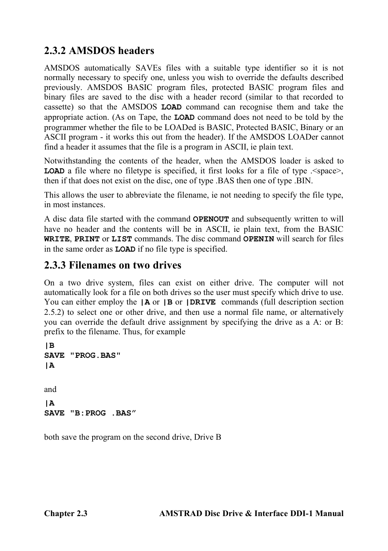## **2.3.2 AMSDOS headers**

AMSDOS automatically SAVEs files with a suitable type identifier so it is not normally necessary to specify one, unless you wish to override the defaults described previously. AMSDOS BASIC program files, protected BASIC program files and binary files are saved to the disc with a header record (similar to that recorded to cassette) so that the AMSDOS **LOAD** command can recognise them and take the appropriate action. (As on Tape, the **LOAD** command does not need to be told by the programmer whether the file to be LOADed is BASIC, Protected BASIC, Binary or an ASCII program - it works this out from the header). If the AMSDOS LOADer cannot find a header it assumes that the file is a program in ASCII, ie plain text.

Notwithstanding the contents of the header, when the AMSDOS loader is asked to **LOAD** a file where no filetype is specified, it first looks for a file of type  $\leq$  space>, then if that does not exist on the disc, one of type .BAS then one of type .BIN.

This allows the user to abbreviate the filename, ie not needing to specify the file type, in most instances.

A disc data file started with the command **OPENOUT** and subsequently written to will have no header and the contents will be in ASCII, ie plain text, from the BASIC **WRITE**, **PRINT** or **LIST** commands. The disc command **OPENIN** will search for files in the same order as **LOAD** if no file type is specified.

### **2.3.3 Filenames on two drives**

On a two drive system, files can exist on either drive. The computer will not automatically look for a file on both drives so the user must specify which drive to use. You can either employ the **|A** or **|B** or **|DRIVE** commands (full description section 2.5.2) to select one or other drive, and then use a normal file name, or alternatively you can override the default drive assignment by specifying the drive as a A: or B: prefix to the filename. Thus, for example

**|B SAVE "PROG.BAS" |A** 

and

**|A SAVE "B:PROG .BAS"**

both save the program on the second drive, Drive B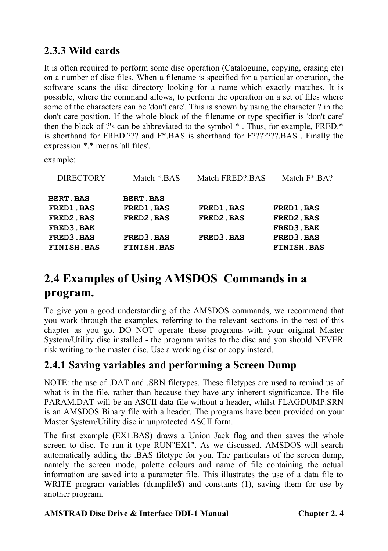## **2.3.3 Wild cards**

It is often required to perform some disc operation (Cataloguing, copying, erasing etc) on a number of disc files. When a filename is specified for a particular operation, the software scans the disc directory looking for a name which exactly matches. It is possible, where the command allows, to perform the operation on a set of files where some of the characters can be 'don't care'. This is shown by using the character ? in the don't care position. If the whole block of the filename or type specifier is 'don't care' then the block of ?'s can be abbreviated to the symbol \* . Thus, for example, FRED.\* is shorthand for FRED.??? and F\*.BAS is shorthand for F???????.BAS . Finally the expression \*.\* means 'all files'.

example:

| <b>DIRECTORY</b>                                                                             | Match *.BAS                                                                     | Match FRED? BAS                       | Match $F^*$ BA?                                                           |
|----------------------------------------------------------------------------------------------|---------------------------------------------------------------------------------|---------------------------------------|---------------------------------------------------------------------------|
| <b>BERT.BAS</b><br>FRED1. BAS<br>FRED2. BAS<br>FRED3. BAK<br>FRED3. BAS<br><b>FINISH.BAS</b> | <b>BERT.BAS</b><br>FRED1. BAS<br>FRED2. BAS<br>FRED3. BAS<br><b>FINISH. BAS</b> | FRED1. BAS<br>FRED2.BAS<br>FRED3. BAS | FRED1. BAS<br>FRED2. BAS<br>FRED3. BAK<br>FRED3. BAS<br><b>FINISH.BAS</b> |

## **2.4 Examples of Using AMSDOS Commands in a program.**

To give you a good understanding of the AMSDOS commands, we recommend that you work through the examples, referring to the relevant sections in the rest of this chapter as you go. DO NOT operate these programs with your original Master System/Utility disc installed - the program writes to the disc and you should NEVER risk writing to the master disc. Use a working disc or copy instead.

## **2.4.1 Saving variables and performing a Screen Dump**

NOTE: the use of .DAT and .SRN filetypes. These filetypes are used to remind us of what is in the file, rather than because they have any inherent significance. The file PARAM.DAT will be an ASCII data file without a header, whilst FLAGDUMP.SRN is an AMSDOS Binary file with a header. The programs have been provided on your Master System/Utility disc in unprotected ASCII form.

The first example (EX1.BAS) draws a Union Jack flag and then saves the whole screen to disc. To run it type RUN"EX1". As we discussed, AMSDOS will search automatically adding the .BAS filetype for you. The particulars of the screen dump, namely the screen mode, palette colours and name of file containing the actual information are saved into a parameter file. This illustrates the use of a data file to WRITE program variables (dumpfiles) and constants (1), saving them for use by another program.

#### **AMSTRAD Disc Drive & Interface DDI-1 Manual Chapter 2. 4**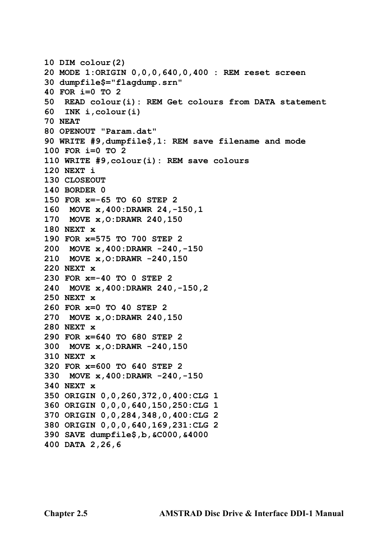```
10 DIM colour(2)
20 MODE 1:ORIGIN 0,0,0,640,0,400 : REM reset screen 
30 dumpfile$="flagdump.srn" 
40 FOR i=0 TO 2 
50 READ colour(i): REM Get colours from DATA statement 
60 INK i,colour(i) 
70 NEAT 
80 OPENOUT "Param.dat" 
90 WRITE #9,dumpfile$,1: REM save filename and mode 
100 FOR i=0 TO 2 
110 WRITE #9,colour(i): REM save colours 
120 NEXT i 
130 CLOSEOUT 
140 BORDER 0 
150 FOR x=-65 TO 60 STEP 2 
160 MOVE x,400:DRAWR 24,-150,1 
170 MOVE x,O:DRAWR 240,150 
180 NEXT x 
190 FOR x=575 TO 700 STEP 2 
200 MOVE x,400:DRAWR -240,-150 
210 MOVE x,O:DRAWR -240,150 
220 NEXT x 
230 FOR x=-40 TO 0 STEP 2 
240 MOVE x,400:DRAWR 240,-150,2 
250 NEXT x 
260 FOR x=0 TO 40 STEP 2 
270 MOVE x,O:DRAWR 240,150 
280 NEXT x 
290 FOR x=640 TO 680 STEP 2 
300 MOVE x,O:DRAWR -240,150 
310 NEXT x 
320 FOR x=600 TO 640 STEP 2 
330 MOVE x,400:DRAWR -240,-150 
340 NEXT x 
350 ORIGIN 0,0,260,372,0,400:CLG 1
360 ORIGIN 0,0,0,640,150,250:CLG 1
370 ORIGIN 0,0,284,348,0,400:CLG 2
380 ORIGIN 0,0,0,640,169,231:CLG 2 
390 SAVE dumpfile$,b,&C000,&4000 
400 DATA 2,26,6
```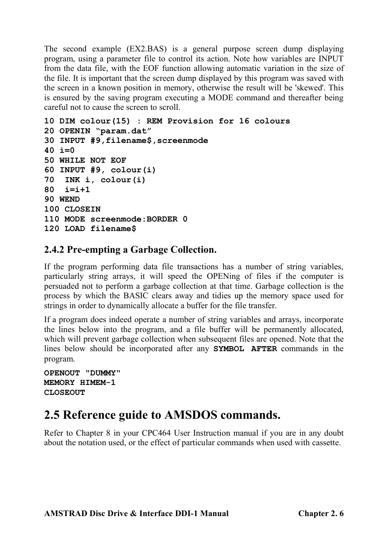The second example (EX2.BAS) is a general purpose screen dump displaying program, using a parameter file to control its action. Note how variables are INPUT from the data file, with the EOF function allowing automatic variation in the size of the file. It is important that the screen dump displayed by this program was saved with the screen in a known position in memory, otherwise the result will be 'skewed'. This is ensured by the saving program executing a MODE command and thereafter being careful not to cause the screen to scroll.

```
10 DIM colour(15) : REM Provision for 16 colours
20 OPENIN "param.dat"
30 INPUT #9,filename$,screenmode
40 i=0
50 WHILE NOT EOF
60 INPUT #9, colour(i)
70 INK i, colour(i)
80 i=i+1
90 WEND
100 CLOSEIN
110 MODE screenmode:BORDER 0 
120 LOAD filename$
```
### **2.4.2 Pre-empting a Garbage Collection.**

If the program performing data file transactions has a number of string variables, particularly string arrays, it will speed the OPENing of files if the computer is persuaded not to perform a garbage collection at that time. Garbage collection is the process by which the BASIC clears away and tidies up the memory space used for strings in order to dynamically allocate a buffer for the file transfer.

If a program does indeed operate a number of string variables and arrays, incorporate the lines below into the program, and a file buffer will be permanently allocated, which will prevent garbage collection when subsequent files are opened. Note that the lines below should be incorporated after any **SYMBOL AFTER** commands in the program.

```
OPENOUT "DUMMY"
MEMORY HIMEM-1 
CLOSEOUT
```
## **2.5 Reference guide to AMSDOS commands.**

Refer to Chapter 8 in your CPC464 User Instruction manual if you are in any doubt about the notation used, or the effect of particular commands when used with cassette.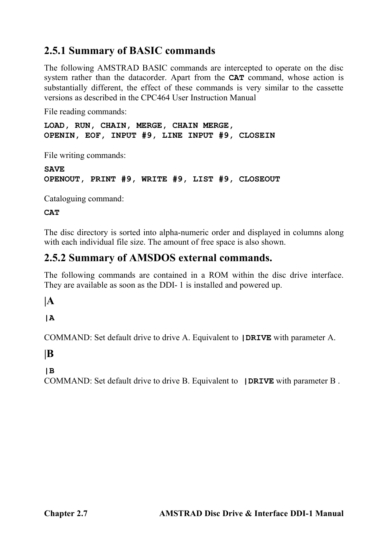## **2.5.1 Summary of BASIC commands**

The following AMSTRAD BASIC commands are intercepted to operate on the disc system rather than the datacorder. Apart from the **CAT** command, whose action is substantially different, the effect of these commands is very similar to the cassette versions as described in the CPC464 User Instruction Manual

File reading commands:

**LOAD, RUN, CHAIN, MERGE, CHAIN MERGE, OPENIN, EOF, INPUT #9, LINE INPUT #9, CLOSEIN**

File writing commands:

**SAVE OPENOUT, PRINT #9, WRITE #9, LIST #9, CLOSEOUT**

Cataloguing command:

**CAT**

The disc directory is sorted into alpha-numeric order and displayed in columns along with each individual file size. The amount of free space is also shown.

## **2.5.2 Summary of AMSDOS external commands.**

The following commands are contained in a ROM within the disc drive interface. They are available as soon as the DDI- 1 is installed and powered up.

**|A**

**|A**

COMMAND: Set default drive to drive A. Equivalent to **|DRIVE** with parameter A.

**|B**

**|B**

COMMAND: Set default drive to drive B. Equivalent to **|DRIVE** with parameter B .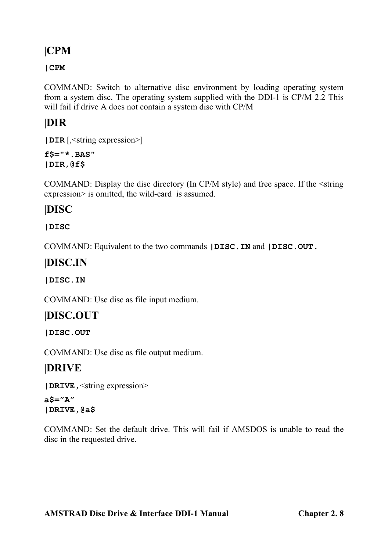## **|CPM**

### **|CPM**

COMMAND: Switch to alternative disc environment by loading operating system from a system disc. The operating system supplied with the DDI-1 is CP/M 2.2 This will fail if drive A does not contain a system disc with CP/M

### **|DIR**

**|DIR** [,<string expression>]

```
f$="*.BAS"
|DIR,@f$
```
COMMAND: Display the disc directory (In CP/M style) and free space. If the  $\le$ string expression> is omitted, the wild-card is assumed.

### **|DISC**

### **|DISC**

COMMAND: Equivalent to the two commands **|DISC.IN** and **|DISC.OUT.**

### **|DISC.IN**

**|DISC.IN**

COMMAND: Use disc as file input medium.

## **|DISC.OUT**

**|DISC.OUT**

COMMAND: Use disc as file output medium.

## **|DRIVE**

**|DRIVE**, <string expression>

### **a\$="A" |DRIVE,@a\$**

COMMAND: Set the default drive. This will fail if AMSDOS is unable to read the disc in the requested drive.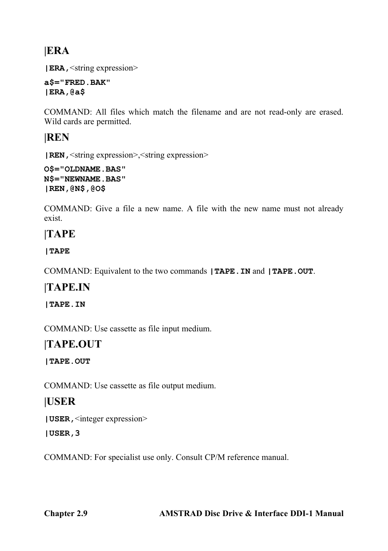**|ERA**

**|ERA**, <string expression>

**a\$="FRED.BAK" |ERA,@a\$**

COMMAND: All files which match the filename and are not read-only are erased. Wild cards are permitted.

**|REN**

**|REN**, <string expression>, <string expression>

**O\$="OLDNAME.BAS" N\$="NEWNAME.BAS" |REN,@N\$,@O\$**

COMMAND: Give a file a new name. A file with the new name must not already exist.

### **|TAPE**

### **|TAPE**

COMMAND: Equivalent to the two commands **|TAPE.IN** and **|TAPE.OUT**.

### **|TAPE.IN**

### **|TAPE.IN**

COMMAND: Use cassette as file input medium.

## **|TAPE.OUT**

**|TAPE.OUT**

COMMAND: Use cassette as file output medium.

### **|USER**

**|USER**, <integer expression>

**|USER,3** 

COMMAND: For specialist use only. Consult CP/M reference manual.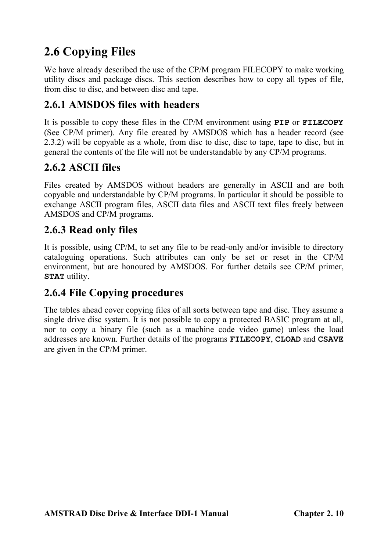## **2.6 Copying Files**

We have already described the use of the CP/M program FILECOPY to make working utility discs and package discs. This section describes how to copy all types of file, from disc to disc, and between disc and tape.

### **2.6.1 AMSDOS files with headers**

It is possible to copy these files in the CP/M environment using **PIP** or **FILECOPY** (See CP/M primer). Any file created by AMSDOS which has a header record (see 2.3.2) will be copyable as a whole, from disc to disc, disc to tape, tape to disc, but in general the contents of the file will not be understandable by any CP/M programs.

## **2.6.2 ASCII files**

Files created by AMSDOS without headers are generally in ASCII and are both copyable and understandable by CP/M programs. In particular it should be possible to exchange ASCII program files, ASCII data files and ASCII text files freely between AMSDOS and CP/M programs.

### **2.6.3 Read only files**

It is possible, using CP/M, to set any file to be read-only and/or invisible to directory cataloguing operations. Such attributes can only be set or reset in the CP/M environment, but are honoured by AMSDOS. For further details see CP/M primer, **STAT** utility.

## **2.6.4 File Copying procedures**

The tables ahead cover copying files of all sorts between tape and disc. They assume a single drive disc system. It is not possible to copy a protected BASIC program at all, nor to copy a binary file (such as a machine code video game) unless the load addresses are known. Further details of the programs **FILECOPY**, **CLOAD** and **CSAVE** are given in the CP/M primer.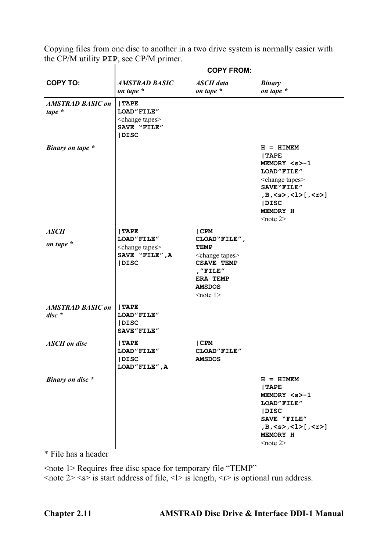|                                     | <b>COPY FROM:</b>                                                            |                                                                                                                                            |                                                                                                                                                                                                                          |
|-------------------------------------|------------------------------------------------------------------------------|--------------------------------------------------------------------------------------------------------------------------------------------|--------------------------------------------------------------------------------------------------------------------------------------------------------------------------------------------------------------------------|
| <b>COPY TO:</b>                     | <b>AMSTRAD BASIC</b><br>on tape *                                            | <b>ASCII</b> data<br>on tape *                                                                                                             | <b>Binary</b><br>on tape *                                                                                                                                                                                               |
| <b>AMSTRAD BASIC on</b><br>tape $*$ | TAPE<br>LOAD"FILE"<br><change tapes=""><br/>SAVE "FILE"<br/> DISC</change>   |                                                                                                                                            |                                                                                                                                                                                                                          |
| Binary on tape *                    |                                                                              |                                                                                                                                            | $H = HIMEM$<br>  TAPE<br>MEMORY <s>-1<br/>LOAD"FILE"<br/><math>\leq</math>change tapes<math>\geq</math><br/>SAVE "FILE"<br/>,B,<s>,&lt;1&gt;[,<r>]<br/><b>IDISC</b><br/>MEMORY H<br/><math>note</math> 2&gt;</r></s></s> |
| ASCII                               | <b>ITAPE</b>                                                                 | CPM                                                                                                                                        |                                                                                                                                                                                                                          |
| on tape *                           | LOAD"FILE"<br><change tapes=""><br/>SAVE "FILE", A<br/><b>IDISC</b></change> | CLOAD "FILE",<br>TEMP<br>$\leq$ change tapes $\geq$<br><b>CSAVE TEMP</b><br>, "FILE"<br><b>ERA TEMP</b><br><b>AMSDOS</b><br>$\leq$ note 1> |                                                                                                                                                                                                                          |
| <b>AMSTRAD BASIC on</b><br>$disc *$ | TAPE<br>LOAD"FILE"<br> DISC<br>SAVE"FILE"                                    |                                                                                                                                            |                                                                                                                                                                                                                          |
| <b>ASCII</b> on disc                | TAPE<br>LOAD"FILE"<br> DISC<br>LOAD"FILE", A                                 | CPM<br>CLOAD"FILE"<br><b>AMSDOS</b>                                                                                                        |                                                                                                                                                                                                                          |
| Binary on disc *                    |                                                                              |                                                                                                                                            | $H = HIMEM$<br>  TAPE<br>MEMORY <s>-1<br/>LOAD"FILE"<br/> DISC<br/>SAVE "FILE"<br/>,B,<s>,&lt;1&gt;[,<r>]<br/><b>MEMORY H</b><br/><math>\leq</math>note 2&gt;</r></s></s>                                                |

Copying files from one disc to another in a two drive system is normally easier with the CP/M utility **PIP**, see CP/M primer.

\* File has a header

<note 1> Requires free disc space for temporary file "TEMP"  $\langle$ note 2> $\langle$ s> is start address of file,  $\langle$ l> is length,  $\langle$ r> is optional run address.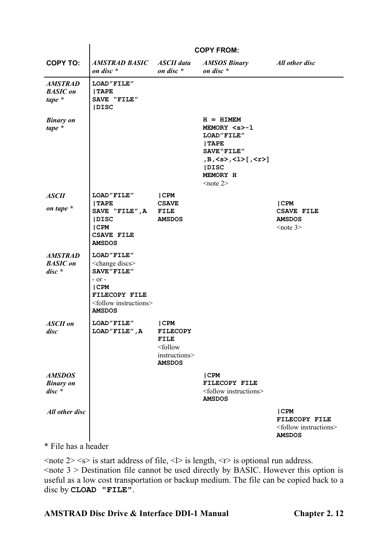|                                               |                                                                                                                                                                                               |                                                                                          | <b>COPY FROM:</b>                                                                                                                                                            |                                                                             |
|-----------------------------------------------|-----------------------------------------------------------------------------------------------------------------------------------------------------------------------------------------------|------------------------------------------------------------------------------------------|------------------------------------------------------------------------------------------------------------------------------------------------------------------------------|-----------------------------------------------------------------------------|
| COPY TO:                                      | AMSTRAD BASIC<br>on disc *                                                                                                                                                                    | ASCII data<br>on disc *                                                                  | <b>AMSOS Binary</b><br>on disc *                                                                                                                                             | All other disc                                                              |
| <b>AMSTRAD</b><br><b>BASIC</b> on<br>tape $*$ | LOAD"FILE"<br>  TAPE<br>SAVE "FILE"<br><b>IDISC</b>                                                                                                                                           |                                                                                          |                                                                                                                                                                              |                                                                             |
| <b>Binary</b> on<br>tape *                    |                                                                                                                                                                                               |                                                                                          | $H = HIMEM$<br>MEMORY <s>-1<br/>LOAD"FILE"<br/><b>ITAPE</b><br/>SAVE "FILE"<br/>,B,<s>,&lt;1&gt;[,<r>]<br/> DISC<br/><b>MEMORY H</b><br/><math>note</math> 2&gt;</r></s></s> |                                                                             |
| <b>ASCII</b><br>on tape *                     | LOAD"FILE"<br>  TAPE<br>SAVE "FILE", A<br><b>IDISC</b><br>I CPM<br><b>CSAVE FILE</b><br><b>AMSDOS</b>                                                                                         | CPM<br><b>CSAVE</b><br>FILE<br><b>AMSDOS</b>                                             |                                                                                                                                                                              | CPM<br><b>CSAVE FILE</b><br><b>AMSDOS</b><br>$note$ 3>                      |
| <b>AMSTRAD</b><br><b>BASIC</b> on<br>$disc$ * | LOAD"FILE"<br><change discs=""><br/>SAVE"FILE"<br/><math>-</math> or <math>-</math><br/><math> </math> CPM<br/>FILECOPY FILE<br/><follow instructions=""><br/><b>AMSDOS</b></follow></change> |                                                                                          |                                                                                                                                                                              |                                                                             |
| <b>ASCII</b> on<br>disc                       | LOAD"FILE"<br>$\texttt{LOAD}''\texttt{FILE}''$ , $\texttt{A}$                                                                                                                                 | CPM<br><b>FILECOPY</b><br><b>FILE</b><br>$\leq$ follow<br>instructions><br><b>AMSDOS</b> |                                                                                                                                                                              |                                                                             |
| <b>AMSDOS</b><br><b>Binary on</b><br>$disc$ * |                                                                                                                                                                                               |                                                                                          | ICPM<br>FILECOPY FILE<br><follow instructions=""><br/><b>AMSDOS</b></follow>                                                                                                 |                                                                             |
| All other disc                                |                                                                                                                                                                                               |                                                                                          |                                                                                                                                                                              | CPM<br>FILECOPY FILE<br><follow instructions=""><br/><b>AMSDOS</b></follow> |

\* File has a header

 $\langle$  <note 2> $\langle$ s> is start address of file,  $\langle$ l> is length,  $\langle$ r> is optional run address.  $\leq$  note 3 > Destination file cannot be used directly by BASIC. However this option is useful as a low cost transportation or backup medium. The file can be copied back to a disc by **CLOAD "FILE"**.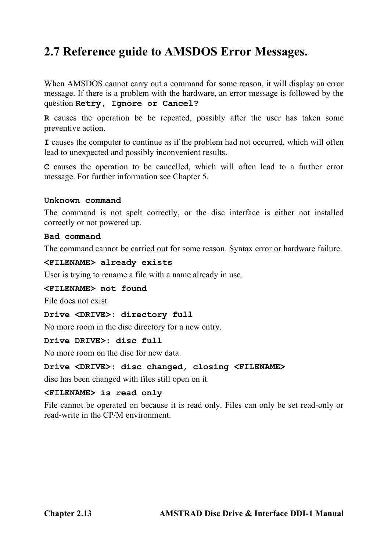## **2.7 Reference guide to AMSDOS Error Messages.**

When AMSDOS cannot carry out a command for some reason, it will display an error message. If there is a problem with the hardware, an error message is followed by the question **Retry, Ignore or Cancel?**

**R** causes the operation be be repeated, possibly after the user has taken some preventive action.

**I** causes the computer to continue as if the problem had not occurred, which will often lead to unexpected and possibly inconvenient results.

**C** causes the operation to be cancelled, which will often lead to a further error message. For further information see Chapter 5.

#### **Unknown command**

The command is not spelt correctly, or the disc interface is either not installed correctly or not powered up.

#### **Bad command**

The command cannot be carried out for some reason. Syntax error or hardware failure.

#### **<FILENAME> already exists**

User is trying to rename a file with a name already in use.

#### **<FILENAME> not found**

File does not exist.

#### **Drive <DRIVE>: directory full**

No more room in the disc directory for a new entry.

#### **Drive DRIVE>: disc full**

No more room on the disc for new data.

#### **Drive <DRIVE>: disc changed, closing <FILENAME>**

disc has been changed with files still open on it.

#### **<FILENAME> is read only**

File cannot be operated on because it is read only. Files can only be set read-only or read-write in the CP/M environment.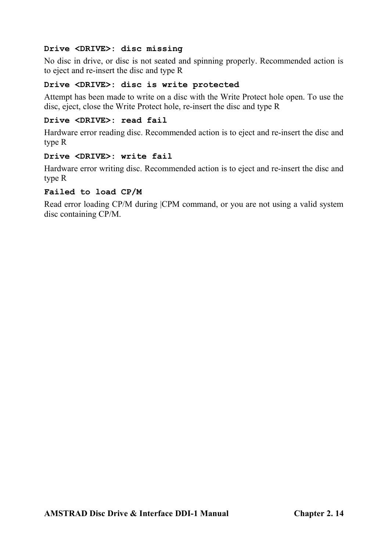#### **Drive <DRIVE>: disc missing**

No disc in drive, or disc is not seated and spinning properly. Recommended action is to eject and re-insert the disc and type R

#### **Drive <DRIVE>: disc is write protected**

Attempt has been made to write on a disc with the Write Protect hole open. To use the disc, eject, close the Write Protect hole, re-insert the disc and type R

#### **Drive <DRIVE>: read fail**

Hardware error reading disc. Recommended action is to eject and re-insert the disc and type R

#### **Drive <DRIVE>: write fail**

Hardware error writing disc. Recommended action is to eject and re-insert the disc and type R

#### **Failed to load CP/M**

Read error loading CP/M during |CPM command, or you are not using a valid system disc containing CP/M.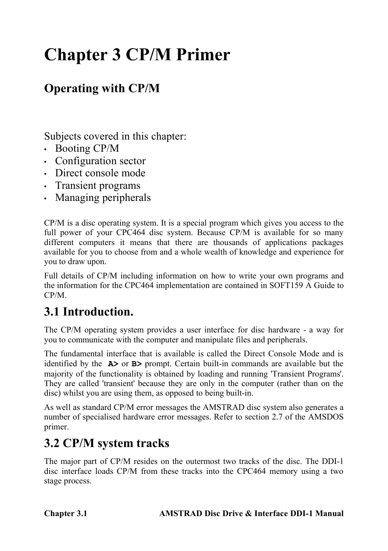# **Chapter 3 CP/M Primer**

## **Operating with CP/M**

Subjects covered in this chapter:

- Booting CP/M
- Configuration sector
- Direct console mode
- Transient programs
- Managing peripherals

CP/M is a disc operating system. It is a special program which gives you access to the full power of your CPC464 disc system. Because CP/M is available for so many different computers it means that there are thousands of applications packages available for you to choose from and a whole wealth of knowledge and experience for you to draw upon.

Full details of CP/M including information on how to write your own programs and the information for the CPC464 implementation are contained in SOFT159 A Guide to CP/M.

## **3.1 Introduction.**

The CP/M operating system provides a user interface for disc hardware - a way for you to communicate with the computer and manipulate files and peripherals.

The fundamental interface that is available is called the Direct Console Mode and is identified by the **A>** or **B>** prompt. Certain built-in commands are available but the majority of the functionality is obtained by loading and running 'Transient Programs'. They are called 'transient' because they are only in the computer (rather than on the disc) whilst you are using them, as opposed to being built-in.

As well as standard CP/M error messages the AMSTRAD disc system also generates a number of specialised hardware error messages. Refer to section 2.7 of the AMSDOS primer.

## **3.2 CP/M system tracks**

The major part of CP/M resides on the outermost two tracks of the disc. The DDI-1 disc interface loads CP/M from these tracks into the CPC464 memory using a two stage process.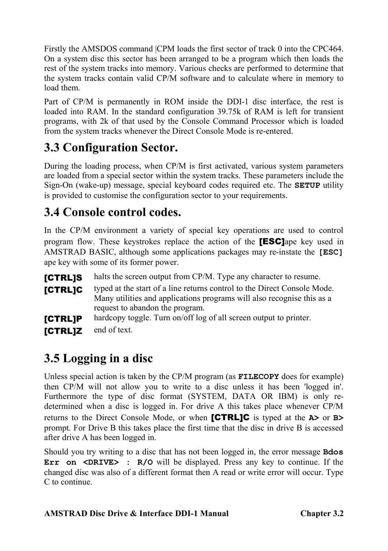Firstly the AMSDOS command |CPM loads the first sector of track 0 into the CPC464. On a system disc this sector has been arranged to be a program which then loads the rest of the system tracks into memory. Various checks are performed to determine that the system tracks contain valid CP/M software and to calculate where in memory to load them.

Part of CP/M is permanently in ROM inside the DDI-1 disc interface, the rest is loaded into RAM. In the standard configuration 39.75k of RAM is left for transient programs, with 2k of that used by the Console Command Processor which is loaded from the system tracks whenever the Direct Console Mode is re-entered.

## **3.3 Configuration Sector.**

During the loading process, when CP/M is first activated, various system parameters are loaded from a special sector within the system tracks. These parameters include the Sign-On (wake-up) message, special keyboard codes required etc. The **SETUP** utility is provided to customise the configuration sector to your requirements.

## **3.4 Console control codes.**

In the CP/M environment a variety of special key operations are used to control program flow. These keystrokes replace the action of the [ESC]ape key used in AMSTRAD BASIC, although some applications packages may re-instate the **[ESC]** ape key with some of its former power.

**ICTRLIS** halts the screen output from CP/M. Type any character to resume. **ICTRLIC** typed at the start of a line returns control to the Direct Console Mode. Many utilities and applications programs will also recognise this as a request to abandon the program. **ICTRLIP** hardcopy toggle. Turn on/off log of all screen output to printer. [CTRL]Z end of text.

## **3.5 Logging in a disc**

Unless special action is taken by the CP/M program (as **FILECOPY** does for example) then CP/M will not allow you to write to a disc unless it has been 'logged in'. Furthermore the type of disc format (SYSTEM, DATA OR IBM) is only redetermined when a disc is logged in. For drive A this takes place whenever CP/M returns to the Direct Console Mode, or when [CTRL]C is typed at the **A>** or **B>** prompt. For Drive B this takes place the first time that the disc in drive B is accessed after drive A has been logged in.

Should you try writing to a disc that has not been logged in, the error message **Bdos Err on <DRIVE> : R/O** will be displayed. Press any key to continue. If the changed disc was also of a different format then A read or write error will occur. Type C to continue.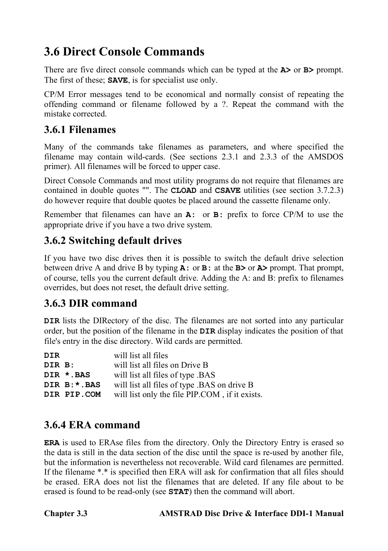## **3.6 Direct Console Commands**

There are five direct console commands which can be typed at the **A>** or **B>** prompt. The first of these; **SAVE**, is for specialist use only.

CP/M Error messages tend to be economical and normally consist of repeating the offending command or filename followed by a ?. Repeat the command with the mistake corrected.

## **3.6.1 Filenames**

Many of the commands take filenames as parameters, and where specified the filename may contain wild-cards. (See sections 2.3.1 and 2.3.3 of the AMSDOS primer). All filenames will be forced to upper case.

Direct Console Commands and most utility programs do not require that filenames are contained in double quotes "". The **CLOAD** and **CSAVE** utilities (see section 3.7.2.3) do however require that double quotes be placed around the cassette filename only.

Remember that filenames can have an **A:** or **B:** prefix to force CP/M to use the appropriate drive if you have a two drive system.

## **3.6.2 Switching default drives**

If you have two disc drives then it is possible to switch the default drive selection between drive A and drive B by typing **A:** or **B:** at the **B>** or **A>** prompt. That prompt, of course, tells you the current default drive. Adding the A: and B: prefix to filenames overrides, but does not reset, the default drive setting.

## **3.6.3 DIR command**

**DIR** lists the DIRectory of the disc. The filenames are not sorted into any particular order, but the position of the filename in the **DIR** display indicates the position of that file's entry in the disc directory. Wild cards are permitted.

| DIR    |               | will list all files                            |
|--------|---------------|------------------------------------------------|
| DIR B: |               | will list all files on Drive B                 |
|        | DIR *. BAS    | will list all files of type .BAS               |
|        | DIR B: *. BAS | will list all files of type .BAS on drive B    |
|        | DIR PIP.COM   | will list only the file PIP.COM, if it exists. |

## **3.6.4 ERA command**

**ERA** is used to ERAse files from the directory. Only the Directory Entry is erased so the data is still in the data section of the disc until the space is re-used by another file, but the information is nevertheless not recoverable. Wild card filenames are permitted. If the filename \*.\* is specified then ERA will ask for confirmation that all files should be erased. ERA does not list the filenames that are deleted. If any file about to be erased is found to be read-only (see **STAT**) then the command will abort.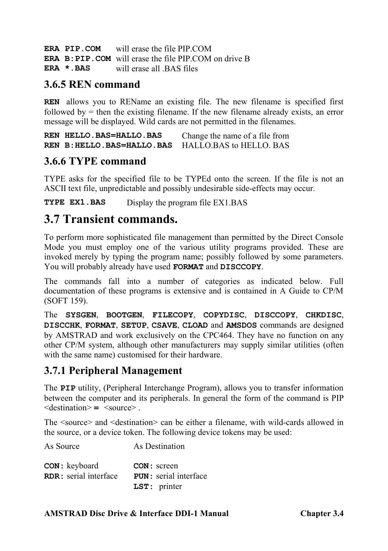**ERA PIP.COM** will erase the file PIP.COM **ERA B: PIP. COM** will erase the file PIP COM on drive B **ERA \*. BAS** will erase all RAS files

### **3.6.5 REN command**

**REN** allows you to REName an existing file. The new filename is specified first followed by = then the existing filename. If the new filename already exists, an error message will be displayed. Wild cards are not permitted in the filenames.

**REN HELLO.BAS=HALLO.BAS** Change the name of a file from **REN B:HELLO.BAS=HALLO.BAS** HALLO.BAS to HELLO. BAS

## **3.6.6 TYPE command**

TYPE asks for the specified file to be TYPEd onto the screen. If the file is not an ASCII text file, unpredictable and possibly undesirable side-effects may occur.

**TYPE EX1.BAS** Display the program file EX1.BAS

## **3.7 Transient commands.**

To perform more sophisticated file management than permitted by the Direct Console Mode you must employ one of the various utility programs provided. These are invoked merely by typing the program name; possibly followed by some parameters. You will probably already have used **FORMAT** and **DISCCOPY**.

The commands fall into a number of categories as indicated below. Full documentation of these programs is extensive and is contained in A Guide to CP/M (SOFT 159).

The **SYSGEN**, **BOOTGEN**, **FILECOPY**, **COPYDISC**, **DISCCOPY**, **CHKDISC**, **DISCCHK**, **FORMAT**, **SETUP**, **CSAVE**, **CLOAD** and **AMSDOS** commands are designed by AMSTRAD and work exclusively on the CPC464. They have no function on any other CP/M system, although other manufacturers may supply similar utilities (often with the same name) customised for their hardware.

## **3.7.1 Peripheral Management**

The **PIP** utility, (Peripheral Interchange Program), allows you to transfer information between the computer and its peripherals. In general the form of the command is PIP  $\le$  destination  $\ge$   $\le$   $\le$  source  $\ge$ 

The <source> and <destination> can be either a filename, with wild-cards allowed in the source, or a device token. The following device tokens may be used:

| <b>CON</b> : screen<br><b>PUN</b> : serial interface<br>LST: printer |
|----------------------------------------------------------------------|
|                                                                      |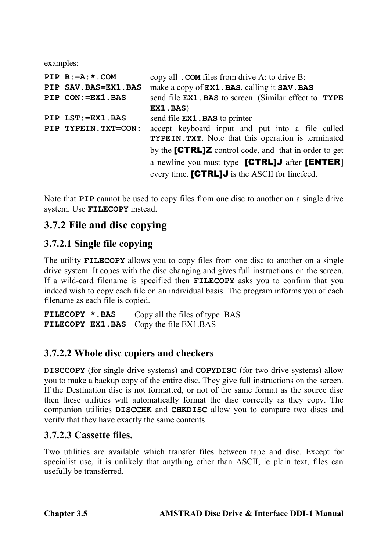examples:

```
PIP B:=A: *. COM copy all . COM files from drive A: to drive B:
PIP SAV.BAS=EX1.BAS make a copy of EX1.BAS, calling it SAV.BAS
PIP CON:=EX1.BAS send file EX1.BAS to screen. (Similar effect to TYPE
                         EX1.BAS)
PIP LST:=EX1.BAS send file EX1.BAS to printer
PIP TYPEIN.TXT=CON: accept keyboard input and put into a file called
                         TYPEIN.TXT. Note that this operation is terminated
                         by the [CTRL]Z control code, and that in order to get
                         a newline you must type [CTRL]J after [ENTER]
                         every time. [CTRL]J is the ASCII for linefeed.
```
Note that **PIP** cannot be used to copy files from one disc to another on a single drive system. Use **FILECOPY** instead.

## **3.7.2 File and disc copying**

### **3.7.2.1 Single file copying**

The utility **FILECOPY** allows you to copy files from one disc to another on a single drive system. It copes with the disc changing and gives full instructions on the screen. If a wild-card filename is specified then **FILECOPY** asks you to confirm that you indeed wish to copy each file on an individual basis. The program informs you of each filename as each file is copied.

**FILECOPY \*.BAS** Copy all the files of type .BAS **FILECOPY EX1.BAS** Copy the file EX1.BAS

### **3.7.2.2 Whole disc copiers and checkers**

**DISCCOPY** (for single drive systems) and **COPYDISC** (for two drive systems) allow you to make a backup copy of the entire disc. They give full instructions on the screen. If the Destination disc is not formatted, or not of the same format as the source disc then these utilities will automatically format the disc correctly as they copy. The companion utilities **DISCCHK** and **CHKDISC** allow you to compare two discs and verify that they have exactly the same contents.

### **3.7.2.3 Cassette files.**

Two utilities are available which transfer files between tape and disc. Except for specialist use, it is unlikely that anything other than ASCII, ie plain text, files can usefully be transferred.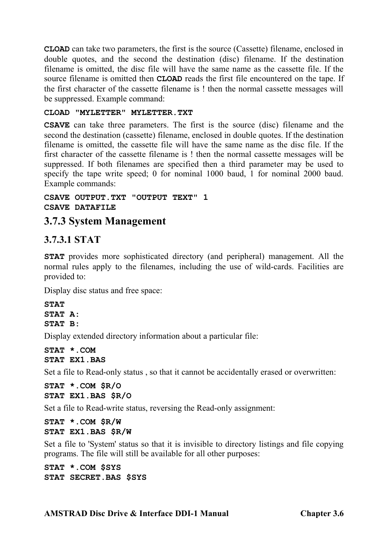**CLOAD** can take two parameters, the first is the source (Cassette) filename, enclosed in double quotes, and the second the destination (disc) filename. If the destination filename is omitted, the disc file will have the same name as the cassette file. If the source filename is omitted then **CLOAD** reads the first file encountered on the tape. If the first character of the cassette filename is ! then the normal cassette messages will be suppressed. Example command:

#### **CLOAD "MYLETTER" MYLETTER.TXT**

**CSAVE** can take three parameters. The first is the source (disc) filename and the second the destination (cassette) filename, enclosed in double quotes. If the destination filename is omitted, the cassette file will have the same name as the disc file. If the first character of the cassette filename is ! then the normal cassette messages will be suppressed. If both filenames are specified then a third parameter may be used to specify the tape write speed; 0 for nominal 1000 baud, 1 for nominal 2000 baud. Example commands:

#### CSAVE OUTPUT TXT "OUTPUT TEXT" 1 **CSAVE DATAFILE**

### **3.7.3 System Management**

### **3.7.3.1 STAT**

**STAT** provides more sophisticated directory (and peripheral) management. All the normal rules apply to the filenames, including the use of wild-cards. Facilities are provided to:

Display disc status and free space:

#### **STAT STAT A:**

### **STAT B:**

Display extended directory information about a particular file:

#### **STAT \*.COM STAT EX1.BAS**

Set a file to Read-only status , so that it cannot be accidentally erased or overwritten:

### **STAT \*.COM \$R/O STAT EX1.BAS \$R/O**

Set a file to Read-write status, reversing the Read-only assignment:

#### **STAT \*.COM \$R/W STAT EX1.BAS \$R/W**

Set a file to 'System' status so that it is invisible to directory listings and file copying programs. The file will still be available for all other purposes:

**STAT \*.COM \$SYS STAT SECRET.BAS \$SYS**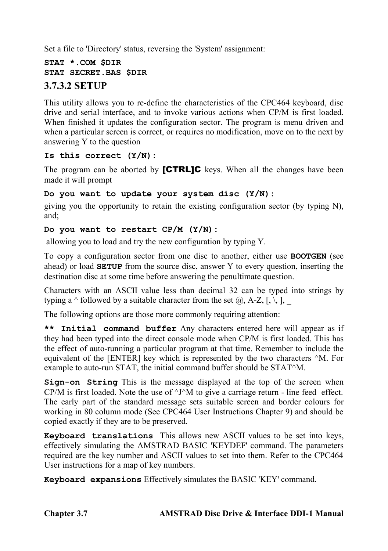Set a file to 'Directory' status, reversing the 'System' assignment:

### **STAT \*.COM \$DIR STAT SECRET.BAS \$DIR 3.7.3.2 SETUP**

This utility allows you to re-define the characteristics of the CPC464 keyboard, disc drive and serial interface, and to invoke various actions when CP/M is first loaded. When finished it updates the configuration sector. The program is menu driven and when a particular screen is correct, or requires no modification, move on to the next by answering Y to the question

#### **Is this correct (Y/N):**

The program can be aborted by **[CTRL]C** keys. When all the changes have been made it will prompt

### **Do you want to update your system disc (Y/N):**

giving you the opportunity to retain the existing configuration sector (by typing N), and;

### **Do you want to restart CP/M (Y/N):**

allowing you to load and try the new configuration by typing Y.

To copy a configuration sector from one disc to another, either use **BOOTGEN** (see ahead) or load **SETUP** from the source disc, answer Y to every question, inserting the destination disc at some time before answering the penultimate question.

Characters with an ASCII value less than decimal 32 can be typed into strings by typing a  $\land$  followed by a suitable character from the set  $\omega$ , A-Z, [, \, ],

The following options are those more commonly requiring attention:

**\*\* Initial command buffer** Any characters entered here will appear as if they had been typed into the direct console mode when CP/M is first loaded. This has the effect of auto-running a particular program at that time. Remember to include the equivalent of the [ENTER] key which is represented by the two characters ^M. For example to auto-run STAT, the initial command buffer should be STAT^M.

**Sign-on String** This is the message displayed at the top of the screen when CP/M is first loaded. Note the use of  $\gamma$ <sup> $\wedge$ </sup>M to give a carriage return - line feed effect. The early part of the standard message sets suitable screen and border colours for working in 80 column mode (See CPC464 User Instructions Chapter 9) and should be copied exactly if they are to be preserved.

**Keyboard translations** This allows new ASCII values to be set into keys, effectively simulating the AMSTRAD BASIC 'KEYDEF' command. The parameters required are the key number and ASCII values to set into them. Refer to the CPC464 User instructions for a map of key numbers.

**Keyboard expansions** Effectively simulates the BASIC 'KEY' command.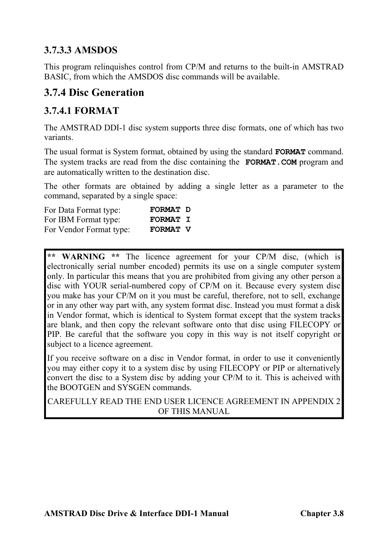### **3.7.3.3 AMSDOS**

This program relinquishes control from CP/M and returns to the built-in AMSTRAD BASIC, from which the AMSDOS disc commands will be available.

### **3.7.4 Disc Generation**

### **3.7.4.1 FORMAT**

The AMSTRAD DDI-1 disc system supports three disc formats, one of which has two variants.

The usual format is System format, obtained by using the standard **FORMAT** command. The system tracks are read from the disc containing the **FORMAT.COM** program and are automatically written to the destination disc.

The other formats are obtained by adding a single letter as a parameter to the command, separated by a single space:

| For Data Format type:   | FORMAT D |
|-------------------------|----------|
| For IBM Format type:    | FORMAT I |
| For Vendor Format type: | FORMAT V |

**\*\* WARNING \*\*** The licence agreement for your CP/M disc, (which is electronically serial number encoded) permits its use on a single computer system only. In particular this means that you are prohibited from giving any other person a disc with YOUR serial-numbered copy of CP/M on it. Because every system disc you make has your CP/M on it you must be careful, therefore, not to sell, exchange or in any other way part with, any system format disc. Instead you must format a disk in Vendor format, which is identical to System format except that the system tracks are blank, and then copy the relevant software onto that disc using FILECOPY or PIP. Be careful that the software you copy in this way is not itself copyright or subject to a licence agreement.

If you receive software on a disc in Vendor format, in order to use it conveniently you may either copy it to a system disc by using FILECOPY or PIP or alternatively convert the disc to a System disc by adding your CP/M to it. This is acheived with the BOOTGEN and SYSGEN commands.

CAREFULLY READ THE END USER LICENCE AGREEMENT IN APPENDIX 2 OF THIS MANUAL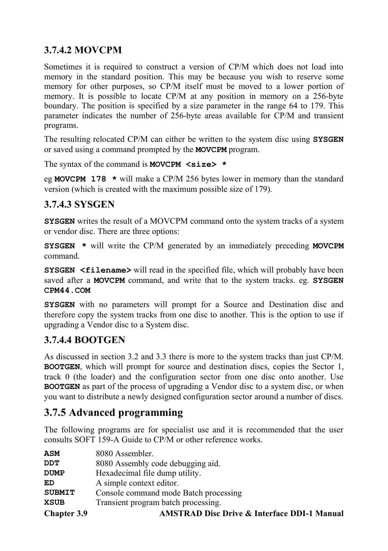### **3.7.4.2 MOVCPM**

Sometimes it is required to construct a version of CP/M which does not load into memory in the standard position. This may be because you wish to reserve some memory for other purposes, so CP/M itself must be moved to a lower portion of memory. It is possible to locate CP/M at any position in memory on a 256-byte boundary. The position is specified by a size parameter in the range 64 to 179. This parameter indicates the number of 256-byte areas available for CP/M and transient programs.

The resulting relocated CP/M can either be written to the system disc using **SYSGEN** or saved using a command prompted by the **MOVCPM** program.

The syntax of the command is **MOVCPM** <size> \*

eg **MOVCPM 178 \*** will make a CP/M 256 bytes lower in memory than the standard version (which is created with the maximum possible size of 179).

### **3.7.4.3 SYSGEN**

**SYSGEN** writes the result of a MOVCPM command onto the system tracks of a system or vendor disc. There are three options:

**SYSGEN \*** will write the CP/M generated by an immediately preceding **MOVCPM** command.

**SYSGEN** <filename> will read in the specified file, which will probably have been saved after a **MOVCPM** command, and write that to the system tracks. eg. **SYSGEN CPM44.COM**

**SYSGEN** with no parameters will prompt for a Source and Destination disc and therefore copy the system tracks from one disc to another. This is the option to use if upgrading a Vendor disc to a System disc.

### **3.7.4.4 BOOTGEN**

As discussed in section 3.2 and 3.3 there is more to the system tracks than just CP/M. **BOOTGEN**, which will prompt for source and destination discs, copies the Sector 1, track 0 (the loader) and the configuration sector from one disc onto another. Use **BOOTGEN** as part of the process of upgrading a Vendor disc to a system disc, or when you want to distribute a newly designed configuration sector around a number of discs.

### **3.7.5 Advanced programming**

The following programs are for specialist use and it is recommended that the user consults SOFT 159-A Guide to CP/M or other reference works.

| <b>Chapter 3.9</b> | <b>AMSTRAD Disc Drive &amp; Interface DDI-1 Manual</b> |
|--------------------|--------------------------------------------------------|
| <b>XSUB</b>        | Transient program batch processing.                    |
| <b>SUBMIT</b>      | Console command mode Batch processing                  |
| ED                 | A simple context editor.                               |
| <b>DUMP</b>        | Hexadecimal file dump utility.                         |
| DDT                | 8080 Assembly code debugging aid.                      |
| <b>ASM</b>         | 8080 Assembler.                                        |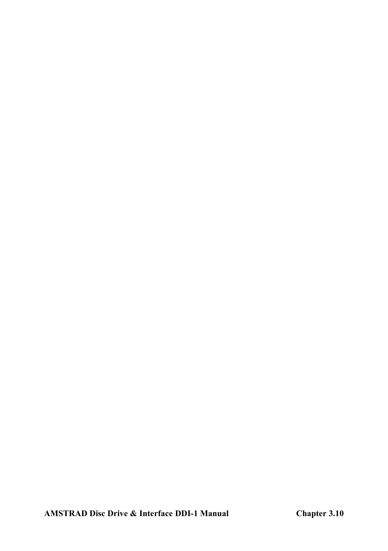**AMSTRAD Disc Drive & Interface DDI-1 Manual Chapter 3.10**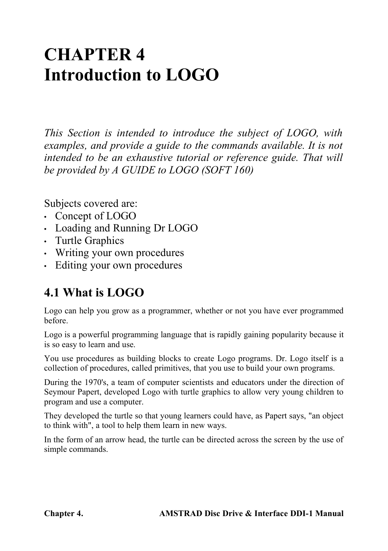# **CHAPTER 4 Introduction to LOGO**

*This Section is intended to introduce the subject of LOGO, with examples, and provide a guide to the commands available. It is not intended to be an exhaustive tutorial or reference guide. That will be provided by A GUIDE to LOGO (SOFT 160)*

Subjects covered are:

- Concept of LOGO
- Loading and Running Dr LOGO
- Turtle Graphics
- Writing your own procedures
- Editing your own procedures

## **4.1 What is LOGO**

Logo can help you grow as a programmer, whether or not you have ever programmed before.

Logo is a powerful programming language that is rapidly gaining popularity because it is so easy to learn and use.

You use procedures as building blocks to create Logo programs. Dr. Logo itself is a collection of procedures, called primitives, that you use to build your own programs.

During the 1970's, a team of computer scientists and educators under the direction of Seymour Papert, developed Logo with turtle graphics to allow very young children to program and use a computer.

They developed the turtle so that young learners could have, as Papert says, "an object to think with", a tool to help them learn in new ways.

In the form of an arrow head, the turtle can be directed across the screen by the use of simple commands.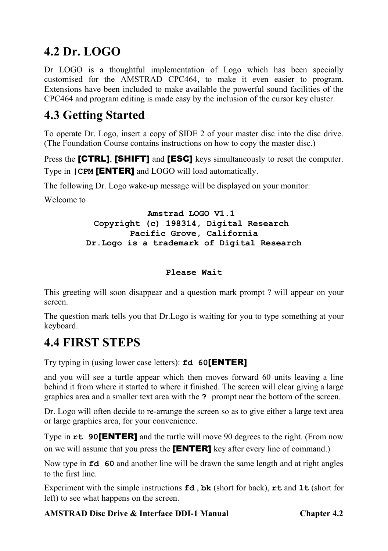## **4.2 Dr. LOGO**

Dr LOGO is a thoughtful implementation of Logo which has been specially customised for the AMSTRAD CPC464, to make it even easier to program. Extensions have been included to make available the powerful sound facilities of the CPC464 and program editing is made easy by the inclusion of the cursor key cluster.

## **4.3 Getting Started**

To operate Dr. Logo, insert a copy of SIDE 2 of your master disc into the disc drive. (The Foundation Course contains instructions on how to copy the master disc.)

Press the **[CTRL]. [SHIFT]** and **[ESC]** keys simultaneously to reset the computer. Type in **|CPM** [ENTER] and LOGO will load automatically.

The following Dr. Logo wake-up message will be displayed on your monitor:

Welcome to

**Amstrad LOGO V1.1 Copyright (c) 198314, Digital Research Pacific Grove, California Dr.Logo is a trademark of Digital Research**

#### **Please Wait**

This greeting will soon disappear and a question mark prompt ? will appear on your screen.

The question mark tells you that Dr.Logo is waiting for you to type something at your keyboard.

## **4.4 FIRST STEPS**

Try typing in (using lower case letters): **fd 60**[ENTER]

and you will see a turtle appear which then moves forward 60 units leaving a line behind it from where it started to where it finished. The screen will clear giving a large graphics area and a smaller text area with the **?** prompt near the bottom of the screen.

Dr. Logo will often decide to re-arrange the screen so as to give either a large text area or large graphics area, for your convenience.

Type in **rt 90**[ENTER] and the turtle will move 90 degrees to the right. (From now on we will assume that you press the [ENTER] key after every line of command.)

Now type in **fd 60** and another line will be drawn the same length and at right angles to the first line.

Experiment with the simple instructions **fd** , **bk** (short for back), **rt** and **lt** (short for left) to see what happens on the screen.

**AMSTRAD Disc Drive & Interface DDI-1 Manual Chapter 4.2**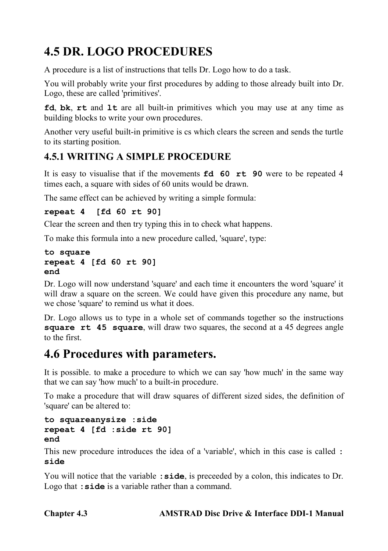## **4.5 DR. LOGO PROCEDURES**

A procedure is a list of instructions that tells Dr. Logo how to do a task.

You will probably write your first procedures by adding to those already built into Dr. Logo, these are called 'primitives'.

**fd**, **bk**, **rt** and **lt** are all built-in primitives which you may use at any time as building blocks to write your own procedures.

Another very useful built-in primitive is cs which clears the screen and sends the turtle to its starting position.

### **4.5.1 WRITING A SIMPLE PROCEDURE**

It is easy to visualise that if the movements **fd 60 rt 90** were to be repeated 4 times each, a square with sides of 60 units would be drawn.

The same effect can be achieved by writing a simple formula:

### **repeat 4 [fd 60 rt 90]**

Clear the screen and then try typing this in to check what happens.

To make this formula into a new procedure called, 'square', type:

```
to square 
repeat 4 [fd 60 rt 90]
end
```
Dr. Logo will now understand 'square' and each time it encounters the word 'square' it will draw a square on the screen. We could have given this procedure any name, but we chose 'square' to remind us what it does.

Dr. Logo allows us to type in a whole set of commands together so the instructions **square rt 45 square**, will draw two squares, the second at a 45 degrees angle to the first.

## **4.6 Procedures with parameters.**

It is possible. to make a procedure to which we can say 'how much' in the same way that we can say 'how much' to a built-in procedure.

To make a procedure that will draw squares of different sized sides, the definition of 'square' can be altered to:

```
to squareanysize :side 
repeat 4 [fd :side rt 90] 
end
```
This new procedure introduces the idea of a 'variable', which in this case is called **: side**

You will notice that the variable **: side**, is preceded by a colon, this indicates to Dr. Logo that **: side** is a variable rather than a command.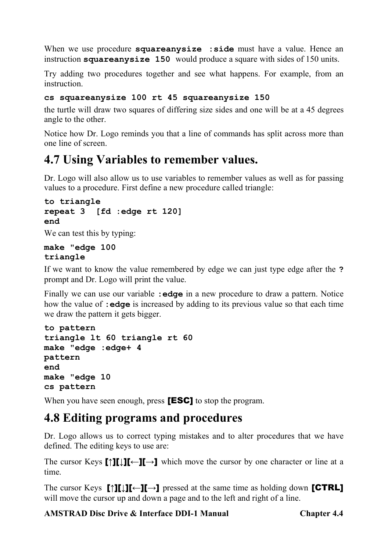When we use procedure **squareanysize :side** must have a value. Hence an instruction **squareanysize 150** would produce a square with sides of 150 units.

Try adding two procedures together and see what happens. For example, from an instruction.

### **cs squareanysize 100 rt 45 squareanysize 150**

the turtle will draw two squares of differing size sides and one will be at a 45 degrees angle to the other.

Notice how Dr. Logo reminds you that a line of commands has split across more than one line of screen.

## **4.7 Using Variables to remember values.**

Dr. Logo will also allow us to use variables to remember values as well as for passing values to a procedure. First define a new procedure called triangle:

```
to triangle 
repeat 3 [fd :edge rt 120] 
end
```
We can test this by typing:

#### **make "edge 100 triangle**

If we want to know the value remembered by edge we can just type edge after the **?** prompt and Dr. Logo will print the value.

Finally we can use our variable **:edge** in a new procedure to draw a pattern. Notice how the value of **:edge** is increased by adding to its previous value so that each time we draw the pattern it gets bigger.

```
to pattern 
triangle lt 60 triangle rt 60 
make "edge :edge+ 4 
pattern 
end 
make "edge 10 
cs pattern
```
When you have seen enough, press **[ESC]** to stop the program.

## **4.8 Editing programs and procedures**

Dr. Logo allows us to correct typing mistakes and to alter procedures that we have defined. The editing keys to use are:

The cursor Keys  $[\uparrow \uparrow \downarrow] [\uparrow \rightarrow \uparrow]$  which move the cursor by one character or line at a time.

The cursor Keys  $[\uparrow \uparrow] [\uparrow \rightarrow]$  pressed at the same time as holding down [CTRL] will move the cursor up and down a page and to the left and right of a line.

**AMSTRAD Disc Drive & Interface DDI-1 Manual Chapter 4.4**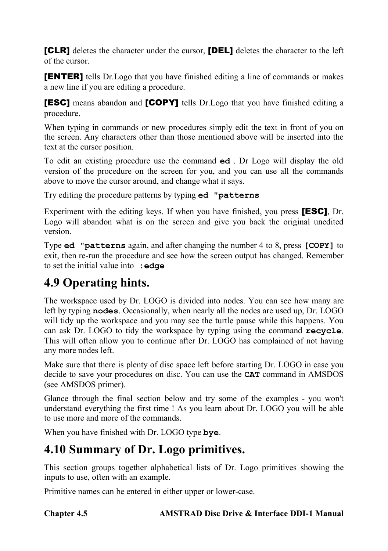[CLR] deletes the character under the cursor, [DEL] deletes the character to the left of the cursor.

[ENTER] tells Dr.Logo that you have finished editing a line of commands or makes a new line if you are editing a procedure.

[ESC] means abandon and [COPY] tells Dr.Logo that you have finished editing a procedure.

When typing in commands or new procedures simply edit the text in front of you on the screen. Any characters other than those mentioned above will be inserted into the text at the cursor position.

To edit an existing procedure use the command **ed** . Dr Logo will display the old version of the procedure on the screen for you, and you can use all the commands above to move the cursor around, and change what it says.

Try editing the procedure patterns by typing **ed "patterns**

Experiment with the editing keys. If when you have finished, you press [ESC], Dr. Logo will abandon what is on the screen and give you back the original unedited version.

Type **ed "patterns** again, and after changing the number 4 to 8, press **[COPY]** to exit, then re-run the procedure and see how the screen output has changed. Remember to set the initial value into **:edge**

## **4.9 Operating hints.**

The workspace used by Dr. LOGO is divided into nodes. You can see how many are left by typing **nodes**. Occasionally, when nearly all the nodes are used up, Dr. LOGO will tidy up the workspace and you may see the turtle pause while this happens. You can ask Dr. LOGO to tidy the workspace by typing using the command **recycle**. This will often allow you to continue after Dr. LOGO has complained of not having any more nodes left.

Make sure that there is plenty of disc space left before starting Dr. LOGO in case you decide to save your procedures on disc. You can use the **CAT** command in AMSDOS (see AMSDOS primer).

Glance through the final section below and try some of the examples - you won't understand everything the first time ! As you learn about Dr. LOGO you will be able to use more and more of the commands.

When you have finished with Dr. LOGO type **bye**.

## **4.10 Summary of Dr. Logo primitives.**

This section groups together alphabetical lists of Dr. Logo primitives showing the inputs to use, often with an example.

Primitive names can be entered in either upper or lower-case.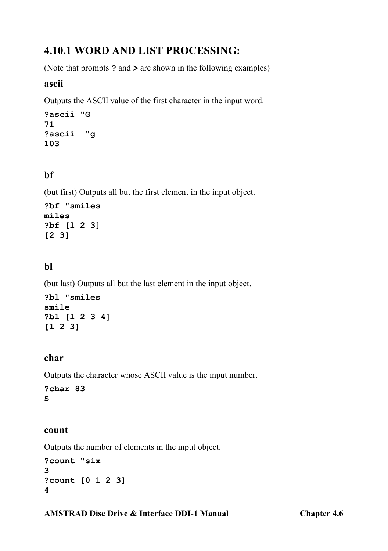## **4.10.1 WORD AND LIST PROCESSING:**

(Note that prompts **?** and **>** are shown in the following examples)

### **ascii**

Outputs the ASCII value of the first character in the input word.

```
?ascii "G 
71 
?ascii "g 
103
```
## **bf**

(but first) Outputs all but the first element in the input object.

```
?bf "smiles 
miles
?bf [l 2 3]
[2 3]
```
### **bl**

(but last) Outputs all but the last element in the input object.

```
?bl "smiles 
smile 
?bl [l 2 3 4]
[l 2 3]
```
### **char**

Outputs the character whose ASCII value is the input number.

```
?char 83 
S
```
### **count**

Outputs the number of elements in the input object.

```
?count "six 
3 
?count [0 1 2 3]
4
```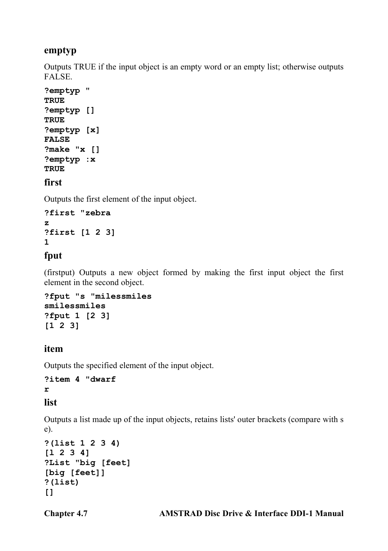### **emptyp**

Outputs TRUE if the input object is an empty word or an empty list; otherwise outputs **FALSE** 

```
?emptyp "
TRUE 
?emptyp [] 
TRUE 
?emptyp [x]
FALSE 
?make "x []
?emptyp :x 
TRUE
```
### **first**

Outputs the first element of the input object.

```
?first "zebra
z
?first [1 2 3] 
1
```
### **fput**

(firstput) Outputs a new object formed by making the first input object the first element in the second object.

```
?fput "s "milessmiles
smilessmiles
?fput 1 [2 3]
[1 2 3]
```
### **item**

Outputs the specified element of the input object.

```
?item 4 "dwarf 
r
```
### **list**

Outputs a list made up of the input objects, retains lists' outer brackets (compare with s e).

```
?(list 1 2 3 4)
[l 2 3 4]
?List "big [feet] 
[big [feet]] 
?(list)
[]
```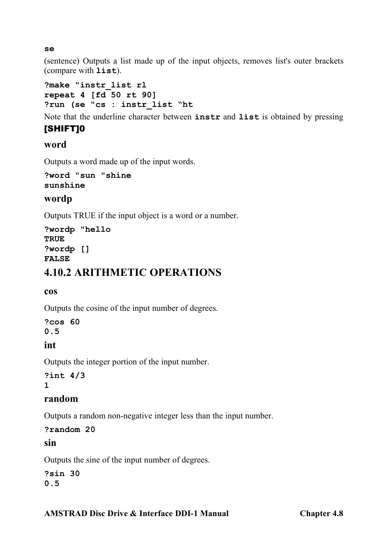**se**

(sentence) Outputs a list made up of the input objects, removes list's outer brackets (compare with **list**).

**?make "instr\_list rl repeat 4 [fd 50 rt 90] ?run (se "cs : instr\_list "ht**

Note that the underline character between **instr** and **list** is obtained by pressing

## [SHIFT]0

### **word**

Outputs a word made up of the input words.

**?word "sun "shine sunshine**

### **wordp**

Outputs TRUE if the input object is a word or a number.

```
?wordp "hello
TRUE 
?wordp []
FALSE
```
## **4.10.2 ARITHMETIC OPERATIONS**

### **cos**

Outputs the cosine of the input number of degrees.

**?cos 60** 

**0.5**

### **int**

Outputs the integer portion of the input number.

**?int 4/3 1**

### **random**

Outputs a random non-negative integer less than the input number.

**?random 20**

### **sin**

Outputs the sine of the input number of degrees.

**?sin 30 0.5**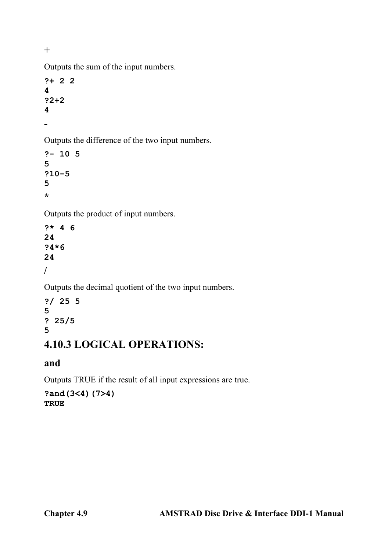**+**

Outputs the sum of the input numbers.

**?+ 2 2 4 ?2+2 4 -** 

Outputs the difference of the two input numbers.

**?- 10 5 5 ?10-5 5 \***

Outputs the product of input numbers.

**?\* 4 6 24 ?4\*6 24 /**

Outputs the decimal quotient of the two input numbers.

**?/ 25 5 5 ? 25/5 5**

## **4.10.3 LOGICAL OPERATIONS:**

### **and**

Outputs TRUE if the result of all input expressions are true.

### **?and(3<4)(7>4) TRUE**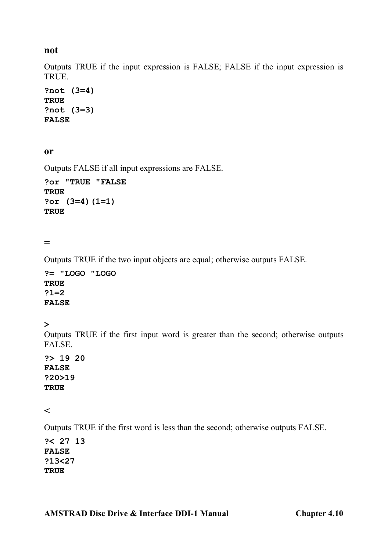#### **not**

Outputs TRUE if the input expression is FALSE; FALSE if the input expression is TRUE.

```
?not (3=4)
TRUE 
?not (3=3) 
FALSE
```
#### **or**

Outputs FALSE if all input expressions are FALSE.

```
?or "TRUE "FALSE 
TRUE 
?or (3=4)(1=1) 
TRUE
```
**=**

Outputs TRUE if the two input objects are equal; otherwise outputs FALSE.

```
?= "LOGO "LOGO 
TRUE 
?1=2 
FALSE
```
#### **>**

Outputs TRUE if the first input word is greater than the second; otherwise outputs FALSE.

**?> 19 20 FALSE ?20>19 TRUE**

```
<
```
Outputs TRUE if the first word is less than the second; otherwise outputs FALSE.

**?< 27 13 FALSE ?13<27 TRUE**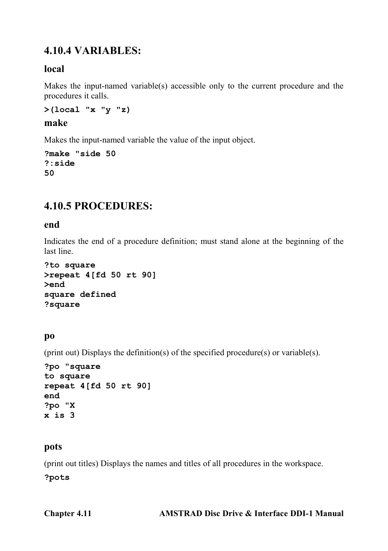## **4.10.4 VARIABLES:**

### **local**

Makes the input-named variable(s) accessible only to the current procedure and the procedures it calls.

**>(local "x "y "z)**

### **make**

Makes the input-named variable the value of the input object.

```
?make "side 50 
?:side 
50
```
## **4.10.5 PROCEDURES:**

### **end**

Indicates the end of a procedure definition; must stand alone at the beginning of the last line.

```
?to square 
>repeat 4[fd 50 rt 90]
>end 
square defined 
?square
```
### **po**

(print out) Displays the definition(s) of the specified procedure(s) or variable(s).

```
?po "square 
to square 
repeat 4[fd 50 rt 90]
end 
?po "X 
x is 3
```
### **pots**

(print out titles) Displays the names and titles of all procedures in the workspace.

**?pots**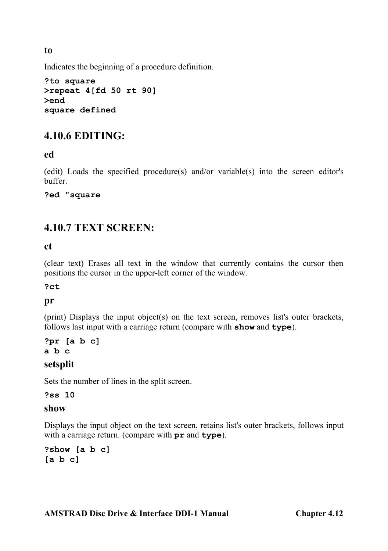**to**

Indicates the beginning of a procedure definition.

```
?to square 
>repeat 4[fd 50 rt 90] 
>end 
square defined
```
## **4.10.6 EDITING:**

**ed**

(edit) Loads the specified procedure(s) and/or variable(s) into the screen editor's buffer.

**?ed "square**

### **4.10.7 TEXT SCREEN:**

### **ct**

(clear text) Erases all text in the window that currently contains the cursor then positions the cursor in the upper-left corner of the window.

### **?ct**

### **pr**

(print) Displays the input object(s) on the text screen, removes list's outer brackets, follows last input with a carriage return (compare with **show** and **type**).

## **?pr [a b c]**

## **a b c**

### **setsplit**

Sets the number of lines in the split screen.

### **?ss 10**

### **show**

Displays the input object on the text screen, retains list's outer brackets, follows input with a carriage return. (compare with **pr** and **type**).

```
?show [a b c] 
[a b c]
```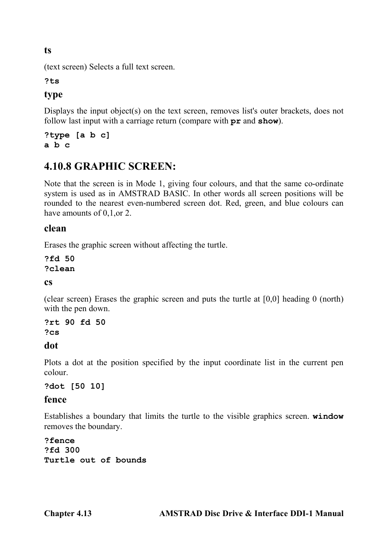### **ts**

(text screen) Selects a full text screen.

**?ts**

### **type**

Displays the input object(s) on the text screen, removes list's outer brackets, does not follow last input with a carriage return (compare with **pr** and **show**).

```
?type [a b c] 
a b c
```
## **4.10.8 GRAPHIC SCREEN:**

Note that the screen is in Mode 1, giving four colours, and that the same co-ordinate system is used as in AMSTRAD BASIC. In other words all screen positions will be rounded to the nearest even-numbered screen dot. Red, green, and blue colours can have amounts of 0,1,or 2.

### **clean**

Erases the graphic screen without affecting the turtle.

```
?fd 50 
?clean
```
### **cs**

(clear screen) Erases the graphic screen and puts the turtle at [0,0] heading 0 (north) with the pen down.

**?rt 90 fd 50 ?cs**

### **dot**

Plots a dot at the position specified by the input coordinate list in the current pen colour.

### **?dot [50 10]**

### **fence**

Establishes a boundary that limits the turtle to the visible graphics screen. **window** removes the boundary.

**?fence ?fd 300 Turtle out of bounds**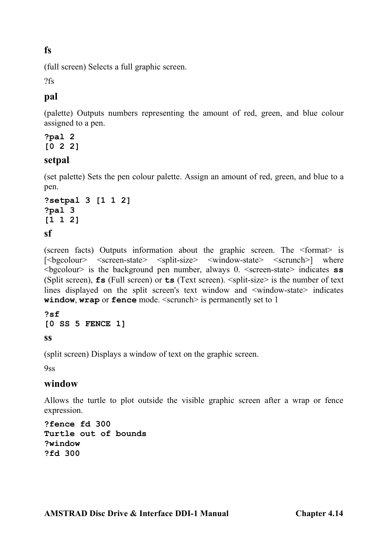### **fs**

(full screen) Selects a full graphic screen.

 $2f_S$ 

### **pal**

(palette) Outputs numbers representing the amount of red, green, and blue colour assigned to a pen.

## **?pal 2**

```
[0 2 2]
```
### **setpal**

(set palette) Sets the pen colour palette. Assign an amount of red, green, and blue to a pen.

```
?setpal 3 [1 1 2] 
?pal 3 
[1 1 2]
```
**sf**

(screen facts) Outputs information about the graphic screen. The <format> is [<br/>bgcolour> <screen-state> <split-size> <window-state> <scrunch>] where  $\leq$ bgcolour $\geq$  is the background pen number, always 0.  $\leq$ screen-state $\geq$  indicates **ss** (Split screen),  $\mathbf{fs}$  (Full screen) or  $\mathbf{ts}$  (Text screen).  $\leq$ split-size $\geq$  is the number of text lines displayed on the split screen's text window and  $\leq$  window-state indicates **window, wrap** or **fence** mode.  $\leq$  scrunch is permanently set to 1

#### **?sf [0 SS 5 FENCE 1]**

**ss**

(split screen) Displays a window of text on the graphic screen.

 $9ss$ 

### **window**

Allows the turtle to plot outside the visible graphic screen after a wrap or fence expression.

```
?fence fd 300 
Turtle out of bounds 
?window 
?fd 300
```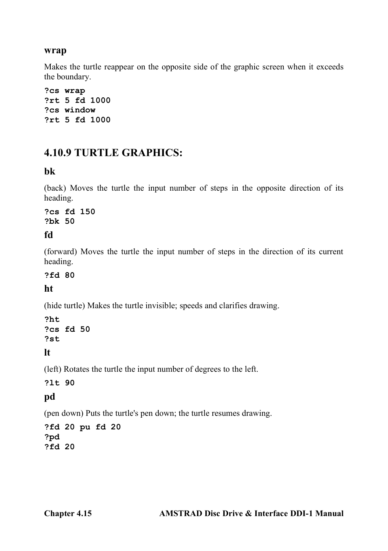#### **wrap**

Makes the turtle reappear on the opposite side of the graphic screen when it exceeds the boundary.

```
?cs wrap 
?rt 5 fd 1000 
?cs window 
?rt 5 fd 1000
```
# **4.10.9 TURTLE GRAPHICS:**

# **bk**

(back) Moves the turtle the input number of steps in the opposite direction of its heading.

**?cs fd 150 ?bk 50**

# **fd**

(forward) Moves the turtle the input number of steps in the direction of its current heading.

#### **?fd 80**

# **ht**

(hide turtle) Makes the turtle invisible; speeds and clarifies drawing.

**?ht ?cs fd 50 ?st**

# **lt**

(left) Rotates the turtle the input number of degrees to the left.

```
?lt 90
```
# **pd**

(pen down) Puts the turtle's pen down; the turtle resumes drawing.

**?fd 20 pu fd 20 ?pd ?fd 20**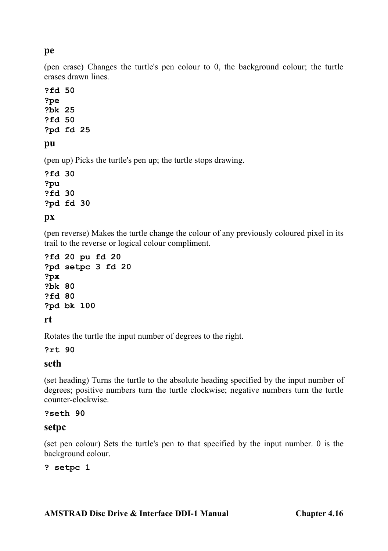### **pe**

(pen erase) Changes the turtle's pen colour to 0, the background colour; the turtle erases drawn lines.

**?fd 50 ?pe ?bk 25 ?fd 50 ?pd fd 25**

#### **pu**

(pen up) Picks the turtle's pen up; the turtle stops drawing.

**?fd 30 ?pu ?fd 30 ?pd fd 30**

# **px**

(pen reverse) Makes the turtle change the colour of any previously coloured pixel in its trail to the reverse or logical colour compliment.

```
?fd 20 pu fd 20 
?pd setpc 3 fd 20 
?px 
?bk 80 
?fd 80 
?pd bk 100
```
### **rt**

Rotates the turtle the input number of degrees to the right.

**?rt 90**

### **seth**

(set heading) Turns the turtle to the absolute heading specified by the input number of degrees; positive numbers turn the turtle clockwise; negative numbers turn the turtle counter-clockwise.

#### **?seth 90**

#### **setpc**

(set pen colour) Sets the turtle's pen to that specified by the input number. 0 is the background colour.

#### **? setpc 1**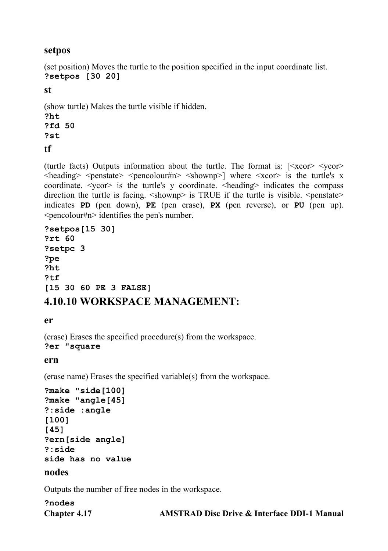### **setpos**

(set position) Moves the turtle to the position specified in the input coordinate list. **?setpos [30 20]**

**st**

(show turtle) Makes the turtle visible if hidden. **?ht ?fd 50 ?st**

**tf**

(turtle facts) Outputs information about the turtle. The format is:  $\langle \times \text{cor} \rangle \langle \times \text{cor} \rangle$  $\leq$ heading>  $\leq$ penstate>  $\leq$ pencolour#n>  $\leq$ shownp>] where  $\leq$ xcor> is the turtle's x coordinate.  $\langle v \rangle$  is the turtle's y coordinate.  $\langle \rangle$  heading indicates the compass direction the turtle is facing.  $\langle$ shownp> is TRUE if the turtle is visible.  $\langle$  penstate> indicates **PD** (pen down), **PE** (pen erase), **PX** (pen reverse), or **PU** (pen up). <pencolour#n> identifies the pen's number.

```
?setpos[15 30] 
?rt 60 
?setpc 3 
?pe 
?ht 
?tf 
[15 30 60 PE 3 FALSE]
```
# **4.10.10 WORKSPACE MANAGEMENT:**

### **er**

(erase) Erases the specified procedure(s) from the workspace. **?er "square**

#### **ern**

(erase name) Erases the specified variable(s) from the workspace.

```
?make "side[100]
?make "angle[45] 
?:side :angle 
[100]
[45]
?ern[side angle] 
?:side 
side has no value
```
#### **nodes**

Outputs the number of free nodes in the workspace.

**?nodes**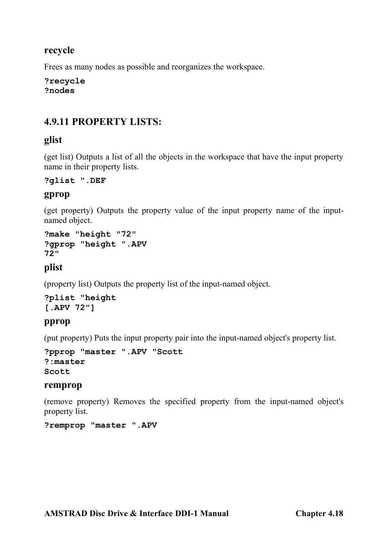### **recycle**

Frees as many nodes as possible and reorganizes the workspace.

**?recycle ?nodes**

# **4.9.11 PROPERTY LISTS:**

### **glist**

(get list) Outputs a list of all the objects in the workspace that have the input property name in their property lists.

#### **?glist ".DEF**

#### **gprop**

(get property) Outputs the property value of the input property name of the inputnamed object.

```
?make "height "72" 
?gprop "height ".APV 
72"
```
### **plist**

(property list) Outputs the property list of the input-named object.

```
?plist "height 
[.APV 72"]
```
#### **pprop**

(put property) Puts the input property pair into the input-named object's property list.

```
?pprop "master ".APV "Scott 
?:master 
Scott
```
#### **remprop**

(remove property) Removes the specified property from the input-named object's property list.

```
?remprop "master ".APV
```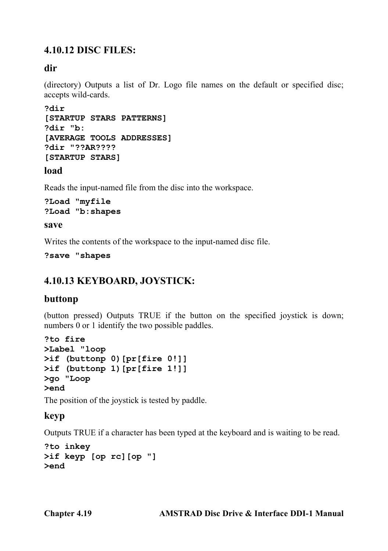# **4.10.12 DISC FILES:**

# **dir**

(directory) Outputs a list of Dr. Logo file names on the default or specified disc; accepts wild-cards.

```
?dir 
[STARTUP STARS PATTERNS] 
?dir "b: 
[AVERAGE TOOLS ADDRESSES] 
?dir "??AR???? 
[STARTUP STARS]
```
### **load**

Reads the input-named file from the disc into the workspace.

```
?Load "myfile 
?Load "b:shapes
```
#### **save**

Writes the contents of the workspace to the input-named disc file.

```
?save "shapes
```
# **4.10.13 KEYBOARD, JOYSTICK:**

# **buttonp**

(button pressed) Outputs TRUE if the button on the specified joystick is down; numbers 0 or 1 identify the two possible paddles.

```
?to fire 
>Label "loop 
>if (buttonp 0)[pr[fire 0!]] 
>if (buttonp 1)[pr[fire 1!]] 
>go "Loop 
>end
```
The position of the joystick is tested by paddle.

# **keyp**

Outputs TRUE if a character has been typed at the keyboard and is waiting to be read.

```
?to inkey 
>if keyp [op rc][op "]
>end
```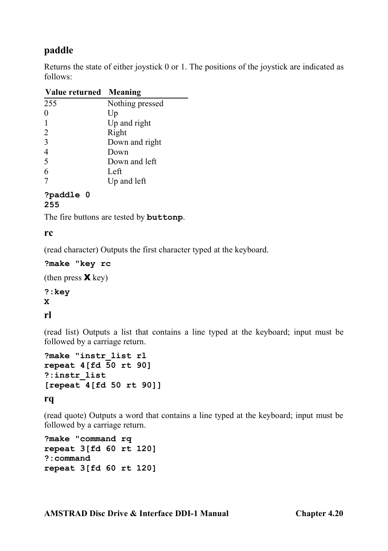# **paddle**

Returns the state of either joystick 0 or 1. The positions of the joystick are indicated as follows:

#### **Value returned Meaning**

| 255      | Nothing pressed |
|----------|-----------------|
| $\Omega$ | Up              |
|          | Up and right    |
| 2        | Right           |
| 3        | Down and right  |
|          | Down            |
| 5        | Down and left   |
| 6        | Left            |
|          | Up and left     |

#### **?paddle 0 255**

The fire buttons are tested by **buttonp**.

#### **rc**

(read character) Outputs the first character typed at the keyboard.

```
?make "key rc 
(then press \mathbf{\mathsf{X}} key)
```
**?:key X**

#### **rl**

(read list) Outputs a list that contains a line typed at the keyboard; input must be followed by a carriage return.

```
?make "instr_list rl 
repeat 4[fd 50 rt 90] 
?:instr_list
[repeat 4[fd 50 rt 90]]
```
#### **rq**

(read quote) Outputs a word that contains a line typed at the keyboard; input must be followed by a carriage return.

```
?make "command rq 
repeat 3[fd 60 rt 120] 
?:command 
repeat 3[fd 60 rt 120]
```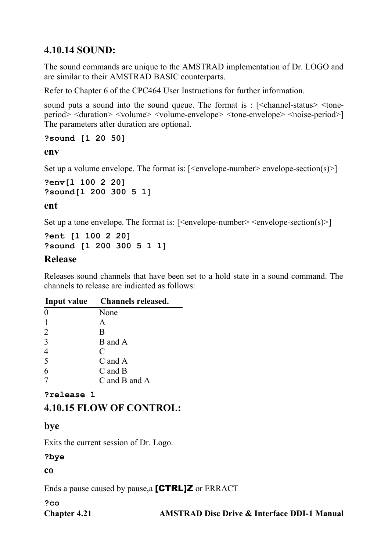# **4.10.14 SOUND:**

The sound commands are unique to the AMSTRAD implementation of Dr. LOGO and are similar to their AMSTRAD BASIC counterparts.

Refer to Chapter 6 of the CPC464 User Instructions for further information.

sound puts a sound into the sound queue. The format is : [<channel-status> <toneperiod> <duration> <volume> <volume-envelope> <tone-envelope> <noise-period>] The parameters after duration are optional.

**?sound [1 20 50]**

**env** 

Set up a volume envelope. The format is:  $\leq$  envelope-number  $\geq$  envelope-section(s) $\geq$  l

**?env[l 100 2 20] ?sound[l 200 300 5 1]**

#### **ent**

Set up a tone envelope. The format is:  $\leq$  envelope-number>  $\leq$  envelope-section(s)> $\geq$ 

**?ent [l 100 2 20] ?sound [1 200 300 5 1 1]**

### **Release**

Releases sound channels that have been set to a hold state in a sound command. The channels to release are indicated as follows:

#### **Input value Channels released.**

| 0              | None          |
|----------------|---------------|
| $\mathbf{1}$   | A             |
| $\overline{2}$ | B             |
| $\overline{3}$ | B and A       |
|                | C             |
| $\frac{4}{5}$  | C and A       |
| $\overline{6}$ | $C$ and $B$   |
|                | C and B and A |
|                |               |

**?release 1 4.10.15 FLOW OF CONTROL:**

# **bye**

Exits the current session of Dr. Logo.

#### **?bye**

**co**

Ends a pause caused by pause,a [CTRL]Z or ERRACT

**?co**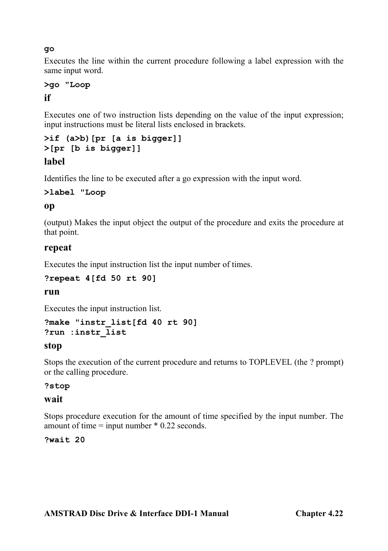#### **go**

Executes the line within the current procedure following a label expression with the same input word.

### **>go "Loop**

### **if**

Executes one of two instruction lists depending on the value of the input expression; input instructions must be literal lists enclosed in brackets.

#### **>if (a>b)[pr [a is bigger]] >[pr [b is bigger]] label**

Identifies the line to be executed after a go expression with the input word.

#### **>label "Loop**

#### **op**

(output) Makes the input object the output of the procedure and exits the procedure at that point.

#### **repeat**

Executes the input instruction list the input number of times.

**?repeat 4[fd 50 rt 90]**

#### **run**

Executes the input instruction list.

```
?make "instr_list[fd 40 rt 90] 
?run :instr_list
```
#### **stop**

Stops the execution of the current procedure and returns to TOPLEVEL (the ? prompt) or the calling procedure.

#### **?stop**

#### **wait**

Stops procedure execution for the amount of time specified by the input number. The amount of time  $=$  input number  $*$  0.22 seconds.

#### **?wait 20**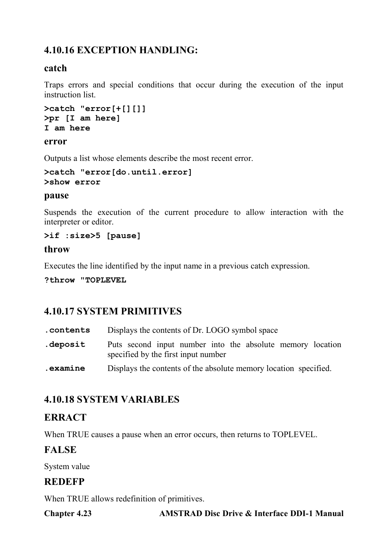# **4.10.16 EXCEPTION HANDLING:**

### **catch**

Traps errors and special conditions that occur during the execution of the input instruction list.

```
>catch "error[+[][]] 
>pr [I am here]
I am here
```
#### **error**

Outputs a list whose elements describe the most recent error.

```
>catch "error[do.until.error]
>show error
```
#### **pause**

Suspends the execution of the current procedure to allow interaction with the interpreter or editor.

#### **>if :size>5 [pause]**

#### **throw**

Executes the line identified by the input name in a previous catch expression.

```
?throw "TOPLEVEL
```
# **4.10.17 SYSTEM PRIMITIVES**

- **.contents** Displays the contents of Dr. LOGO symbol space
- **.deposit** Puts second input number into the absolute memory location specified by the first input number
- **.examine** Displays the contents of the absolute memory location specified.

# **4.10.18 SYSTEM VARIABLES**

# **ERRACT**

When TRUE causes a pause when an error occurs, then returns to TOPLEVEL.

# **FALSE**

System value

# **REDEFP**

When TRUE allows redefinition of primitives.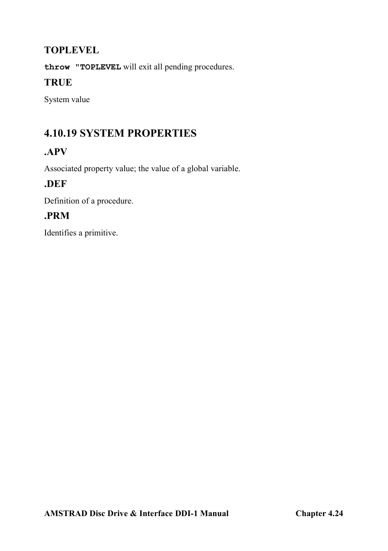# **TOPLEVEL**

**throw "TOPLEVEL** will exit all pending procedures.

# **TRUE**

System value

# **4.10.19 SYSTEM PROPERTIES**

# **.APV**

Associated property value; the value of a global variable.

# **.DEF**

Definition of a procedure.

# **.PRM**

Identifies a primitive.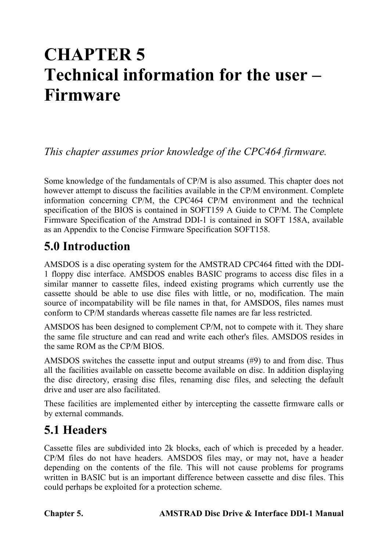# **CHAPTER 5 Technical information for the user – Firmware**

*This chapter assumes prior knowledge of the CPC464 firmware.*

Some knowledge of the fundamentals of CP/M is also assumed. This chapter does not however attempt to discuss the facilities available in the CP/M environment. Complete information concerning CP/M, the CPC464 CP/M environment and the technical specification of the BIOS is contained in SOFT159 A Guide to CP/M. The Complete Firmware Specification of the Amstrad DDI-1 is contained in SOFT 158A, available as an Appendix to the Concise Firmware Specification SOFT158.

# **5.0 Introduction**

AMSDOS is a disc operating system for the AMSTRAD CPC464 fitted with the DDI-1 floppy disc interface. AMSDOS enables BASIC programs to access disc files in a similar manner to cassette files, indeed existing programs which currently use the cassette should be able to use disc files with little, or no, modification. The main source of incompatability will be file names in that, for AMSDOS, files names must conform to CP/M standards whereas cassette file names are far less restricted.

AMSDOS has been designed to complement CP/M, not to compete with it. They share the same file structure and can read and write each other's files. AMSDOS resides in the same ROM as the CP/M BIOS.

AMSDOS switches the cassette input and output streams (#9) to and from disc. Thus all the facilities available on cassette become available on disc. In addition displaying the disc directory, erasing disc files, renaming disc files, and selecting the default drive and user are also facilitated.

These facilities are implemented either by intercepting the cassette firmware calls or by external commands.

# **5.1 Headers**

Cassette files are subdivided into 2k blocks, each of which is preceded by a header. CP/M files do not have headers. AMSDOS files may, or may not, have a header depending on the contents of the file. This will not cause problems for programs written in BASIC but is an important difference between cassette and disc files. This could perhaps be exploited for a protection scheme.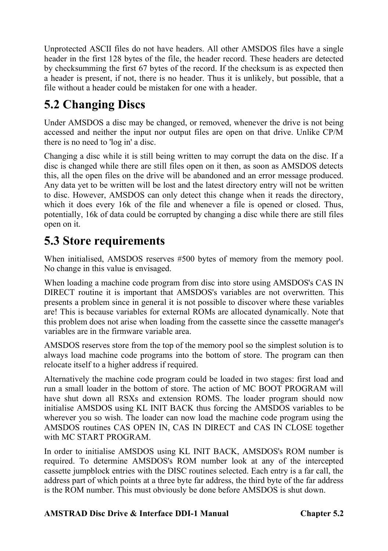Unprotected ASCII files do not have headers. All other AMSDOS files have a single header in the first 128 bytes of the file, the header record. These headers are detected by checksumming the first 67 bytes of the record. If the checksum is as expected then a header is present, if not, there is no header. Thus it is unlikely, but possible, that a file without a header could be mistaken for one with a header.

# **5.2 Changing Discs**

Under AMSDOS a disc may be changed, or removed, whenever the drive is not being accessed and neither the input nor output files are open on that drive. Unlike CP/M there is no need to 'log in' a disc.

Changing a disc while it is still being written to may corrupt the data on the disc. If a disc is changed while there are still files open on it then, as soon as AMSDOS detects this, all the open files on the drive will be abandoned and an error message produced. Any data yet to be written will be lost and the latest directory entry will not be written to disc. However, AMSDOS can only detect this change when it reads the directory, which it does every 16k of the file and whenever a file is opened or closed. Thus, potentially, 16k of data could be corrupted by changing a disc while there are still files open on it.

# **5.3 Store requirements**

When initialised, AMSDOS reserves #500 bytes of memory from the memory pool. No change in this value is envisaged.

When loading a machine code program from disc into store using AMSDOS's CAS IN DIRECT routine it is important that AMSDOS's variables are not overwritten. This presents a problem since in general it is not possible to discover where these variables are! This is because variables for external ROMs are allocated dynamically. Note that this problem does not arise when loading from the cassette since the cassette manager's variables are in the firmware variable area.

AMSDOS reserves store from the top of the memory pool so the simplest solution is to always load machine code programs into the bottom of store. The program can then relocate itself to a higher address if required.

Alternatively the machine code program could be loaded in two stages: first load and run a small loader in the bottom of store. The action of MC BOOT PROGRAM will have shut down all RSXs and extension ROMS. The loader program should now initialise AMSDOS using KL INIT BACK thus forcing the AMSDOS variables to be wherever you so wish. The loader can now load the machine code program using the AMSDOS routines CAS OPEN IN, CAS IN DIRECT and CAS IN CLOSE together with MC START PROGRAM.

In order to initialise AMSDOS using KL INIT BACK, AMSDOS's ROM number is required. To determine AMSDOS's ROM number look at any of the intercepted cassette jumpblock entries with the DISC routines selected. Each entry is a far call, the address part of which points at a three byte far address, the third byte of the far address is the ROM number. This must obviously be done before AMSDOS is shut down.

#### **AMSTRAD Disc Drive & Interface DDI-1 Manual Chapter 5.2**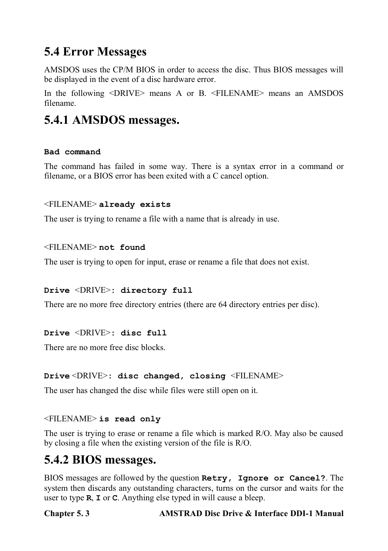# **5.4 Error Messages**

AMSDOS uses the CP/M BIOS in order to access the disc. Thus BIOS messages will be displayed in the event of a disc hardware error.

In the following <DRIVE> means A or B. <FILENAME> means an AMSDOS filename.

# **5.4.1 AMSDOS messages.**

#### **Bad command**

The command has failed in some way. There is a syntax error in a command or filename, or a BIOS error has been exited with a C cancel option.

#### <FILENAME> **already exists**

The user is trying to rename a file with a name that is already in use.

#### <FILENAME> **not found**

The user is trying to open for input, erase or rename a file that does not exist.

#### **Drive** <DRIVE>**: directory full**

There are no more free directory entries (there are 64 directory entries per disc).

#### **Drive** <DRIVE>**: disc full**

There are no more free disc blocks.

#### **Drive** <DRIVE>**: disc changed, closing** <FILENAME>

The user has changed the disc while files were still open on it.

#### <FILENAME> **is read only**

The user is trying to erase or rename a file which is marked R/O. May also be caused by closing a file when the existing version of the file is R/O.

# **5.4.2 BIOS messages.**

BIOS messages are followed by the question **Retry, Ignore or Cancel?**. The system then discards any outstanding characters, turns on the cursor and waits for the user to type **R**, **I** or **C**. Anything else typed in will cause a bleep.

#### **Chapter 5. 3 AMSTRAD Disc Drive & Interface DDI-1 Manual**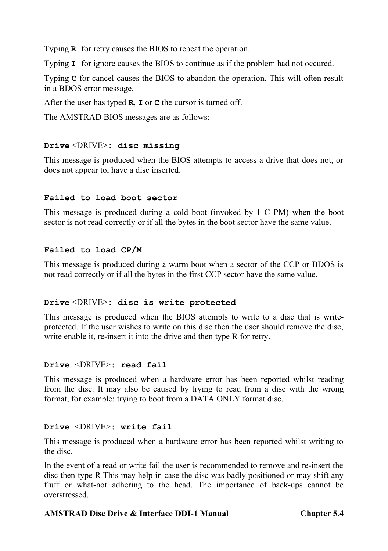Typing **R** for retry causes the BIOS to repeat the operation.

Typing **I** for ignore causes the BIOS to continue as if the problem had not occured.

Typing **C** for cancel causes the BIOS to abandon the operation. This will often result in a BDOS error message.

After the user has typed **R**, **I** or **C** the cursor is turned off.

The AMSTRAD BIOS messages are as follows:

#### **Drive** <DRIVE>**: disc missing**

This message is produced when the BIOS attempts to access a drive that does not, or does not appear to, have a disc inserted.

#### **Failed to load boot sector**

This message is produced during a cold boot (invoked by 1 C PM) when the boot sector is not read correctly or if all the bytes in the boot sector have the same value.

#### **Failed to load CP/M**

This message is produced during a warm boot when a sector of the CCP or BDOS is not read correctly or if all the bytes in the first CCP sector have the same value.

#### **Drive** <DRIVE>**: disc is write protected**

This message is produced when the BIOS attempts to write to a disc that is writeprotected. If the user wishes to write on this disc then the user should remove the disc, write enable it, re-insert it into the drive and then type R for retry.

#### **Drive** <DRIVE>**: read fail**

This message is produced when a hardware error has been reported whilst reading from the disc. It may also be caused by trying to read from a disc with the wrong format, for example: trying to boot from a DATA ONLY format disc.

#### **Drive** <DRIVE>**: write fail**

This message is produced when a hardware error has been reported whilst writing to the disc.

In the event of a read or write fail the user is recommended to remove and re-insert the disc then type R This may help in case the disc was badly positioned or may shift any fluff or what-not adhering to the head. The importance of back-ups cannot be overstressed.

#### **AMSTRAD Disc Drive & Interface DDI-1 Manual Chapter 5.4**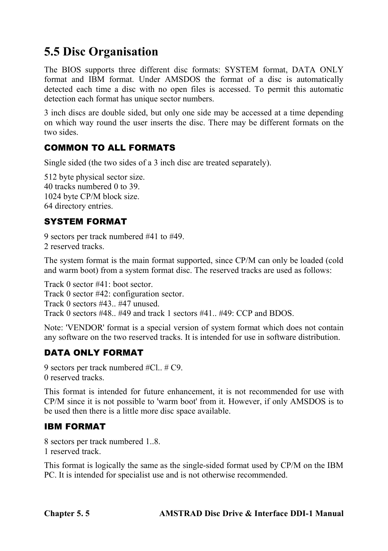# **5.5 Disc Organisation**

The BIOS supports three different disc formats: SYSTEM format, DATA ONLY format and IBM format. Under AMSDOS the format of a disc is automatically detected each time a disc with no open files is accessed. To permit this automatic detection each format has unique sector numbers.

3 inch discs are double sided, but only one side may be accessed at a time depending on which way round the user inserts the disc. There may be different formats on the two sides.

# COMMON TO ALL FORMATS

Single sided (the two sides of a 3 inch disc are treated separately).

512 byte physical sector size. 40 tracks numbered 0 to 39. 1024 byte CP/M block size. 64 directory entries.

# SYSTEM FORMAT

9 sectors per track numbered #41 to #49. 2 reserved tracks.

The system format is the main format supported, since CP/M can only be loaded (cold and warm boot) from a system format disc. The reserved tracks are used as follows:

Track 0 sector #41: boot sector. Track 0 sector #42: configuration sector. Track 0 sectors  $#43$ ...  $#47$  unused. Track 0 sectors #48.. #49 and track 1 sectors #41.. #49: CCP and BDOS.

Note: 'VENDOR' format is a special version of system format which does not contain any software on the two reserved tracks. It is intended for use in software distribution.

# DATA ONLY FORMAT

9 sectors per track numbered #Cl.. # C9. 0 reserved tracks.

This format is intended for future enhancement, it is not recommended for use with CP/M since it is not possible to 'warm boot' from it. However, if only AMSDOS is to be used then there is a little more disc space available.

### IBM FORMAT

8 sectors per track numbered 1..8. 1 reserved track.

This format is logically the same as the single-sided format used by CP/M on the IBM PC. It is intended for specialist use and is not otherwise recommended.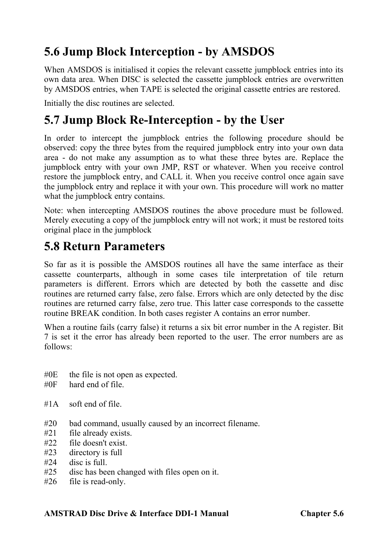# **5.6 Jump Block Interception - by AMSDOS**

When AMSDOS is initialised it copies the relevant cassette jumpblock entries into its own data area. When DISC is selected the cassette jumpblock entries are overwritten by AMSDOS entries, when TAPE is selected the original cassette entries are restored.

Initially the disc routines are selected.

# **5.7 Jump Block Re-Interception - by the User**

In order to intercept the jumpblock entries the following procedure should be observed: copy the three bytes from the required jumpblock entry into your own data area - do not make any assumption as to what these three bytes are. Replace the jumpblock entry with your own JMP, RST or whatever. When you receive control restore the jumpblock entry, and CALL it. When you receive control once again save the jumpblock entry and replace it with your own. This procedure will work no matter what the jumpblock entry contains.

Note: when intercepting AMSDOS routines the above procedure must be followed. Merely executing a copy of the jumpblock entry will not work; it must be restored toits original place in the jumpblock

# **5.8 Return Parameters**

So far as it is possible the AMSDOS routines all have the same interface as their cassette counterparts, although in some cases tile interpretation of tile return parameters is different. Errors which are detected by both the cassette and disc routines are returned carry false, zero false. Errors which are only detected by the disc routines are returned carry false, zero true. This latter case corresponds to the cassette routine BREAK condition. In both cases register A contains an error number.

When a routine fails (carry false) it returns a six bit error number in the A register. Bit 7 is set it the error has already been reported to the user. The error numbers are as follows:

- #0E the file is not open as expected.
- #0F hard end of file.
- $#1A$  soft end of file.
- #20 bad command, usually caused by an incorrect filename.
- #21 file already exists.
- #22 file doesn't exist.
- #23 directory is full
- $#24$  disc is full.
- #25 disc has been changed with files open on it.
- $#26$  file is read-only.

#### **AMSTRAD Disc Drive & Interface DDI-1 Manual Chapter 5.6**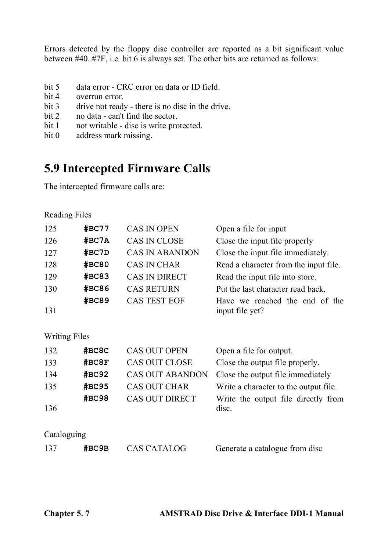Errors detected by the floppy disc controller are reported as a bit significant value between #40..#7F, i.e. bit 6 is always set. The other bits are returned as follows:

- bit 5 data error CRC error on data or ID field.
- 
- bit 4 overrun error.<br>bit 3 drive not ready drive not ready - there is no disc in the drive.
- bit 2 no data can't find the sector.
- bit 1 not writable disc is write protected.
- bit 0 address mark missing.

# **5.9 Intercepted Firmware Calls**

The intercepted firmware calls are:

#### Reading Files

| 125                  | #BC77        | <b>CAS IN OPEN</b>     | Open a file for input                             |
|----------------------|--------------|------------------------|---------------------------------------------------|
| 126                  | #BC7A        | CAS IN CLOSE           | Close the input file properly                     |
| 127                  | #BC7D        | <b>CAS IN ABANDON</b>  | Close the input file immediately.                 |
| 128                  | #BC80        | <b>CAS IN CHAR</b>     | Read a character from the input file.             |
| 129                  | <b>#BC83</b> | <b>CAS IN DIRECT</b>   | Read the input file into store.                   |
| 130                  | #BC86        | <b>CAS RETURN</b>      | Put the last character read back.                 |
| 131                  | <b>#BC89</b> | <b>CAS TEST EOF</b>    | Have we reached the end of the<br>input file yet? |
|                      |              |                        |                                                   |
| <b>Writing Files</b> |              |                        |                                                   |
| 132                  | #BC8C        | <b>CAS OUT OPEN</b>    | Open a file for output.                           |
| 133                  | #BC8F        | CAS OUT CLOSE          | Close the output file properly.                   |
| 134                  | #BC92        | <b>CAS OUT ABANDON</b> | Close the output file immediately                 |
| 135                  | <b>#BC95</b> | <b>CAS OUT CHAR</b>    | Write a character to the output file.             |
|                      | <b>#BC98</b> | <b>CAS OUT DIRECT</b>  | Write the output file directly from               |
| 136                  |              |                        | disc.                                             |
| Cataloguing          |              |                        |                                                   |
| 137                  | #BC9B        | <b>CAS CATALOG</b>     | Generate a catalogue from disc                    |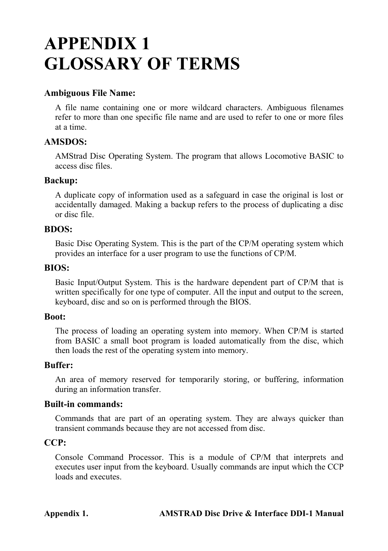# **APPENDIX 1 GLOSSARY OF TERMS**

#### **Ambiguous File Name:**

A file name containing one or more wildcard characters. Ambiguous filenames refer to more than one specific file name and are used to refer to one or more files at a time.

#### **AMSDOS:**

AMStrad Disc Operating System. The program that allows Locomotive BASIC to access disc files.

#### **Backup:**

A duplicate copy of information used as a safeguard in case the original is lost or accidentally damaged. Making a backup refers to the process of duplicating a disc or disc file.

#### **BDOS:**

Basic Disc Operating System. This is the part of the CP/M operating system which provides an interface for a user program to use the functions of CP/M.

#### **BIOS:**

Basic Input/Output System. This is the hardware dependent part of CP/M that is written specifically for one type of computer. All the input and output to the screen, keyboard, disc and so on is performed through the BIOS.

#### **Boot:**

The process of loading an operating system into memory. When CP/M is started from BASIC a small boot program is loaded automatically from the disc, which then loads the rest of the operating system into memory.

#### **Buffer:**

An area of memory reserved for temporarily storing, or buffering, information during an information transfer.

#### **Built-in commands:**

Commands that are part of an operating system. They are always quicker than transient commands because they are not accessed from disc.

#### **CCP:**

Console Command Processor. This is a module of CP/M that interprets and executes user input from the keyboard. Usually commands are input which the CCP loads and executes.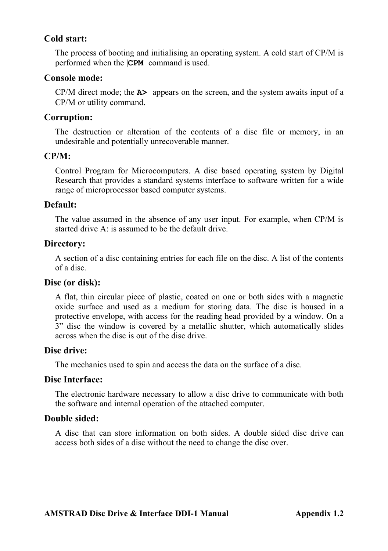#### **Cold start:**

The process of booting and initialising an operating system. A cold start of CP/M is performed when the |**CPM** command is used.

#### **Console mode:**

CP/M direct mode; the **A>** appears on the screen, and the system awaits input of a CP/M or utility command.

#### **Corruption:**

The destruction or alteration of the contents of a disc file or memory, in an undesirable and potentially unrecoverable manner.

#### **CP/M:**

Control Program for Microcomputers. A disc based operating system by Digital Research that provides a standard systems interface to software written for a wide range of microprocessor based computer systems.

#### **Default:**

The value assumed in the absence of any user input. For example, when CP/M is started drive A: is assumed to be the default drive.

#### **Directory:**

A section of a disc containing entries for each file on the disc. A list of the contents of a disc.

#### **Disc (or disk):**

A flat, thin circular piece of plastic, coated on one or both sides with a magnetic oxide surface and used as a medium for storing data. The disc is housed in a protective envelope, with access for the reading head provided by a window. On a 3" disc the window is covered by a metallic shutter, which automatically slides across when the disc is out of the disc drive.

#### **Disc drive:**

The mechanics used to spin and access the data on the surface of a disc.

#### **Disc Interface:**

The electronic hardware necessary to allow a disc drive to communicate with both the software and internal operation of the attached computer.

#### **Double sided:**

A disc that can store information on both sides. A double sided disc drive can access both sides of a disc without the need to change the disc over.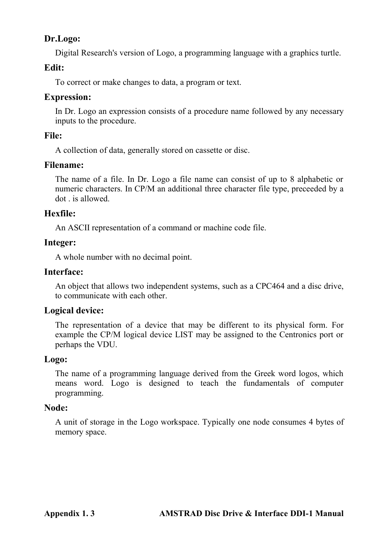#### **Dr.Logo:**

Digital Research's version of Logo, a programming language with a graphics turtle.

#### **Edit:**

To correct or make changes to data, a program or text.

#### **Expression:**

In Dr. Logo an expression consists of a procedure name followed by any necessary inputs to the procedure.

#### **File:**

A collection of data, generally stored on cassette or disc.

#### **Filename:**

The name of a file. In Dr. Logo a file name can consist of up to 8 alphabetic or numeric characters. In CP/M an additional three character file type, preceeded by a dot is allowed.

#### **Hexfile:**

An ASCII representation of a command or machine code file.

#### **Integer:**

A whole number with no decimal point.

#### **Interface:**

An object that allows two independent systems, such as a CPC464 and a disc drive, to communicate with each other.

#### **Logical device:**

The representation of a device that may be different to its physical form. For example the CP/M logical device LIST may be assigned to the Centronics port or perhaps the VDU.

#### **Logo:**

The name of a programming language derived from the Greek word logos, which means word. Logo is designed to teach the fundamentals of computer programming.

#### **Node:**

A unit of storage in the Logo workspace. Typically one node consumes 4 bytes of memory space.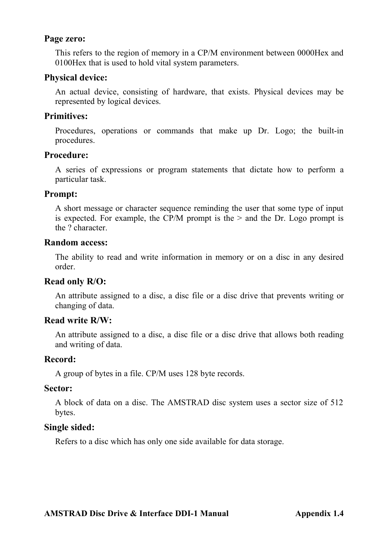#### **Page zero:**

This refers to the region of memory in a CP/M environment between 0000Hex and 0100Hex that is used to hold vital system parameters.

#### **Physical device:**

An actual device, consisting of hardware, that exists. Physical devices may be represented by logical devices.

#### **Primitives:**

Procedures, operations or commands that make up Dr. Logo; the built-in procedures.

#### **Procedure:**

A series of expressions or program statements that dictate how to perform a particular task.

#### **Prompt:**

A short message or character sequence reminding the user that some type of input is expected. For example, the CP/M prompt is the  $>$  and the Dr. Logo prompt is the ? character.

#### **Random access:**

The ability to read and write information in memory or on a disc in any desired order.

#### **Read only R/O:**

An attribute assigned to a disc, a disc file or a disc drive that prevents writing or changing of data.

#### **Read write R/W:**

An attribute assigned to a disc, a disc file or a disc drive that allows both reading and writing of data.

#### **Record:**

A group of bytes in a file. CP/M uses 128 byte records.

#### **Sector:**

A block of data on a disc. The AMSTRAD disc system uses a sector size of 512 bytes.

#### **Single sided:**

Refers to a disc which has only one side available for data storage.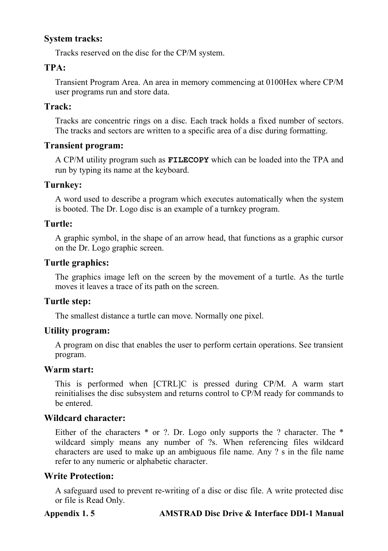#### **System tracks:**

Tracks reserved on the disc for the CP/M system.

#### **TPA:**

Transient Program Area. An area in memory commencing at 0100Hex where CP/M user programs run and store data.

#### **Track:**

Tracks are concentric rings on a disc. Each track holds a fixed number of sectors. The tracks and sectors are written to a specific area of a disc during formatting.

#### **Transient program:**

A CP/M utility program such as **FILECOPY** which can be loaded into the TPA and run by typing its name at the keyboard.

#### **Turnkey:**

A word used to describe a program which executes automatically when the system is booted. The Dr. Logo disc is an example of a turnkey program.

#### **Turtle:**

A graphic symbol, in the shape of an arrow head, that functions as a graphic cursor on the Dr. Logo graphic screen.

#### **Turtle graphics:**

The graphics image left on the screen by the movement of a turtle. As the turtle moves it leaves a trace of its path on the screen.

#### **Turtle step:**

The smallest distance a turtle can move. Normally one pixel.

#### **Utility program:**

A program on disc that enables the user to perform certain operations. See transient program.

#### **Warm start:**

This is performed when [CTRL]C is pressed during CP/M. A warm start reinitialises the disc subsystem and returns control to CP/M ready for commands to be entered.

#### **Wildcard character:**

Either of the characters \* or ?. Dr. Logo only supports the ? character. The \* wildcard simply means any number of ?s. When referencing files wildcard characters are used to make up an ambiguous file name. Any ? s in the file name refer to any numeric or alphabetic character.

#### **Write Protection:**

A safeguard used to prevent re-writing of a disc or disc file. A write protected disc or file is Read Only.

#### **Appendix 1. 5 AMSTRAD Disc Drive & Interface DDI-1 Manual**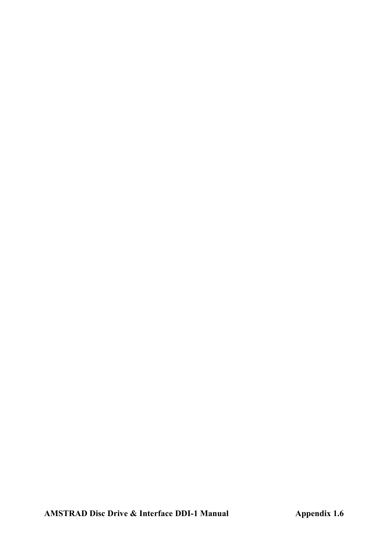**AMSTRAD Disc Drive & Interface DDI-1 Manual Appendix 1.6**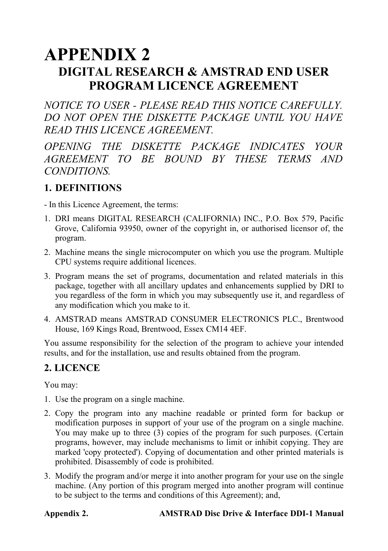# **APPENDIX 2 DIGITAL RESEARCH & AMSTRAD END USER PROGRAM LICENCE AGREEMENT**

*NOTICE TO USER - PLEASE READ THIS NOTICE CAREFULLY. DO NOT OPEN THE DISKETTE PACKAGE UNTIL YOU HAVE READ THIS LICENCE AGREEMENT.*

*OPENING THE DISKETTE PACKAGE INDICATES YOUR AGREEMENT TO BE BOUND BY THESE TERMS AND CONDITIONS.*

# **1. DEFINITIONS**

- In this Licence Agreement, the terms:

- 1. DRI means DIGITAL RESEARCH (CALIFORNIA) INC., P.O. Box 579, Pacific Grove, California 93950, owner of the copyright in, or authorised licensor of, the program.
- 2. Machine means the single microcomputer on which you use the program. Multiple CPU systems require additional licences.
- 3. Program means the set of programs, documentation and related materials in this package, together with all ancillary updates and enhancements supplied by DRI to you regardless of the form in which you may subsequently use it, and regardless of any modification which you make to it.
- 4. AMSTRAD means AMSTRAD CONSUMER ELECTRONICS PLC., Brentwood House, 169 Kings Road, Brentwood, Essex CM14 4EF.

You assume responsibility for the selection of the program to achieve your intended results, and for the installation, use and results obtained from the program.

# **2. LICENCE**

You may:

- 1. Use the program on a single machine.
- 2. Copy the program into any machine readable or printed form for backup or modification purposes in support of your use of the program on a single machine. You may make up to three (3) copies of the program for such purposes. (Certain programs, however, may include mechanisms to limit or inhibit copying. They are marked 'copy protected'). Copying of documentation and other printed materials is prohibited. Disassembly of code is prohibited.
- 3. Modify the program and/or merge it into another program for your use on the single machine. (Any portion of this program merged into another program will continue to be subject to the terms and conditions of this Agreement); and,

**Appendix 2. AMSTRAD Disc Drive & Interface DDI-1 Manual**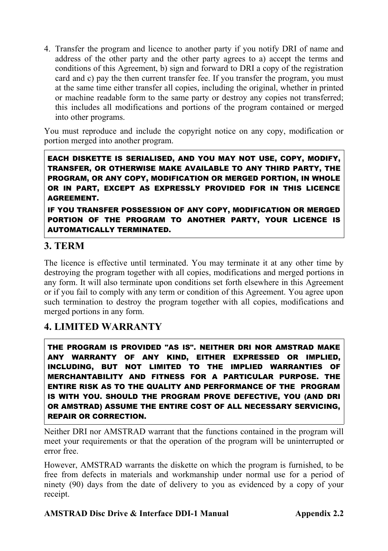4. Transfer the program and licence to another party if you notify DRI of name and address of the other party and the other party agrees to a) accept the terms and conditions of this Agreement, b) sign and forward to DRI a copy of the registration card and c) pay the then current transfer fee. If you transfer the program, you must at the same time either transfer all copies, including the original, whether in printed or machine readable form to the same party or destroy any copies not transferred; this includes all modifications and portions of the program contained or merged into other programs.

You must reproduce and include the copyright notice on any copy, modification or portion merged into another program.

EACH DISKETTE IS SERIALISED, AND YOU MAY NOT USE, COPY, MODIFY, TRANSFER, OR OTHERWISE MAKE AVAILABLE TO ANY THIRD PARTY, THE PROGRAM, OR ANY COPY, MODIFICATION OR MERGED PORTION, IN WHOLE OR IN PART, EXCEPT AS EXPRESSLY PROVIDED FOR IN THIS LICENCE AGREEMENT.

IF YOU TRANSFER POSSESSION OF ANY COPY, MODIFICATION OR MERGED PORTION OF THE PROGRAM TO ANOTHER PARTY, YOUR LICENCE IS AUTOMATICALLY TERMINATED.

# **3. TERM**

The licence is effective until terminated. You may terminate it at any other time by destroying the program together with all copies, modifications and merged portions in any form. It will also terminate upon conditions set forth elsewhere in this Agreement or if you fail to comply with any term or condition of this Agreement. You agree upon such termination to destroy the program together with all copies, modifications and merged portions in any form.

# **4. LIMITED WARRANTY**

THE PROGRAM IS PROVIDED "AS IS". NEITHER DRI NOR AMSTRAD MAKE ANY WARRANTY OF ANY KIND, EITHER EXPRESSED OR IMPLIED, INCLUDING, BUT NOT LIMITED TO THE IMPLIED WARRANTIES OF MERCHANTABILITY AND FITNESS FOR A PARTICULAR PURPOSE. THE ENTIRE RISK AS TO THE QUALITY AND PERFORMANCE OF THE PROGRAM IS WITH YOU. SHOULD THE PROGRAM PROVE DEFECTIVE, YOU (AND DRI OR AMSTRAD) ASSUME THE ENTIRE COST OF ALL NECESSARY SERVICING, REPAIR OR CORRECTION.

Neither DRI nor AMSTRAD warrant that the functions contained in the program will meet your requirements or that the operation of the program will be uninterrupted or error free.

However, AMSTRAD warrants the diskette on which the program is furnished, to be free from defects in materials and workmanship under normal use for a period of ninety (90) days from the date of delivery to you as evidenced by a copy of your receipt.

**AMSTRAD Disc Drive & Interface DDI-1 Manual Appendix 2.2**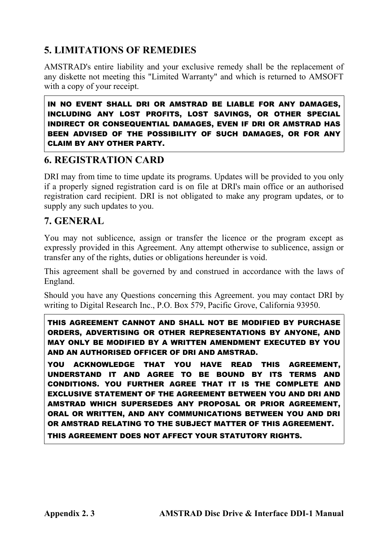# **5. LIMITATIONS OF REMEDIES**

AMSTRAD's entire liability and your exclusive remedy shall be the replacement of any diskette not meeting this "Limited Warranty" and which is returned to AMSOFT with a copy of your receipt.

IN NO EVENT SHALL DRI OR AMSTRAD BE LIABLE FOR ANY DAMAGES, INCLUDING ANY LOST PROFITS, LOST SAVINGS, OR OTHER SPECIAL INDIRECT OR CONSEQUENTIAL DAMAGES, EVEN IF DRI OR AMSTRAD HAS BEEN ADVISED OF THE POSSIBILITY OF SUCH DAMAGES, OR FOR ANY CLAIM BY ANY OTHER PARTY.

# **6. REGISTRATION CARD**

DRI may from time to time update its programs. Updates will be provided to you only if a properly signed registration card is on file at DRI's main office or an authorised registration card recipient. DRI is not obligated to make any program updates, or to supply any such updates to you.

# **7. GENERAL**

You may not sublicence, assign or transfer the licence or the program except as expressly provided in this Agreement. Any attempt otherwise to sublicence, assign or transfer any of the rights, duties or obligations hereunder is void.

This agreement shall be governed by and construed in accordance with the laws of England.

Should you have any Questions concerning this Agreement. you may contact DRI by writing to Digital Research Inc., P.O. Box 579, Pacific Grove, California 93950.

THIS AGREEMENT CANNOT AND SHALL NOT BE MODIFIED BY PURCHASE ORDERS, ADVERTISING OR OTHER REPRESENTATIONS BY ANYONE, AND MAY ONLY BE MODIFIED BY A WRITTEN AMENDMENT EXECUTED BY YOU AND AN AUTHORISED OFFICER OF DRI AND AMSTRAD.

YOU ACKNOWLEDGE THAT YOU HAVE READ THIS AGREEMENT, UNDERSTAND IT AND AGREE TO BE BOUND BY ITS TERMS AND CONDITIONS. YOU FURTHER AGREE THAT IT IS THE COMPLETE AND EXCLUSIVE STATEMENT OF THE AGREEMENT BETWEEN YOU AND DRI AND AMSTRAD WHICH SUPERSEDES ANY PROPOSAL OR PRIOR AGREEMENT, ORAL OR WRITTEN, AND ANY COMMUNICATIONS BETWEEN YOU AND DRI OR AMSTRAD RELATING TO THE SUBJECT MATTER OF THIS AGREEMENT.

THIS AGREEMENT DOES NOT AFFECT YOUR STATUTORY RIGHTS.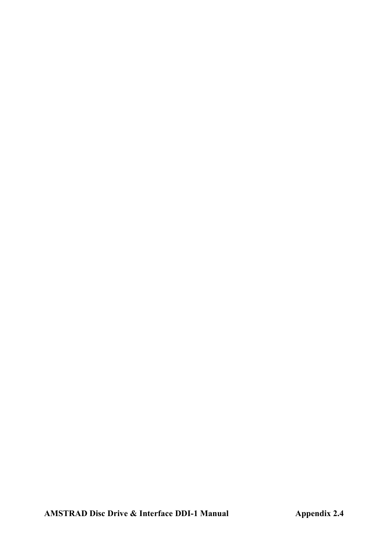**AMSTRAD Disc Drive & Interface DDI-1 Manual Appendix 2.4**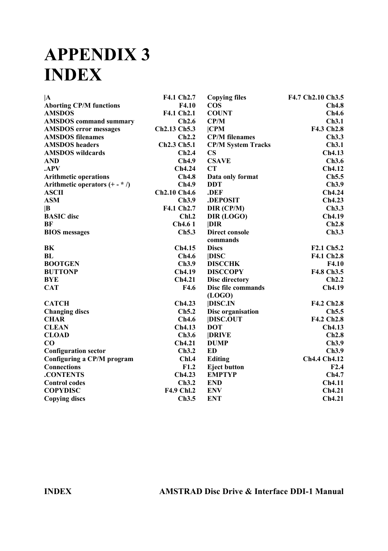# **APPENDIX 3 INDEX**

| A                               | F4.1 Ch <sub>2.7</sub>               | <b>Copying files</b>              | F4.7 Ch <sub>2.10</sub> Ch <sub>3.5</sub> |
|---------------------------------|--------------------------------------|-----------------------------------|-------------------------------------------|
| <b>Aborting CP/M functions</b>  | F4.10                                | $\cos$                            | Ch4.8                                     |
| <b>AMSDOS</b>                   | F4.1 Ch2.1                           | <b>COUNT</b>                      | Ch4.6                                     |
| <b>AMSDOS</b> command summary   | Ch2.6                                | CP/M                              | Ch3.1                                     |
| <b>AMSDOS</b> error messages    | Ch <sub>2.13</sub> Ch <sub>5.3</sub> | CPM                               | F4.3 Ch2.8                                |
| <b>AMSDOS</b> filenames         | Ch2.2                                | <b>CP/M</b> filenames             | Ch3.3                                     |
| <b>AMSDOS</b> headers           | Ch <sub>2.3</sub> Ch <sub>5.1</sub>  | <b>CP/M System Tracks</b>         | Ch3.1                                     |
| <b>AMSDOS</b> wildcards         | Ch2.4                                | $\overline{\text{CS}}$            | Ch4.13                                    |
| <b>AND</b>                      | Ch4.9                                | <b>CSAVE</b>                      | Ch3.6                                     |
| .APV                            | Ch4.24                               | CT                                | Ch4.12                                    |
| <b>Arithmetic operations</b>    | Ch4.8                                | Data only format                  | Ch5.5                                     |
| Arithmetic operators $(+ - *')$ | Ch4.9                                | <b>DDT</b>                        | Ch3.9                                     |
| <b>ASCII</b>                    | Ch <sub>2.10</sub> Ch <sub>4.6</sub> | .DEF                              | Ch4.24                                    |
| <b>ASM</b>                      | Ch3.9                                | .DEPOSIT                          | Ch4.23                                    |
| $ {\bf B} $                     | F4.1 Ch2.7                           | DIR (CP/M)                        | Ch3.3                                     |
| <b>BASIC</b> disc               | Chl.2                                | DIR (LOGO)                        | Ch4.19                                    |
| BF                              | Ch4.61                               | DIR                               | Ch2.8                                     |
| <b>BIOS</b> messages            | Ch5.3                                | <b>Direct console</b><br>commands | Ch3.3                                     |
| BK                              | Ch4.15                               | <b>Discs</b>                      | F2.1 Ch5.2                                |
| BL                              | Ch4.6                                | DISC                              | F4.1 Ch <sub>2.8</sub>                    |
| <b>BOOTGEN</b>                  | Ch3.9                                | <b>DISCCHK</b>                    | <b>F4.10</b>                              |
| <b>BUTTONP</b>                  | Ch4.19                               | <b>DISCCOPY</b>                   | F4.8 Ch3.5                                |
| <b>BYE</b>                      | Ch4.21                               | Disc directory                    | Ch2.2                                     |
| <b>CAT</b>                      | F4.6                                 | Disc file commands                | Ch4.19                                    |
|                                 |                                      | (LOGO)                            |                                           |
| <b>CATCH</b>                    | Ch4.23                               | <b>DISC.IN</b>                    | F4.2 Ch <sub>2.8</sub>                    |
| <b>Changing discs</b>           | Ch5.2                                | Disc organisation                 | Ch5.5                                     |
| <b>CHAR</b>                     | Ch4.6                                | <b>DISC.OUT</b>                   | F4.2 Ch <sub>2.8</sub>                    |
| <b>CLEAN</b>                    | Ch4.13                               | <b>DOT</b>                        | Ch4.13                                    |
| <b>CLOAD</b>                    | Ch3.6                                | <b>DRIVE</b>                      | Ch2.8                                     |
| CO                              | Ch4.21                               | <b>DUMP</b>                       | Ch3.9                                     |
| <b>Configuration sector</b>     | Ch3.2                                | ED                                | Ch3.9                                     |
| Configuring a CP/M program      | Chl.4                                | Editing                           | Ch4.4 Ch4.12                              |
| <b>Connections</b>              | F1.2                                 | <b>Eject button</b>               | F2.4                                      |
| .CONTENTS                       | Ch4.23                               | <b>EMPTYP</b>                     | Ch4.7                                     |
| <b>Control codes</b>            | Ch3.2                                | <b>END</b>                        | Ch4.11                                    |
| <b>COPYDISC</b>                 | <b>F4.9 Chl.2</b>                    | <b>ENV</b>                        | Ch4.21                                    |
| <b>Copying discs</b>            | Ch3.5                                | <b>ENT</b>                        | Ch4.21                                    |
|                                 |                                      |                                   |                                           |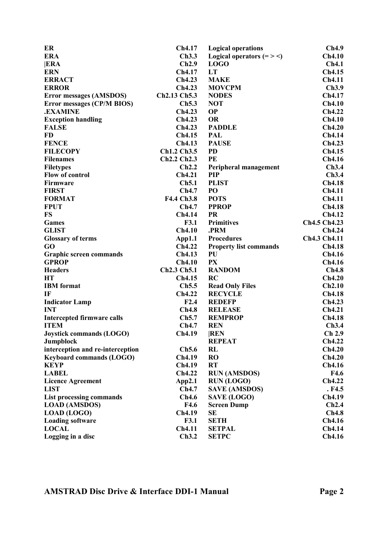| ER                               | Ch4.17                               | <b>Logical operations</b>     | Ch4.9            |
|----------------------------------|--------------------------------------|-------------------------------|------------------|
| <b>ERA</b>                       | Ch3.3                                | Logical operators $(=><)$     | Ch4.10           |
| ERA                              | Ch2.9                                | <b>LOGO</b>                   | Ch4.1            |
| ERN                              | Ch4.17                               | LT                            | Ch4.15           |
| <b>ERRACT</b>                    | Ch4.23                               | <b>MAKE</b>                   | Ch4.11           |
| <b>ERROR</b>                     | Ch4.23                               | <b>MOVCPM</b>                 | Ch3.9            |
| <b>Error messages (AMSDOS)</b>   | Ch <sub>2.13</sub> Ch <sub>5.3</sub> | <b>NODES</b>                  | Ch4.17           |
| Error messages (CP/M BIOS)       | Ch5.3                                | <b>NOT</b>                    | Ch4.10           |
| <b>.EXAMINE</b>                  | Ch4.23                               | <b>OP</b>                     | Ch4.22           |
| <b>Exception handling</b>        | Ch4.23                               | <b>OR</b>                     | Ch4.10           |
| FALSE                            | Ch4.23                               | <b>PADDLE</b>                 | Ch4.20           |
| FD                               | Ch4.15                               | PAL                           | Ch4.14           |
| <b>FENCE</b>                     | Ch4.13                               | <b>PAUSE</b>                  | Ch4.23           |
| <b>FILECOPY</b>                  | Ch1.2 Ch3.5                          | PD.                           | Ch4.15           |
| <b>Filenames</b>                 | Ch2.2 Ch2.3                          | PE                            | Ch4.16           |
| <b>Filetypes</b>                 | Ch2.2                                | Peripheral management         | Ch3.4            |
| <b>Flow of control</b>           | Ch4.21                               | <b>PIP</b>                    | Ch3.4            |
| Firmware                         | Ch5.1                                | <b>PLIST</b>                  | Ch4.18           |
| <b>FIRST</b>                     | Ch4.7                                | PO                            | Ch4.11           |
| <b>FORMAT</b>                    | F4.4 Ch3.8                           | <b>POTS</b>                   | Ch4.11           |
| <b>FPUT</b>                      | Ch4.7                                | <b>PPROP</b>                  | Ch4.18           |
| FS                               | Ch4.14                               | PR                            | Ch4.12           |
| <b>Games</b>                     | F3.1                                 | <b>Primitives</b>             | Ch4.5 Ch4.23     |
| <b>GLIST</b>                     | Ch4.10                               | .PRM                          | Ch4.24           |
| <b>Glossary of terms</b>         | App $1.1$                            | <b>Procedures</b>             | Ch4.3 Ch4.11     |
| GO                               | Ch4.22                               | <b>Property list commands</b> | Ch4.18           |
| Graphic screen commands          | Ch4.13                               | PU                            | Ch4.16           |
| <b>GPROP</b>                     | Ch4.10                               | <b>PX</b>                     | Ch4.16           |
| <b>Headers</b>                   | Ch <sub>2.3</sub> Ch <sub>5.1</sub>  | <b>RANDOM</b>                 | Ch4.8            |
| HТ                               | Ch4.15                               | RC                            | Ch4.20           |
| <b>IBM</b> format                | Ch5.5                                | <b>Read Only Files</b>        | Ch2.10           |
| IF                               | Ch4.22                               | <b>RECYCLE</b>                | Ch4.18           |
| <b>Indicator Lamp</b>            | F2.4                                 | <b>REDEFP</b>                 | Ch4.23           |
| <b>INT</b>                       | Ch4.8                                | <b>RELEASE</b>                | Ch4.21           |
| Intercepted firmware calls       | Ch5.7                                | <b>REMPROP</b>                | Ch4.18           |
| <b>ITEM</b>                      | Ch4.7                                | <b>REN</b>                    | Ch3.4            |
| Joystick commands (LOGO)         | Ch4.19                               |                               | Ch 2.9           |
|                                  |                                      | <b>REN</b><br><b>REPEAT</b>   | Ch4.22           |
| Jumpblock                        |                                      |                               |                  |
| interception and re-interception | Ch5.6                                | RL                            | Ch4.20<br>Ch4.20 |
| <b>Keyboard commands (LOGO)</b>  | Ch4.19                               | <b>RO</b>                     |                  |
| <b>KEYP</b>                      | Ch4.19                               | RT                            | Ch4.16           |
| <b>LABEL</b>                     | Ch4.22                               | <b>RUN (AMSDOS)</b>           | F4.6             |
| <b>Licence Agreement</b>         | App2.1                               | RUN (LOGO)                    | Ch4.22           |
| <b>LIST</b>                      | Ch4.7                                | <b>SAVE (AMSDOS)</b>          | . F4.5           |
| <b>List processing commands</b>  | Ch4.6                                | <b>SAVE (LOGO)</b>            | Ch4.19           |
| <b>LOAD (AMSDOS)</b>             | F4.6                                 | <b>Screen Dump</b>            | Ch2.4            |
| <b>LOAD</b> (LOGO)               | Ch4.19                               | SЕ                            | Ch4.8            |
| <b>Loading software</b>          | <b>F3.1</b>                          | <b>SETH</b>                   | Ch4.16           |
| <b>LOCAL</b>                     | Ch4.11                               | <b>SETPAL</b>                 | Ch4.14           |
| Logging in a disc                | Ch3.2                                | <b>SETPC</b>                  | Ch4.16           |

# **AMSTRAD Disc Drive & Interface DDI-1 Manual Page 2**